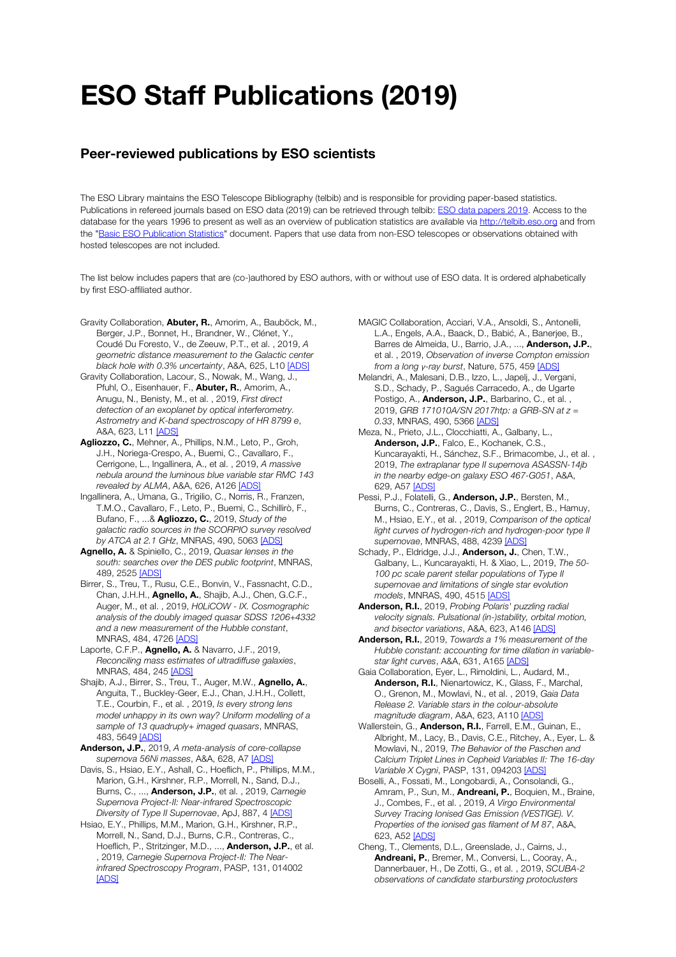## ESO Staff Publications (2019)

## Peer-reviewed publications by ESO scientists

The ESO Library maintains the ESO Telescope Bibliography (telbib) and is responsible for providing paper-based statistics. Publications in refereed journals based on ESO data (2019) can be retrieved through telbib: ESO data papers 2019. Access to the database for the years 1996 to present as well as an overview of publication statistics are available via http://telbib.eso.org and from the "Basic ESO Publication Statistics" document. Papers that use data from non-ESO telescopes or observations obtained with hosted telescopes are not included.

The list below includes papers that are (co-)authored by ESO authors, with or without use of ESO data. It is ordered alphabetically by first ESO-affiliated author.

- Gravity Collaboration, Abuter, R., Amorim, A., Bauböck, M., Berger, J.P., Bonnet, H., Brandner, W., Clénet, Y., Coudé Du Foresto, V., de Zeeuw, P.T., et al. , 2019, *A geometric distance measurement to the Galactic center black hole with 0.3% uncertainty*, A&A, 625, L10 [ADS]
- Gravity Collaboration, Lacour, S., Nowak, M., Wang, J., Pfuhl, O., Eisenhauer, F., **Abuter, R.**, Amorim, A., Anugu, N., Benisty, M., et al. , 2019, *First direct detection of an exoplanet by optical interferometry. Astrometry and K-band spectroscopy of HR 8799 e*, A&A, 623, L11 [ADS]
- Agliozzo, C., Mehner, A., Phillips, N.M., Leto, P., Groh, J.H., Noriega-Crespo, A., Buemi, C., Cavallaro, F., Cerrigone, L., Ingallinera, A., et al. , 2019, *A massive nebula around the luminous blue variable star RMC 143 revealed by ALMA*, A&A, 626, A126 [ADS]
- Ingallinera, A., Umana, G., Trigilio, C., Norris, R., Franzen, T.M.O., Cavallaro, F., Leto, P., Buemi, C., Schillirò, F., Bufano, F., ...& Agliozzo, C., 2019, *Study of the galactic radio sources in the SCORPIO survey resolved by ATCA at 2.1 GHz*, MNRAS, 490, 5063 [ADS]
- Agnello, A. & Spiniello, C., 2019, *Quasar lenses in the south: searches over the DES public footprint*, MNRAS, 489, 2525 [ADS]
- Birrer, S., Treu, T., Rusu, C.E., Bonvin, V., Fassnacht, C.D., Chan, J.H.H., Agnello, A., Shajib, A.J., Chen, G.C.F., Auger, M., et al. , 2019, *H0LiCOW - IX. Cosmographic analysis of the doubly imaged quasar SDSS 1206+4332 and a new measurement of the Hubble constant*, MNRAS, 484, 4726 [ADS]
- Laporte, C.F.P., **Agnello, A.** & Navarro, J.F., 2019, *Reconciling mass estimates of ultradiffuse galaxies*, MNRAS, 484, 245 [ADS]
- Shajib, A.J., Birrer, S., Treu, T., Auger, M.W., Agnello, A., Anguita, T., Buckley-Geer, E.J., Chan, J.H.H., Collett, T.E., Courbin, F., et al. , 2019, *Is every strong lens model unhappy in its own way? Uniform modelling of a sample of 13 quadruply+ imaged quasars*, MNRAS, 483, 5649 [ADS]
- Anderson, J.P., 2019, *A meta-analysis of core-collapse supernova 56Ni masses*, A&A, 628, A7 [ADS]
- Davis, S., Hsiao, E.Y., Ashall, C., Hoeflich, P., Phillips, M.M., Marion, G.H., Kirshner, R.P., Morrell, N., Sand, D.J., Burns, C., ..., Anderson, J.P., et al. , 2019, *Carnegie Supernova Project-II: Near-infrared Spectroscopic Diversity of Type II Supernovae*, ApJ, 887, 4 [ADS]
- Hsiao, E.Y., Phillips, M.M., Marion, G.H., Kirshner, R.P., Morrell, N., Sand, D.J., Burns, C.R., Contreras, C., Hoeflich, P., Stritzinger, M.D., ..., **Anderson, J.P.**, et al. , 2019, *Carnegie Supernova Project-II: The Nearinfrared Spectroscopy Program*, PASP, 131, 014002 **[ADS]**
- MAGIC Collaboration, Acciari, V.A., Ansoldi, S., Antonelli, L.A., Engels, A.A., Baack, D., Babić, A., Banerjee, B., Barres de Almeida, U., Barrio, J.A., ..., Anderson, J.P., et al. , 2019, *Observation of inverse Compton emission from a long γ-ray burst*, Nature, 575, 459 [ADS]
- Melandri, A., Malesani, D.B., Izzo, L., Japelj, J., Vergani, S.D., Schady, P., Sagués Carracedo, A., de Ugarte Postigo, A., **Anderson, J.P.**, Barbarino, C., et al., 2019, *GRB 171010A/SN 2017htp: a GRB-SN at z = 0.33*, MNRAS, 490, 5366 [ADS]
- Meza, N., Prieto, J.L., Clocchiatti, A., Galbany, L., Anderson, J.P., Falco, E., Kochanek, C.S., Kuncarayakti, H., Sánchez, S.F., Brimacombe, J., et al. , 2019, *The extraplanar type II supernova ASASSN-14jb in the nearby edge-on galaxy ESO 467-G051*, A&A, 629, A57 [ADS]
- Pessi, P.J., Folatelli, G., Anderson, J.P., Bersten, M., Burns, C., Contreras, C., Davis, S., Englert, B., Hamuy, M., Hsiao, E.Y., et al. , 2019, *Comparison of the optical light curves of hydrogen-rich and hydrogen-poor type II supernovae*, MNRAS, 488, 4239 [ADS]
- Schady, P., Eldridge, J.J., Anderson, J., Chen, T.W., Galbany, L., Kuncarayakti, H. & Xiao, L., 2019, *The 50- 100 pc scale parent stellar populations of Type II supernovae and limitations of single star evolution models*, MNRAS, 490, 4515 [ADS]
- Anderson, R.I., 2019, *Probing Polaris' puzzling radial velocity signals. Pulsational (in-)stability, orbital motion, and bisector variations*, A&A, 623, A146 [ADS]
- Anderson, R.I., 2019, *Towards a 1% measurement of the Hubble constant: accounting for time dilation in variablestar light curves*, A&A, 631, A165 [ADS]
- Gaia Collaboration, Eyer, L., Rimoldini, L., Audard, M., Anderson, R.I., Nienartowicz, K., Glass, F., Marchal, O., Grenon, M., Mowlavi, N., et al. , 2019, *Gaia Data Release 2. Variable stars in the colour-absolute magnitude diagram*, A&A, 623, A110 [ADS]
- Wallerstein, G., **Anderson, R.I.**, Farrell, E.M., Guinan, E., Albright, M., Lacy, B., Davis, C.E., Ritchey, A., Eyer, L. & Mowlavi, N., 2019, *The Behavior of the Paschen and Calcium Triplet Lines in Cepheid Variables II: The 16-day Variable X Cygni*, PASP, 131, 094203 [ADS]
- Boselli, A., Fossati, M., Longobardi, A., Consolandi, G., Amram, P., Sun, M., **Andreani, P.**, Boquien, M., Braine, J., Combes, F., et al. , 2019, *A Virgo Environmental Survey Tracing Ionised Gas Emission (VESTIGE). V. Properties of the ionised gas filament of M 87*, A&A, 623, A52 [ADS]
- Cheng, T., Clements, D.L., Greenslade, J., Cairns, J., Andreani, P., Bremer, M., Conversi, L., Cooray, A., Dannerbauer, H., De Zotti, G., et al. , 2019, *SCUBA-2 observations of candidate starbursting protoclusters*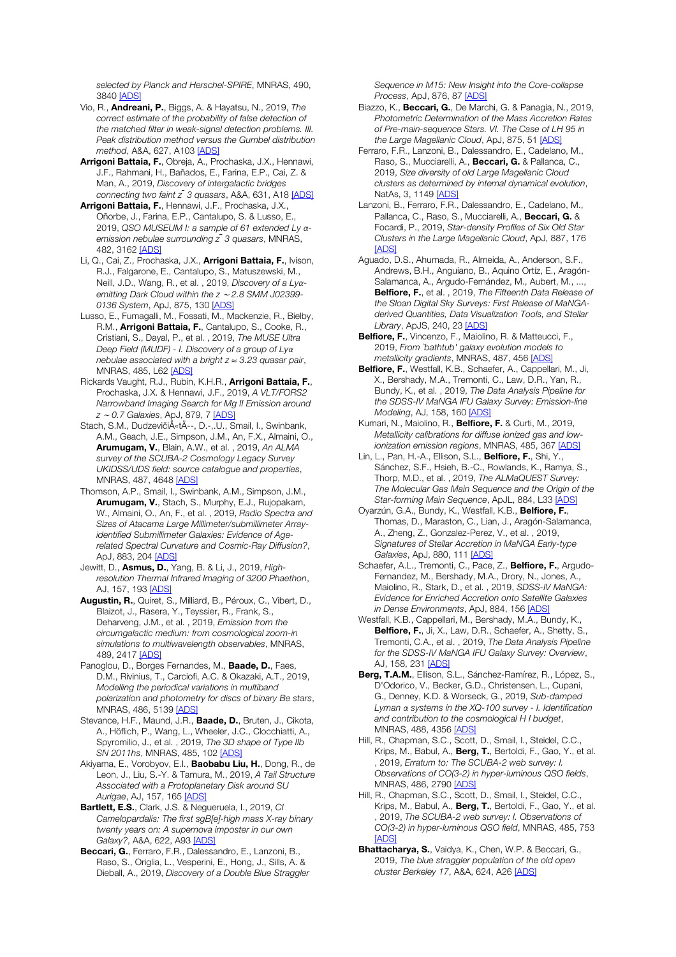*selected by Planck and Herschel-SPIRE*, MNRAS, 490, 3840 [ADS]

- Vio, R., Andreani, P., Biggs, A. & Hayatsu, N., 2019, *The correct estimate of the probability of false detection of the matched filter in weak-signal detection problems. III. Peak distribution method versus the Gumbel distribution method*, A&A, 627, A103 [ADS]
- Arrigoni Battaia, F., Obreja, A., Prochaska, J.X., Hennawi, J.F., Rahmani, H., Bañados, E., Farina, E.P., Cai, Z. & Man, A., 2019, *Discovery of intergalactic bridges connecting two faint z ̃3 quasars*, A&A, 631, A18 [ADS]
- Arrigoni Battaia, F., Hennawi, J.F., Prochaska, J.X., Oñorbe, J., Farina, E.P., Cantalupo, S. & Lusso, E., 2019, *QSO MUSEUM I: a sample of 61 extended Ly αemission nebulae surrounding z ̃3 quasars*, MNRAS, 482, 3162 [ADS]
- Li, Q., Cai, Z., Prochaska, J.X., Arrigoni Battaia, F., Ivison, R.J., Falgarone, E., Cantalupo, S., Matuszewski, M., Neill, J.D., Wang, R., et al. , 2019, *Discovery of a Lyαemitting Dark Cloud within the z* <sup>∼</sup> *2.8 SMM J02399- 0136 System*, ApJ, 875, 130 [ADS]
- Lusso, E., Fumagalli, M., Fossati, M., Mackenzie, R., Bielby, R.M., Arrigoni Battaia, F., Cantalupo, S., Cooke, R., Cristiani, S., Dayal, P., et al. , 2019, *The MUSE Ultra Deep Field (MUDF) - I. Discovery of a group of Lyα nebulae associated with a bright z* ≈ *3.23 quasar pair*, MNRAS, 485, L62 [ADS]
- Rickards Vaught, R.J., Rubin, K.H.R., Arrigoni Battaia, F., Prochaska, J.X. & Hennawi, J.F., 2019, *A VLT/FORS2 Narrowband Imaging Search for Mg II Emission around z* <sup>∼</sup> *0.7 Galaxies*, ApJ, 879, 7 [ADS]
- Stach, S.M., DudzevičiÅ«tÄ--, D.-,.U., Smail, I., Swinbank, A.M., Geach, J.E., Simpson, J.M., An, F.X., Almaini, O., Arumugam, V., Blain, A.W., et al. , 2019, *An ALMA survey of the SCUBA-2 Cosmology Legacy Survey UKIDSS/UDS field: source catalogue and properties*, MNRAS, 487, 4648 [ADS]
- Thomson, A.P., Smail, I., Swinbank, A.M., Simpson, J.M., Arumugam, V., Stach, S., Murphy, E.J., Rujopakarn, W., Almaini, O., An, F., et al. , 2019, *Radio Spectra and Sizes of Atacama Large Millimeter/submillimeter Arrayidentified Submillimeter Galaxies: Evidence of Agerelated Spectral Curvature and Cosmic-Ray Diffusion?*, ApJ, 883, 204 [ADS]
- Jewitt, D., Asmus, D., Yang, B. & Li, J., 2019, *Highresolution Thermal Infrared Imaging of 3200 Phaethon*, AJ, 157, 193 [ADS]
- Augustin, R., Quiret, S., Milliard, B., Péroux, C., Vibert, D., Blaizot, J., Rasera, Y., Teyssier, R., Frank, S., Deharveng, J.M., et al. , 2019, *Emission from the circumgalactic medium: from cosmological zoom-in simulations to multiwavelength observables*, MNRAS, 489, 2417 [ADS]
- Panoglou, D., Borges Fernandes, M., **Baade, D.**, Faes, D.M., Rivinius, T., Carciofi, A.C. & Okazaki, A.T., 2019, *Modelling the periodical variations in multiband polarization and photometry for discs of binary Be stars*, MNRAS, 486, 5139 [ADS]
- Stevance, H.F., Maund, J.R., Baade, D., Bruten, J., Cikota, A., Höflich, P., Wang, L., Wheeler, J.C., Clocchiatti, A., Spyromilio, J., et al. , 2019, *The 3D shape of Type IIb SN 2011hs*, MNRAS, 485, 102 [ADS]
- Akiyama, E., Vorobyov, E.I., **Baobabu Liu, H.**, Dong, R., de Leon, J., Liu, S.-Y. & Tamura, M., 2019, *A Tail Structure Associated with a Protoplanetary Disk around SU Aurigae*, AJ, 157, 165 [ADS]
- Bartlett, E.S., Clark, J.S. & Negueruela, I., 2019, *CI Camelopardalis: The first sgB[e]-high mass X-ray binary twenty years on: A supernova imposter in our own Galaxy?*, A&A, 622, A93 [ADS]
- Beccari, G., Ferraro, F.R., Dalessandro, E., Lanzoni, B., Raso, S., Origlia, L., Vesperini, E., Hong, J., Sills, A. & Dieball, A., 2019, *Discovery of a Double Blue Straggler*

*Sequence in M15: New Insight into the Core-collapse Process*, ApJ, 876, 87 [ADS]

- Biazzo, K., Beccari, G., De Marchi, G. & Panagia, N., 2019, *Photometric Determination of the Mass Accretion Rates of Pre-main-sequence Stars. VI. The Case of LH 95 in the Large Magellanic Cloud*, ApJ, 875, 51 [ADS]
- Ferraro, F.R., Lanzoni, B., Dalessandro, E., Cadelano, M., Raso, S., Mucciarelli, A., Beccari, G. & Pallanca, C., 2019, *Size diversity of old Large Magellanic Cloud clusters as determined by internal dynamical evolution*, NatAs, 3, 1149 [ADS]
- Lanzoni, B., Ferraro, F.R., Dalessandro, E., Cadelano, M., Pallanca, C., Raso, S., Mucciarelli, A., Beccari, G. & Focardi, P., 2019, *Star-density Profiles of Six Old Star Clusters in the Large Magellanic Cloud*, ApJ, 887, 176 [ADS]
- Aguado, D.S., Ahumada, R., Almeida, A., Anderson, S.F., Andrews, B.H., Anguiano, B., Aquino Ortíz, E., Aragón-Salamanca, A., Argudo-Fernández, M., Aubert, M., ..., Belfiore, F., et al. , 2019, *The Fifteenth Data Release of the Sloan Digital Sky Surveys: First Release of MaNGAderived Quantities, Data Visualization Tools, and Stellar Library*, ApJS, 240, 23 [ADS]
- Belfiore, F., Vincenzo, F., Maiolino, R. & Matteucci, F., 2019, *From `bathtub' galaxy evolution models to metallicity gradients*, MNRAS, 487, 456 [ADS]
- Belfiore, F., Westfall, K.B., Schaefer, A., Cappellari, M., Ji, X., Bershady, M.A., Tremonti, C., Law, D.R., Yan, R., Bundy, K., et al. , 2019, *The Data Analysis Pipeline for the SDSS-IV MaNGA IFU Galaxy Survey: Emission-line Modeling*, AJ, 158, 160 [ADS]
- Kumari, N., Maiolino, R., Belfiore, F. & Curti, M., 2019, *Metallicity calibrations for diffuse ionized gas and lowionization emission regions*, MNRAS, 485, 367 [ADS]
- Lin, L., Pan, H.-A., Ellison, S.L., Belfiore, F., Shi, Y., Sánchez, S.F., Hsieh, B.-C., Rowlands, K., Ramya, S., Thorp, M.D., et al. , 2019, *The ALMaQUEST Survey: The Molecular Gas Main Sequence and the Origin of the Star-forming Main Sequence*, ApJL, 884, L33 [ADS]
- Oyarzún, G.A., Bundy, K., Westfall, K.B., Belfiore, F., Thomas, D., Maraston, C., Lian, J., Aragón-Salamanca, A., Zheng, Z., Gonzalez-Perez, V., et al. , 2019, *Signatures of Stellar Accretion in MaNGA Early-type Galaxies*, ApJ, 880, 111 [ADS]
- Schaefer, A.L., Tremonti, C., Pace, Z., Belfiore, F., Argudo-Fernandez, M., Bershady, M.A., Drory, N., Jones, A., Maiolino, R., Stark, D., et al. , 2019, *SDSS-IV MaNGA: Evidence for Enriched Accretion onto Satellite Galaxies in Dense Environments*, ApJ, 884, 156 [ADS]
- Westfall, K.B., Cappellari, M., Bershady, M.A., Bundy, K., Belfiore, F., Ji, X., Law, D.R., Schaefer, A., Shetty, S., Tremonti, C.A., et al. , 2019, *The Data Analysis Pipeline for the SDSS-IV MaNGA IFU Galaxy Survey: Overview*, AJ, 158, 231 [ADS]
- Berg, T.A.M., Ellison, S.L., Sánchez-Ramírez, R., López, S., D'Odorico, V., Becker, G.D., Christensen, L., Cupani, G., Denney, K.D. & Worseck, G., 2019, *Sub-damped Lyman α systems in the XQ-100 survey - I. Identification and contribution to the cosmological H I budget*, MNRAS, 488, 4356 [ADS]
- Hill, R., Chapman, S.C., Scott, D., Smail, I., Steidel, C.C., Krips, M., Babul, A., Berg, T., Bertoldi, F., Gao, Y., et al. , 2019, *Erratum to: The SCUBA-2 web survey: I. Observations of CO(3-2) in hyper-luminous QSO fields*, MNRAS, 486, 2790 [ADS]
- Hill, R., Chapman, S.C., Scott, D., Smail, I., Steidel, C.C., Krips, M., Babul, A., Berg, T., Bertoldi, F., Gao, Y., et al. , 2019, *The SCUBA-2 web survey: I. Observations of CO(3-2) in hyper-luminous QSO field*, MNRAS, 485, 753 **[ADS]**
- Bhattacharya, S., Vaidya, K., Chen, W.P. & Beccari, G., 2019, *The blue straggler population of the old open cluster Berkeley 17*, A&A, 624, A26 [ADS]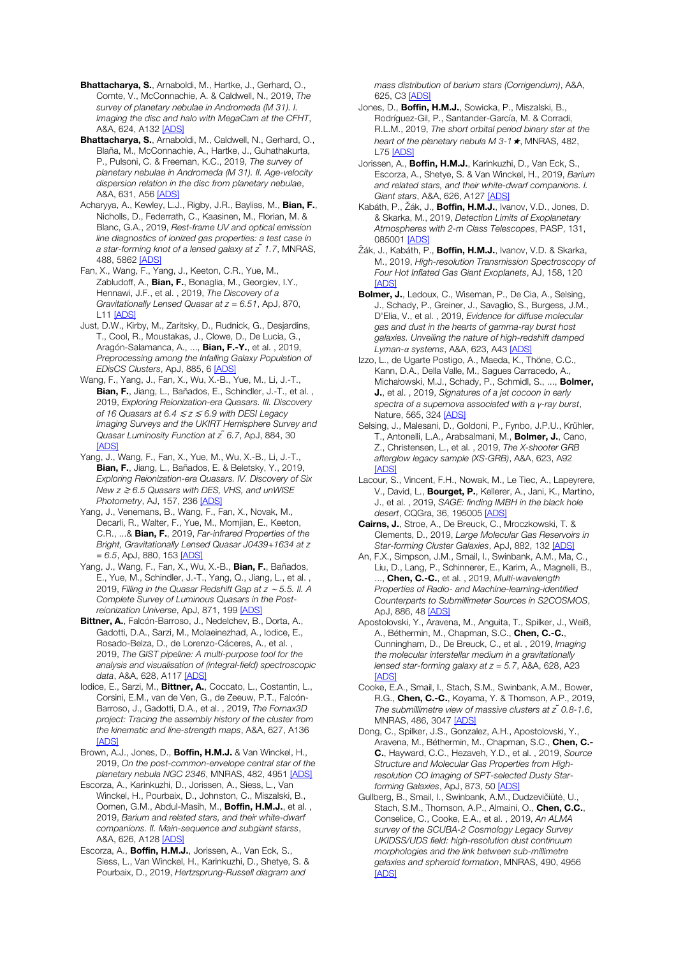Bhattacharya, S., Arnaboldi, M., Hartke, J., Gerhard, O., Comte, V., McConnachie, A. & Caldwell, N., 2019, *The survey of planetary nebulae in Andromeda (M 31). I. Imaging the disc and halo with MegaCam at the CFHT*, A&A, 624, A132 [ADS]

Bhattacharya, S., Arnaboldi, M., Caldwell, N., Gerhard, O., Blaña, M., McConnachie, A., Hartke, J., Guhathakurta, P., Pulsoni, C. & Freeman, K.C., 2019, *The survey of planetary nebulae in Andromeda (M 31). II. Age-velocity dispersion relation in the disc from planetary nebulae*, A&A, 631, A56 [ADS]

Acharyya, A., Kewley, L.J., Rigby, J.R., Bayliss, M., Bian, F., Nicholls, D., Federrath, C., Kaasinen, M., Florian, M. & Blanc, G.A., 2019, *Rest-frame UV and optical emission line diagnostics of ionized gas properties: a test case in a star-forming knot of a lensed galaxy at z ̃1.7*, MNRAS, 488, 5862 [ADS]

Fan, X., Wang, F., Yang, J., Keeton, C.R., Yue, M., Zabludoff, A., Bian, F., Bonaglia, M., Georgiev, I.Y., Hennawi, J.F., et al. , 2019, *The Discovery of a Gravitationally Lensed Quasar at z = 6.51*, ApJ, 870, **L11 [ADS]** 

Just, D.W., Kirby, M., Zaritsky, D., Rudnick, G., Desjardins, T., Cool, R., Moustakas, J., Clowe, D., De Lucia, G., Aragón-Salamanca, A., ..., **Bian, F.-Y.**, et al., 2019, *Preprocessing among the Infalling Galaxy Population of EDisCS Clusters*, ApJ, 885, 6 [ADS]

Wang, F., Yang, J., Fan, X., Wu, X.-B., Yue, M., Li, J.-T., Bian, F., Jiang, L., Bañados, E., Schindler, J.-T., et al. , 2019, *Exploring Reionization-era Quasars. III. Discovery of 16 Quasars at 6.4* <sup>≲</sup> *z* <sup>≲</sup> *6.9 with DESI Legacy Imaging Surveys and the UKIRT Hemisphere Survey and Quasar Luminosity Function at z ̃6.7*, ApJ, 884, 30 [ADS]

Yang, J., Wang, F., Fan, X., Yue, M., Wu, X.-B., Li, J.-T., Bian, F., Jiang, L., Bañados, E. & Beletsky, Y., 2019, *Exploring Reionization-era Quasars. IV. Discovery of Six New z* <sup>≳</sup> *6.5 Quasars with DES, VHS, and unWISE Photometry*, AJ, 157, 236 [ADS]

Yang, J., Venemans, B., Wang, F., Fan, X., Novak, M., Decarli, R., Walter, F., Yue, M., Momjian, E., Keeton, C.R., ...& Bian, F., 2019, *Far-infrared Properties of the Bright, Gravitationally Lensed Quasar J0439+1634 at z = 6.5*, ApJ, 880, 153 [ADS]

Yang, J., Wang, F., Fan, X., Wu, X.-B., Bian, F., Bañados, E., Yue, M., Schindler, J.-T., Yang, Q., Jiang, L., et al. , 2019, *Filling in the Quasar Redshift Gap at z* <sup>∼</sup> *5.5. II. A Complete Survey of Luminous Quasars in the Postreionization Universe*, ApJ, 871, 199 [ADS]

Bittner, A., Falcón-Barroso, J., Nedelchev, B., Dorta, A., Gadotti, D.A., Sarzi, M., Molaeinezhad, A., Iodice, E., Rosado-Belza, D., de Lorenzo-Cáceres, A., et al. , 2019, *The GIST pipeline: A multi-purpose tool for the analysis and visualisation of (integral-field) spectroscopic data*, A&A, 628, A117 [ADS]

Iodice, E., Sarzi, M., Bittner, A., Coccato, L., Costantin, L., Corsini, E.M., van de Ven, G., de Zeeuw, P.T., Falcón-Barroso, J., Gadotti, D.A., et al. , 2019, *The Fornax3D project: Tracing the assembly history of the cluster from the kinematic and line-strength maps*, A&A, 627, A136 [ADS]

Brown, A.J., Jones, D., Boffin, H.M.J. & Van Winckel, H., 2019, *On the post-common-envelope central star of the planetary nebula NGC 2346*, MNRAS, 482, 4951 [ADS]

Escorza, A., Karinkuzhi, D., Jorissen, A., Siess, L., Van Winckel, H., Pourbaix, D., Johnston, C., Miszalski, B., Oomen, G.M., Abdul-Masih, M., Boffin, H.M.J., et al., 2019, *Barium and related stars, and their white-dwarf companions. II. Main-sequence and subgiant starss*, A&A, 626, A128 [ADS]

Escorza, A., Boffin, H.M.J., Jorissen, A., Van Eck, S., Siess, L., Van Winckel, H., Karinkuzhi, D., Shetye, S. & Pourbaix, D., 2019, *Hertzsprung-Russell diagram and* 

*mass distribution of barium stars (Corrigendum)*, A&A, 625, C3 [ADS]

Jones, D., Boffin, H.M.J., Sowicka, P., Miszalski, B., Rodríguez-Gil, P., Santander-García, M. & Corradi, R.L.M., 2019, *The short orbital period binary star at the heart of the planetary nebula M 3-1*★, MNRAS, 482, **L75 [ADS]** 

Jorissen, A., Boffin, H.M.J., Karinkuzhi, D., Van Eck, S., Escorza, A., Shetye, S. & Van Winckel, H., 2019, *Barium and related stars, and their white-dwarf companions. I. Giant stars*, A&A, 626, A127 [ADS]

Kabáth, P., Žák, J., Boffin, H.M.J., Ivanov, V.D., Jones, D. & Skarka, M., 2019, *Detection Limits of Exoplanetary Atmospheres with 2-m Class Telescopes*, PASP, 131, 085001 [ADS]

Žák, J., Kabáth, P., **Boffin, H.M.J.**, Ivanov, V.D. & Skarka, M., 2019, *High-resolution Transmission Spectroscopy of Four Hot Inflated Gas Giant Exoplanets*, AJ, 158, 120 [ADS]

Bolmer, J., Ledoux, C., Wiseman, P., De Cia, A., Selsing. J., Schady, P., Greiner, J., Savaglio, S., Burgess, J.M., D'Elia, V., et al. , 2019, *Evidence for diffuse molecular gas and dust in the hearts of gamma-ray burst host galaxies. Unveiling the nature of high-redshift damped Lyman-α systems*, A&A, 623, A43 [ADS]

Izzo, L., de Ugarte Postigo, A., Maeda, K., Thöne, C.C., Kann, D.A., Della Valle, M., Sagues Carracedo, A., Michałowski, M.J., Schady, P., Schmidl, S., ..., Bolmer, J., et al. , 2019, *Signatures of a jet cocoon in early spectra of a supernova associated with a γ-ray burst*, Nature, 565, 324 [ADS]

Selsing, J., Malesani, D., Goldoni, P., Fynbo, J.P.U., Krühler, T., Antonelli, L.A., Arabsalmani, M., **Bolmer, J.**, Cano, Z., Christensen, L., et al. , 2019, *The X-shooter GRB afterglow legacy sample (XS-GRB)*, A&A, 623, A92 [ADS]

Lacour, S., Vincent, F.H., Nowak, M., Le Tiec, A., Lapeyrere, V., David, L., Bourget, P., Kellerer, A., Jani, K., Martino, J., et al. , 2019, *SAGE: finding IMBH in the black hole desert*, CQGra, 36, 195005 [ADS]

Cairns, J., Stroe, A., De Breuck, C., Mroczkowski, T. & Clements, D., 2019, *Large Molecular Gas Reservoirs in Star-forming Cluster Galaxies*, ApJ, 882, 132 [ADS]

An, F.X., Simpson, J.M., Smail, I., Swinbank, A.M., Ma, C. Liu, D., Lang, P., Schinnerer, E., Karim, A., Magnelli, B., ..., Chen, C.-C., et al. , 2019, *Multi-wavelength Properties of Radio- and Machine-learning-identified Counterparts to Submillimeter Sources in S2COSMOS*, ApJ, 886, 48 [ADS]

Apostolovski, Y., Aravena, M., Anguita, T., Spilker, J., Weiß, A., Béthermin, M., Chapman, S.C., Chen, C.-C., Cunningham, D., De Breuck, C., et al. , 2019, *Imaging the molecular interstellar medium in a gravitationally lensed star-forming galaxy at z = 5.7*, A&A, 628, A23 **[ADS]** 

Cooke, E.A., Smail, I., Stach, S.M., Swinbank, A.M., Bower, R.G., Chen, C.-C., Koyama, Y. & Thomson, A.P., 2019, *The submillimetre view of massive clusters at z ̃0.8-1.6*, MNRAS, 486, 3047 [ADS]

Dong, C., Spilker, J.S., Gonzalez, A.H., Apostolovski, Y., Aravena, M., Béthermin, M., Chapman, S.C., Chen, C.- C., Hayward, C.C., Hezaveh, Y.D., et al. , 2019, *Source Structure and Molecular Gas Properties from Highresolution CO Imaging of SPT-selected Dusty Starforming Galaxies*, ApJ, 873, 50 [ADS]

Gullberg, B., Smail, I., Swinbank, A.M., Dudzevičiūtė, U., Stach, S.M., Thomson, A.P., Almaini, O., Chen, C.C., Conselice, C., Cooke, E.A., et al. , 2019, *An ALMA survey of the SCUBA-2 Cosmology Legacy Survey UKIDSS/UDS field: high-resolution dust continuum morphologies and the link between sub-millimetre galaxies and spheroid formation*, MNRAS, 490, 4956 [ADS]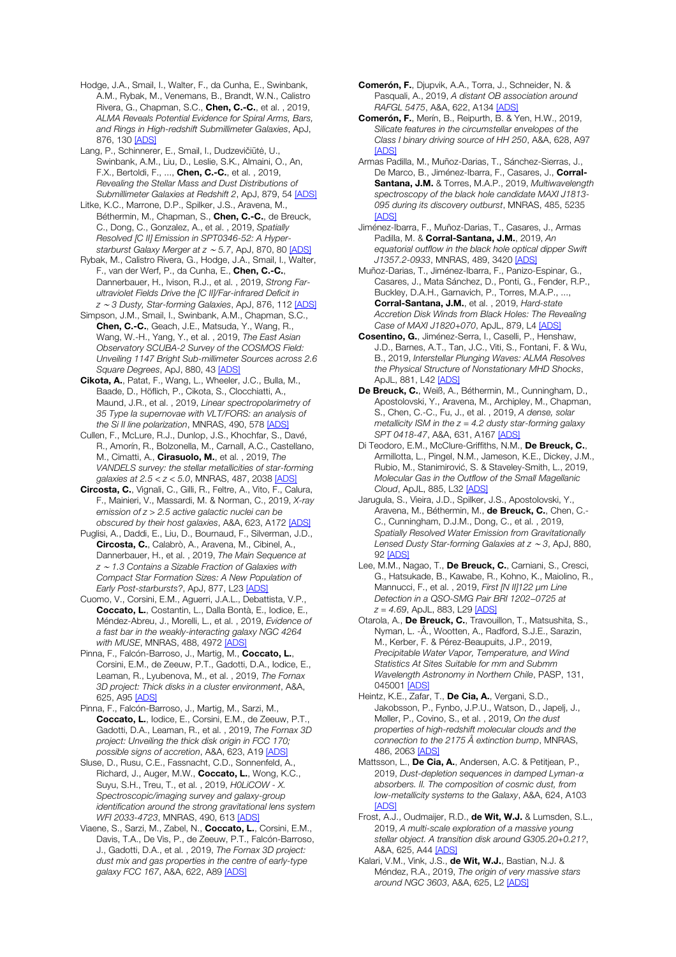Hodge, J.A., Smail, I., Walter, F., da Cunha, E., Swinbank, A.M., Rybak, M., Venemans, B., Brandt, W.N., Calistro Rivera, G., Chapman, S.C., Chen, C.-C., et al., 2019, *ALMA Reveals Potential Evidence for Spiral Arms, Bars, and Rings in High-redshift Submillimeter Galaxies*, ApJ, 876, 130 [ADS]

Lang, P., Schinnerer, E., Smail, I., Dudzevičiūtė, U., Swinbank, A.M., Liu, D., Leslie, S.K., Almaini, O., An, F.X., Bertoldi, F., ..., Chen. C.-C., et al., 2019. *Revealing the Stellar Mass and Dust Distributions of Submillimeter Galaxies at Redshift 2*, ApJ, 879, 54 [ADS]

Litke, K.C., Marrone, D.P., Spilker, J.S., Aravena, M., Béthermin, M., Chapman, S., Chen, C.-C., de Breuck, C., Dong, C., Gonzalez, A., et al. , 2019, *Spatially Resolved [C II] Emission in SPT0346-52: A Hyperstarburst Galaxy Merger at z* <sup>∼</sup> *5.7*, ApJ, 870, 80 [ADS]

Rybak, M., Calistro Rivera, G., Hodge, J.A., Smail, I., Walter, F., van der Werf, P., da Cunha, E., Chen, C.-C., Dannerbauer, H., Ivison, R.J., et al. , 2019, *Strong Farultraviolet Fields Drive the [C II]/Far-infrared Deficit in z* <sup>∼</sup> *3 Dusty, Star-forming Galaxies*, ApJ, 876, 112 [ADS]

Simpson, J.M., Smail, I., Swinbank, A.M., Chapman, S.C., Chen, C.-C., Geach, J.E., Matsuda, Y., Wang, R., Wang, W.-H., Yang, Y., et al. , 2019, *The East Asian Observatory SCUBA-2 Survey of the COSMOS Field: Unveiling 1147 Bright Sub-millimeter Sources across 2.6 Square Degrees*, ApJ, 880, 43 [ADS]

Cikota, A., Patat, F., Wang, L., Wheeler, J.C., Bulla, M., Baade, D., Höflich, P., Cikota, S., Clocchiatti, A., Maund, J.R., et al. , 2019, *Linear spectropolarimetry of 35 Type Ia supernovae with VLT/FORS: an analysis of the Si II line polarization*, MNRAS, 490, 578 [ADS]

Cullen, F., McLure, R.J., Dunlop, J.S., Khochfar, S., Davé, R., Amorín, R., Bolzonella, M., Carnall, A.C., Castellano, M., Cimatti, A., Cirasuolo, M., et al. , 2019, *The VANDELS survey: the stellar metallicities of star-forming galaxies at 2.5 < z < 5.0*, MNRAS, 487, 2038 [ADS]

Circosta, C., Vignali, C., Gilli, R., Feltre, A., Vito, F., Calura, F., Mainieri, V., Massardi, M. & Norman, C., 2019, *X-ray emission of z > 2.5 active galactic nuclei can be obscured by their host galaxies*, A&A, 623, A172 [ADS]

Puglisi, A., Daddi, E., Liu, D., Bournaud, F., Silverman, J.D., Circosta, C., Calabrò, A., Aravena, M., Cibinel, A., Dannerbauer, H., et al. , 2019, *The Main Sequence at z* <sup>∼</sup> *1.3 Contains a Sizable Fraction of Galaxies with Compact Star Formation Sizes: A New Population of Early Post-starbursts?*, ApJ, 877, L23 [ADS]

Cuomo, V., Corsini, E.M., Aguerri, J.A.L., Debattista, V.P., Coccato, L., Costantin, L., Dalla Bontà, E., Iodice, E., Méndez-Abreu, J., Morelli, L., et al. , 2019, *Evidence of a fast bar in the weakly-interacting galaxy NGC 4264 with MUSE*, MNRAS, 488, 4972 [ADS]

Pinna, F., Falcón-Barroso, J., Martig, M., Coccato, L., Corsini, E.M., de Zeeuw, P.T., Gadotti, D.A., Iodice, E., Leaman, R., Lyubenova, M., et al. , 2019, *The Fornax 3D project: Thick disks in a cluster environment*, A&A, 625, A95 [ADS]

Pinna, F., Falcón-Barroso, J., Martig, M., Sarzi, M., Coccato, L., Iodice, E., Corsini, E.M., de Zeeuw, P.T., Gadotti, D.A., Leaman, R., et al. , 2019, *The Fornax 3D project: Unveiling the thick disk origin in FCC 170; possible signs of accretion*, A&A, 623, A19 [ADS]

Sluse, D., Rusu, C.E., Fassnacht, C.D., Sonnenfeld, A., Richard, J., Auger, M.W., Coccato, L., Wong, K.C., Suyu, S.H., Treu, T., et al. , 2019, *H0LiCOW - X. Spectroscopic/imaging survey and galaxy-group identification around the strong gravitational lens system WFI 2033-4723*, MNRAS, 490, 613 [ADS]

Viaene, S., Sarzi, M., Zabel, N., Coccato, L., Corsini, E.M., Davis, T.A., De Vis, P., de Zeeuw, P.T., Falcón-Barroso, J., Gadotti, D.A., et al. , 2019, *The Fornax 3D project: dust mix and gas properties in the centre of early-type galaxy FCC 167*, A&A, 622, A89 [ADS]

Comerón, F., Djupvik, A.A., Torra, J., Schneider, N. & Pasquali, A., 2019, *A distant OB association around RAFGL 5475*, A&A, 622, A134 [ADS]

Comerón, F., Merín, B., Reipurth, B. & Yen, H.W., 2019, *Silicate features in the circumstellar envelopes of the Class I binary driving source of HH 250*, A&A, 628, A97 [ADS]

Armas Padilla, M., Muñoz-Darias, T., Sánchez-Sierras, J., De Marco, B., Jiménez-Ibarra, F., Casares, J., Corral-Santana, J.M. & Torres, M.A.P., 2019, *Multiwavelength spectroscopy of the black hole candidate MAXI J1813- 095 during its discovery outburst*, MNRAS, 485, 5235 [ADS]

Jiménez-Ibarra, F., Muñoz-Darias, T., Casares, J., Armas Padilla, M. & Corral-Santana, J.M., 2019, *An equatorial outflow in the black hole optical dipper Swift J1357.2-0933*, MNRAS, 489, 3420 [ADS]

Muñoz-Darias, T., Jiménez-Ibarra, F., Panizo-Espinar, G., Casares, J., Mata Sánchez, D., Ponti, G., Fender, R.P., Buckley, D.A.H., Garnavich, P., Torres, M.A.P., ..., Corral-Santana, J.M., et al. , 2019, *Hard-state Accretion Disk Winds from Black Holes: The Revealing Case of MAXI J1820+070*, ApJL, 879, L4 [ADS]

Cosentino, G., Jiménez-Serra, I., Caselli, P., Henshaw, J.D., Barnes, A.T., Tan, J.C., Viti, S., Fontani, F. & Wu, B., 2019, *Interstellar Plunging Waves: ALMA Resolves the Physical Structure of Nonstationary MHD Shocks*, ApJL, 881, L42 [ADS]

De Breuck, C., Weiß, A., Béthermin, M., Cunningham, D., Apostolovski, Y., Aravena, M., Archipley, M., Chapman, S., Chen, C.-C., Fu, J., et al. , 2019, *A dense, solar metallicity ISM in the z = 4.2 dusty star-forming galaxy SPT 0418-47*, A&A, 631, A167 [ADS]

Di Teodoro, E.M., McClure-Griffiths, N.M., De Breuck, C., Armillotta, L., Pingel, N.M., Jameson, K.E., Dickey, J.M., Rubio, M., Stanimirović, S. & Staveley-Smith, L., 2019, *Molecular Gas in the Outflow of the Small Magellanic Cloud*, ApJL, 885, L32 [ADS]

Jarugula, S., Vieira, J.D., Spilker, J.S., Apostolovski, Y., Aravena, M., Béthermin, M., de Breuck, C., Chen, C.-C., Cunningham, D.J.M., Dong, C., et al. , 2019, *Spatially Resolved Water Emission from Gravitationally Lensed Dusty Star-forming Galaxies at z* <sup>∼</sup> *3*, ApJ, 880, 92 [ADS]

Lee, M.M., Nagao, T., De Breuck, C., Carniani, S., Cresci, G., Hatsukade, B., Kawabe, R., Kohno, K., Maiolino, R., Mannucci, F., et al. , 2019, *First [N II]122* μ*m Line Detection in a QSO-SMG Pair BRI 1202*−*0725 at z = 4.69*, ApJL, 883, L29 [ADS]

Otarola, A., De Breuck, C., Travouillon, T., Matsushita, S., Nyman, L. -Å., Wootten, A., Radford, S.J.E., Sarazin, M., Kerber, F. & Pérez-Beaupuits, J.P., 2019, *Precipitable Water Vapor, Temperature, and Wind Statistics At Sites Suitable for mm and Submm Wavelength Astronomy in Northern Chile*, PASP, 131, 045001 [ADS]

Heintz, K.E., Zafar, T., De Cia, A., Vergani, S.D., Jakobsson, P., Fynbo, J.P.U., Watson, D., Japelj, J., Møller, P., Covino, S., et al. , 2019, *On the dust properties of high-redshift molecular clouds and the connection to the 2175 Å extinction bump*, MNRAS, 486, 2063 [ADS]

Mattsson, L., De Cia, A., Andersen, A.C. & Petitjean, P., 2019, *Dust-depletion sequences in damped Lyman-α absorbers. II. The composition of cosmic dust, from low-metallicity systems to the Galaxy*, A&A, 624, A103 [ADS]

Frost, A.J., Oudmaijer, R.D., de Wit, W.J. & Lumsden, S.L., 2019, *A multi-scale exploration of a massive young stellar object. A transition disk around G305.20+0.21?*, A&A, 625, A44 [ADS]

Kalari, V.M., Vink, J.S., de Wit, W.J., Bastian, N.J. & Méndez, R.A., 2019, *The origin of very massive stars around NGC 3603*, A&A, 625, L2 [ADS]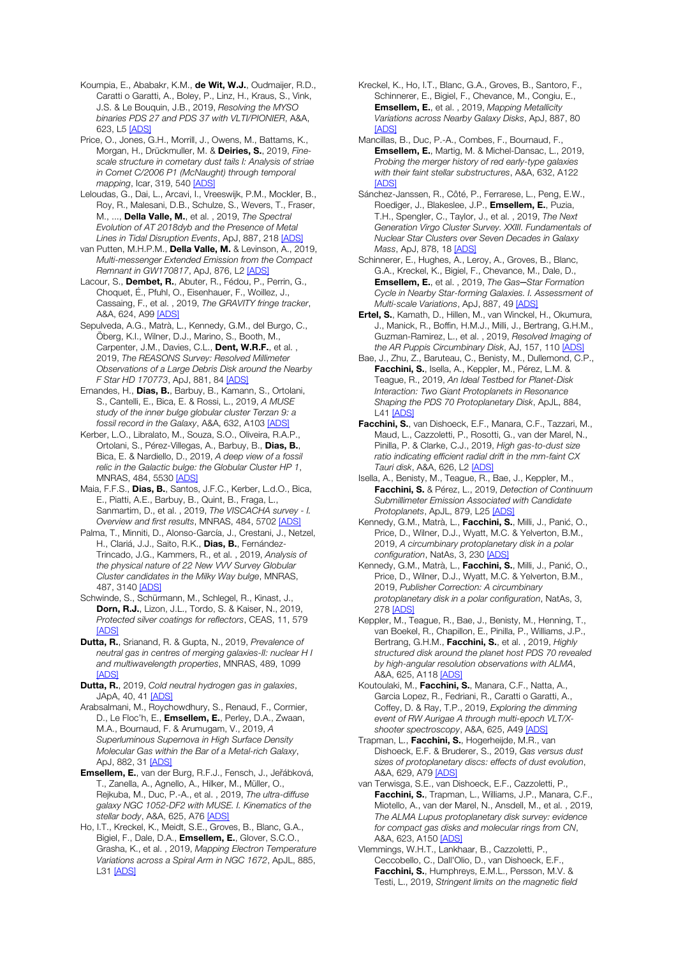Koumpia, E., Ababakr, K.M., de Wit, W.J., Oudmaijer, R.D., Caratti o Garatti, A., Boley, P., Linz, H., Kraus, S., Vink, J.S. & Le Bouquin, J.B., 2019, *Resolving the MYSO binaries PDS 27 and PDS 37 with VLTI/PIONIER*, A&A, 623, L5 [ADS]

Price, O., Jones, G.H., Morrill, J., Owens, M., Battams, K., Morgan, H., Drückmuller, M. & Deiries, S., 2019, *Finescale structure in cometary dust tails I: Analysis of striae in Comet C/2006 P1 (McNaught) through temporal mapping*, Icar, 319, 540 [ADS]

Leloudas, G., Dai, L., Arcavi, I., Vreeswijk, P.M., Mockler, B., Roy, R., Malesani, D.B., Schulze, S., Wevers, T., Fraser, M., ..., Della Valle, M., et al. , 2019, *The Spectral Evolution of AT 2018dyb and the Presence of Metal Lines in Tidal Disruption Events*, ApJ, 887, 218 [ADS]

van Putten, M.H.P.M., Della Valle, M. & Levinson, A., 2019, *Multi-messenger Extended Emission from the Compact Remnant in GW170817*, ApJ, 876, L2 [ADS]

Lacour, S., Dembet, R., Abuter, R., Fédou, P., Perrin, G., Choquet, É., Pfuhl, O., Eisenhauer, F., Woillez, J., Cassaing, F., et al. , 2019, *The GRAVITY fringe tracker*, A&A, 624, A99 [ADS]

Sepulveda, A.G., Matrà, L., Kennedy, G.M., del Burgo, C., Öberg, K.I., Wilner, D.J., Marino, S., Booth, M., Carpenter, J.M., Davies, C.L., Dent, W.R.F., et al., 2019, *The REASONS Survey: Resolved Millimeter Observations of a Large Debris Disk around the Nearby F Star HD 170773*, ApJ, 881, 84 [ADS]

Ernandes, H., Dias, B., Barbuy, B., Kamann, S., Ortolani, S., Cantelli, E., Bica, E. & Rossi, L., 2019, *A MUSE study of the inner bulge globular cluster Terzan 9: a fossil record in the Galaxy*, A&A, 632, A103 [ADS]

Kerber, L.O., Libralato, M., Souza, S.O., Oliveira, R.A.P., Ortolani, S., Pérez-Villegas, A., Barbuy, B., Dias, B., Bica, E. & Nardiello, D., 2019, *A deep view of a fossil relic in the Galactic bulge: the Globular Cluster HP 1*, MNRAS, 484, 5530 [ADS]

Maia, F.F.S., Dias, B., Santos, J.F.C., Kerber, L.d.O., Bica, E., Piatti, A.E., Barbuy, B., Quint, B., Fraga, L., Sanmartim, D., et al. , 2019, *The VISCACHA survey - I. Overview and first results*, MNRAS, 484, 5702 [ADS]

Palma, T., Minniti, D., Alonso-García, J., Crestani, J., Netzel, H., Clariá, J.J., Saito, R.K., Dias, B., Fernández-Trincado, J.G., Kammers, R., et al. , 2019, *Analysis of the physical nature of 22 New VVV Survey Globular Cluster candidates in the Milky Way bulge*, MNRAS, 487, 3140 [ADS]

Schwinde, S., Schürmann, M., Schlegel, R., Kinast, J., Dorn, R.J., Lizon, J.L., Tordo, S. & Kaiser, N., 2019, *Protected silver coatings for reflectors*, CEAS, 11, 579 [ADS]

Dutta, R., Srianand, R. & Gupta, N., 2019, *Prevalence of neutral gas in centres of merging galaxies-II: nuclear H I and multiwavelength properties*, MNRAS, 489, 1099 [ADS]

Dutta, R., 2019, *Cold neutral hydrogen gas in galaxies*, JApA, 40, 41 [ADS]

Arabsalmani, M., Roychowdhury, S., Renaud, F., Cormier, D., Le Floc'h, E., **Emsellem, E.**, Perley, D.A., Zwaan, M.A., Bournaud, F. & Arumugam, V., 2019, *A Superluminous Supernova in High Surface Density Molecular Gas within the Bar of a Metal-rich Galaxy*, ApJ, 882, 31 [ADS]

Emsellem, E., van der Burg, R.F.J., Fensch, J., Jeřábková, T., Zanella, A., Agnello, A., Hilker, M., Müller, O., Rejkuba, M., Duc, P.-A., et al. , 2019, *The ultra-diffuse galaxy NGC 1052-DF2 with MUSE. I. Kinematics of the stellar body*, A&A, 625, A76 [ADS]

Ho, I.T., Kreckel, K., Meidt, S.E., Groves, B., Blanc, G.A., Bigiel, F., Dale, D.A., Emsellem, E., Glover, S.C.O., Grasha, K., et al. , 2019, *Mapping Electron Temperature Variations across a Spiral Arm in NGC 1672*, ApJL, 885, L31 [ADS]

Kreckel, K., Ho, I.T., Blanc, G.A., Groves, B., Santoro, F., Schinnerer, E., Bigiel, F., Chevance, M., Congiu, E., Emsellem, E., et al. , 2019, *Mapping Metallicity Variations across Nearby Galaxy Disks*, ApJ, 887, 80 **[ADS]** 

Mancillas, B., Duc, P.-A., Combes, F., Bournaud, F., Emsellem, E., Martig, M. & Michel-Dansac, L., 2019, *Probing the merger history of red early-type galaxies with their faint stellar substructures*, A&A, 632, A122 **[ADS]** 

Sánchez-Janssen, R., Côté, P., Ferrarese, L., Peng, E.W., Roediger, J., Blakeslee, J.P., Emsellem, E., Puzia, T.H., Spengler, C., Taylor, J., et al. , 2019, *The Next Generation Virgo Cluster Survey. XXIII. Fundamentals of Nuclear Star Clusters over Seven Decades in Galaxy Mass*, ApJ, 878, 18 [ADS]

Schinnerer, E., Hughes, A., Leroy, A., Groves, B., Blanc, G.A., Kreckel, K., Bigiel, F., Chevance, M., Dale, D., Emsellem, E., et al. , 2019, *The Gas─Star Formation Cycle in Nearby Star-forming Galaxies. I. Assessment of Multi-scale Variations*, ApJ, 887, 49 [ADS]

Ertel, S., Kamath, D., Hillen, M., van Winckel, H., Okumura, J., Manick, R., Boffin, H.M.J., Milli, J., Bertrang, G.H.M., Guzman-Ramirez, L., et al. , 2019, *Resolved Imaging of the AR Puppis Circumbinary Disk*, AJ, 157, 110 [ADS]

Bae, J., Zhu, Z., Baruteau, C., Benisty, M., Dullemond, C.P., Facchini, S., Isella, A., Keppler, M., Pérez, L.M. & Teague, R., 2019, *An Ideal Testbed for Planet-Disk Interaction: Two Giant Protoplanets in Resonance Shaping the PDS 70 Protoplanetary Disk*, ApJL, 884, L41 [ADS]

Facchini, S., van Dishoeck, E.F., Manara, C.F., Tazzari, M., Maud, L., Cazzoletti, P., Rosotti, G., van der Marel, N., Pinilla, P. & Clarke, C.J., 2019, *High gas-to-dust size ratio indicating efficient radial drift in the mm-faint CX Tauri disk*, A&A, 626, L2 [ADS]

Isella, A., Benisty, M., Teague, R., Bae, J., Keppler, M., Facchini, S. & Pérez, L., 2019, *Detection of Continuum Submillimeter Emission Associated with Candidate Protoplanets*, ApJL, 879, L25 [ADS]

Kennedy, G.M., Matrà, L., Facchini, S., Milli, J., Panić, O., Price, D., Wilner, D.J., Wyatt, M.C. & Yelverton, B.M., 2019, *A circumbinary protoplanetary disk in a polar configuration*, NatAs, 3, 230 [ADS]

Kennedy, G.M., Matrà, L., Facchini, S., Milli, J., Panić, O., Price, D., Wilner, D.J., Wyatt, M.C. & Yelverton, B.M., 2019, *Publisher Correction: A circumbinary protoplanetary disk in a polar configuration*, NatAs, 3, 278 [ADS]

Keppler, M., Teague, R., Bae, J., Benisty, M., Henning, T., van Boekel, R., Chapillon, E., Pinilla, P., Williams, J.P., Bertrang, G.H.M., Facchini, S., et al. , 2019, *Highly structured disk around the planet host PDS 70 revealed by high-angular resolution observations with ALMA*, A&A, 625, A118 [ADS]

Koutoulaki, M., Facchini, S., Manara, C.F., Natta, A., Garcia Lopez, R., Fedriani, R., Caratti o Garatti, A., Coffey, D. & Ray, T.P., 2019, *Exploring the dimming event of RW Aurigae A through multi-epoch VLT/Xshooter spectroscopy*, A&A, 625, A49 [ADS]

Trapman, L., Facchini, S., Hogerheijde, M.R., van Dishoeck, E.F. & Bruderer, S., 2019, *Gas versus dust sizes of protoplanetary discs: effects of dust evolution*, A&A, 629, A79 [ADS]

van Terwisga, S.E., van Dishoeck, E.F., Cazzoletti, P., Facchini, S., Trapman, L., Williams, J.P., Manara, C.F., Miotello, A., van der Marel, N., Ansdell, M., et al. , 2019, *The ALMA Lupus protoplanetary disk survey: evidence for compact gas disks and molecular rings from CN*, A&A, 623, A150 [ADS]

Vlemmings, W.H.T., Lankhaar, B., Cazzoletti, P., Ceccobello, C., Dall'Olio, D., van Dishoeck, E.F., Facchini, S., Humphreys, E.M.L., Persson, M.V. & Testi, L., 2019, *Stringent limits on the magnetic field*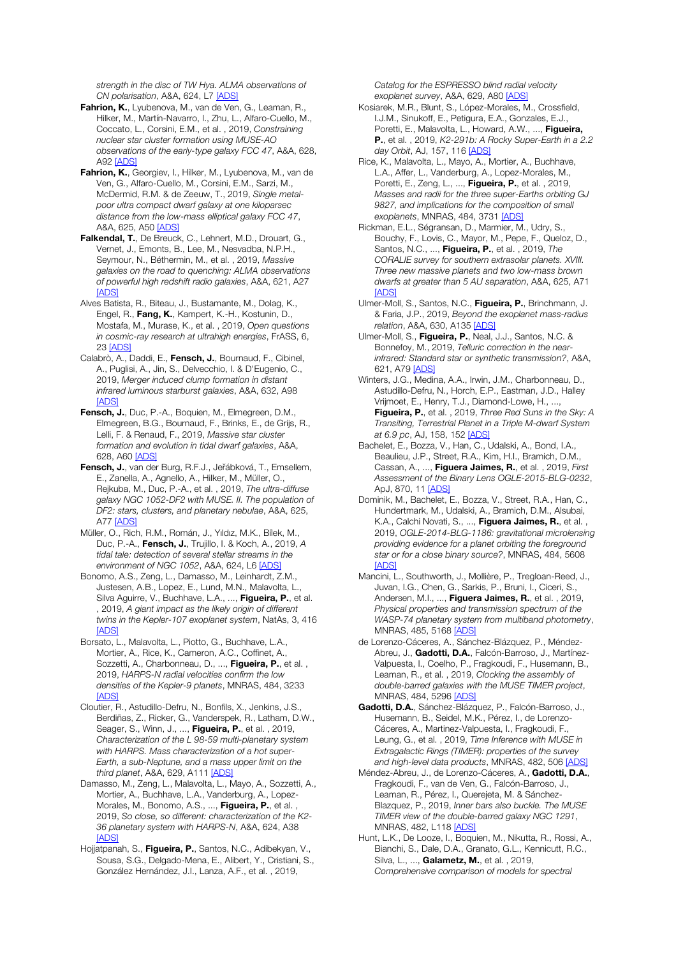*strength in the disc of TW Hya. ALMA observations of CN polarisation*, A&A, 624, L7 [ADS]

- Fahrion, K., Lyubenova, M., van de Ven, G., Leaman, R., Hilker, M., Martín-Navarro, I., Zhu, L., Alfaro-Cuello, M., Coccato, L., Corsini, E.M., et al. , 2019, *Constraining nuclear star cluster formation using MUSE-AO observations of the early-type galaxy FCC 47*, A&A, 628, A92 [ADS]
- Fahrion, K., Georgiev, I., Hilker, M., Lyubenova, M., van de Ven, G., Alfaro-Cuello, M., Corsini, E.M., Sarzi, M., McDermid, R.M. & de Zeeuw, T., 2019, *Single metalpoor ultra compact dwarf galaxy at one kiloparsec distance from the low-mass elliptical galaxy FCC 47*, A&A, 625, A50 [ADS]
- Falkendal, T., De Breuck, C., Lehnert, M.D., Drouart, G., Vernet, J., Emonts, B., Lee, M., Nesvadba, N.P.H., Seymour, N., Béthermin, M., et al. , 2019, *Massive galaxies on the road to quenching: ALMA observations of powerful high redshift radio galaxies*, A&A, 621, A27 [ADS]
- Alves Batista, R., Biteau, J., Bustamante, M., Dolag, K., Engel, R., Fang, K., Kampert, K.-H., Kostunin, D., Mostafa, M., Murase, K., et al. , 2019, *Open questions in cosmic-ray research at ultrahigh energies*, FrASS, 6, 23 [ADS]
- Calabrò, A., Daddi, E., Fensch, J., Bournaud, F., Cibinel, A., Puglisi, A., Jin, S., Delvecchio, I. & D'Eugenio, C., 2019, *Merger induced clump formation in distant infrared luminous starburst galaxies*, A&A, 632, A98 **[ADS**
- Fensch, J., Duc, P.-A., Boquien, M., Elmegreen, D.M., Elmegreen, B.G., Bournaud, F., Brinks, E., de Grijs, R., Lelli, F. & Renaud, F., 2019, *Massive star cluster formation and evolution in tidal dwarf galaxies*, A&A, 628, A60 [ADS]
- Fensch, J., van der Burg, R.F.J., Jeřábková, T., Emsellem, E., Zanella, A., Agnello, A., Hilker, M., Müller, O., Rejkuba, M., Duc, P.-A., et al. , 2019, *The ultra-diffuse galaxy NGC 1052-DF2 with MUSE. II. The population of DF2: stars, clusters, and planetary nebulae*, A&A, 625, A77 [ADS]
- Müller, O., Rich, R.M., Román, J., Yıldız, M.K., Bílek, M., Duc, P.-A., Fensch, J., Trujillo, I. & Koch, A., 2019, *A tidal tale: detection of several stellar streams in the environment of NGC 1052*, A&A, 624, L6 [ADS]
- Bonomo, A.S., Zeng, L., Damasso, M., Leinhardt, Z.M., Justesen, A.B., Lopez, E., Lund, M.N., Malavolta, L., Silva Aguirre, V., Buchhave, L.A., ..., Figueira, P., et al. , 2019, *A giant impact as the likely origin of different twins in the Kepler-107 exoplanet system*, NatAs, 3, 416 [ADS]
- Borsato, L., Malavolta, L., Piotto, G., Buchhave, L.A., Mortier, A., Rice, K., Cameron, A.C., Coffinet, A., Sozzetti, A., Charbonneau, D., ..., Figueira, P., et al., 2019, *HARPS-N radial velocities confirm the low densities of the Kepler-9 planets*, MNRAS, 484, 3233 [ADS]
- Cloutier, R., Astudillo-Defru, N., Bonfils, X., Jenkins, J.S., Berdiñas, Z., Ricker, G., Vanderspek, R., Latham, D.W., Seager, S., Winn, J., ..., Figueira, P., et al., 2019, *Characterization of the L 98-59 multi-planetary system with HARPS. Mass characterization of a hot super-Earth, a sub-Neptune, and a mass upper limit on the third planet*, A&A, 629, A111 [ADS]
- Damasso, M., Zeng, L., Malavolta, L., Mayo, A., Sozzetti, A., Mortier, A., Buchhave, L.A., Vanderburg, A., Lopez-Morales, M., Bonomo, A.S., ..., Figueira, P., et al., 2019, *So close, so different: characterization of the K2- 36 planetary system with HARPS-N*, A&A, 624, A38 [ADS]
- Hojjatpanah, S., Figueira, P., Santos, N.C., Adibekyan, V., Sousa, S.G., Delgado-Mena, E., Alibert, Y., Cristiani, S., González Hernández, J.I., Lanza, A.F., et al. , 2019,

*Catalog for the ESPRESSO blind radial velocity exoplanet survey*, A&A, 629, A80 [ADS]

- Kosiarek, M.R., Blunt, S., López-Morales, M., Crossfield, I.J.M., Sinukoff, E., Petigura, E.A., Gonzales, E.J., Poretti, E., Malavolta, L., Howard, A.W., ..., Figueira, P., et al. , 2019, *K2-291b: A Rocky Super-Earth in a 2.2 day Orbit*, AJ, 157, 116 [ADS]
- Rice, K., Malavolta, L., Mayo, A., Mortier, A., Buchhave, L.A., Affer, L., Vanderburg, A., Lopez-Morales, M., Poretti, E., Zeng, L., ..., Figueira, P., et al., 2019, *Masses and radii for the three super-Earths orbiting GJ 9827, and implications for the composition of small exoplanets*, MNRAS, 484, 3731 [ADS]
- Rickman, E.L., Ségransan, D., Marmier, M., Udry, S., Bouchy, F., Lovis, C., Mayor, M., Pepe, F., Queloz, D., Santos, N.C., ..., Figueira, P., et al. , 2019, *The CORALIE survey for southern extrasolar planets. XVIII. Three new massive planets and two low-mass brown dwarfs at greater than 5 AU separation*, A&A, 625, A71 [ADS]
- Ulmer-Moll, S., Santos, N.C., Figueira, P., Brinchmann, J. & Faria, J.P., 2019, *Beyond the exoplanet mass-radius relation*, A&A, 630, A135 [ADS]
- Ulmer-Moll, S., Figueira, P., Neal, J.J., Santos, N.C. & Bonnefoy, M., 2019, *Telluric correction in the nearinfrared: Standard star or synthetic transmission?*, A&A, 621, A79 [ADS]
- Winters, J.G., Medina, A.A., Irwin, J.M., Charbonneau, D., Astudillo-Defru, N., Horch, E.P., Eastman, J.D., Halley Vrijmoet, E., Henry, T.J., Diamond-Lowe, H., ..., Figueira, P., et al. , 2019, *Three Red Suns in the Sky: A Transiting, Terrestrial Planet in a Triple M-dwarf System at 6.9 pc*, AJ, 158, 152 [ADS]
- Bachelet, E., Bozza, V., Han, C., Udalski, A., Bond, I.A., Beaulieu, J.P., Street, R.A., Kim, H.I., Bramich, D.M., Cassan, A., ..., Figuera Jaimes, R., et al. , 2019, *First Assessment of the Binary Lens OGLE-2015-BLG-0232*, ApJ, 870, 11 [ADS]
- Dominik, M., Bachelet, E., Bozza, V., Street, R.A., Han, C., Hundertmark, M., Udalski, A., Bramich, D.M., Alsubai, K.A., Calchi Novati, S., ..., Figuera Jaimes, R., et al., 2019, *OGLE-2014-BLG-1186: gravitational microlensing providing evidence for a planet orbiting the foreground star or for a close binary source?*, MNRAS, 484, 5608 **[ADS]**
- Mancini, L., Southworth, J., Mollière, P., Tregloan-Reed, J., Juvan, I.G., Chen, G., Sarkis, P., Bruni, I., Ciceri, S., Andersen, M.I., ..., Figuera Jaimes, R., et al., 2019, *Physical properties and transmission spectrum of the WASP-74 planetary system from multiband photometry*, MNRAS, 485, 5168 [ADS]
- de Lorenzo-Cáceres, A., Sánchez-Blázquez, P., Méndez-Abreu, J., Gadotti, D.A., Falcón-Barroso, J., Martínez-Valpuesta, I., Coelho, P., Fragkoudi, F., Husemann, B., Leaman, R., et al. , 2019, *Clocking the assembly of double-barred galaxies with the MUSE TIMER project*, MNRAS, 484, 5296 [ADS]
- Gadotti, D.A., Sánchez-Blázquez, P., Falcón-Barroso, J., Husemann, B., Seidel, M.K., Pérez, I., de Lorenzo-Cáceres, A., Martinez-Valpuesta, I., Fragkoudi, F., Leung, G., et al. , 2019, *Time Inference with MUSE in Extragalactic Rings (TIMER): properties of the survey and high-level data products*, MNRAS, 482, 506 [ADS]
- Méndez-Abreu, J., de Lorenzo-Cáceres, A., Gadotti, D.A., Fragkoudi, F., van de Ven, G., Falcón-Barroso, J., Leaman, R., Pérez, I., Querejeta, M. & Sánchez-Blazquez, P., 2019, *Inner bars also buckle. The MUSE TIMER view of the double-barred galaxy NGC 1291*, MNRAS, 482, L118 [ADS]
- Hunt, L.K., De Looze, I., Boquien, M., Nikutta, R., Rossi, A., Bianchi, S., Dale, D.A., Granato, G.L., Kennicutt, R.C., Silva, L., ..., Galametz, M., et al., 2019, *Comprehensive comparison of models for spectral*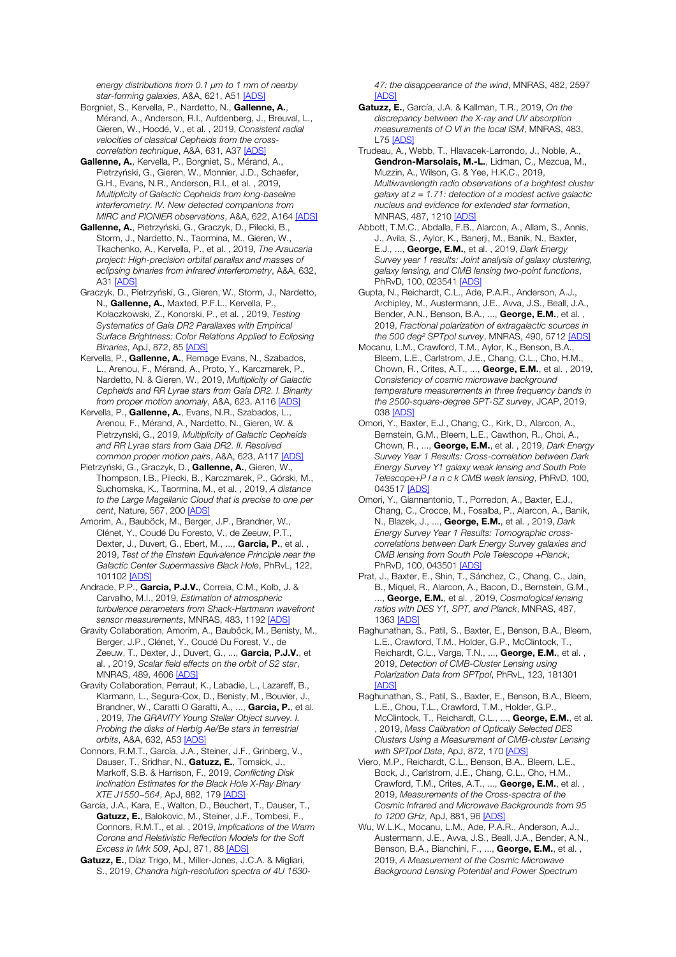*energy distributions from 0.1* μ*m to 1 mm of nearby star-forming galaxies*, A&A, 621, A51 [ADS]

Borgniet, S., Kervella, P., Nardetto, N., Gallenne, A., Mérand, A., Anderson, R.I., Aufdenberg, J., Breuval, L., Gieren, W., Hocdé, V., et al. , 2019, *Consistent radial velocities of classical Cepheids from the crosscorrelation technique*, A&A, 631, A37 [ADS]

Gallenne, A., Kervella, P., Borgniet, S., Mérand, A., Pietrzyński, G., Gieren, W., Monnier, J.D., Schaefer, G.H., Evans, N.R., Anderson, R.I., et al. , 2019, *Multiplicity of Galactic Cepheids from long-baseline interferometry. IV. New detected companions from MIRC and PIONIER observations*, A&A, 622, A164 [ADS]

Gallenne, A., Pietrzyński, G., Graczyk, D., Pilecki, B., Storm, J., Nardetto, N., Taormina, M., Gieren, W., Tkachenko, A., Kervella, P., et al. , 2019, *The Araucaria project: High-precision orbital parallax and masses of eclipsing binaries from infrared interferometry*, A&A, 632, A31 **[ADS]** 

Graczyk, D., Pietrzyński, G., Gieren, W., Storm, J., Nardetto, N., Gallenne, A., Maxted, P.F.L., Kervella, P., Kołaczkowski, Z., Konorski, P., et al. , 2019, *Testing Systematics of Gaia DR2 Parallaxes with Empirical Surface Brightness: Color Relations Applied to Eclipsing Binaries*, ApJ, 872, 85 [ADS]

Kervella, P., Gallenne, A., Remage Evans, N., Szabados, L., Arenou, F., Mérand, A., Proto, Y., Karczmarek, P., Nardetto, N. & Gieren, W., 2019, *Multiplicity of Galactic Cepheids and RR Lyrae stars from Gaia DR2. I. Binarity from proper motion anomaly*, A&A, 623, A116 [ADS]

Kervella, P., Gallenne, A., Evans, N.R., Szabados, L., Arenou, F., Mérand, A., Nardetto, N., Gieren, W. & Pietrzynski, G., 2019, *Multiplicity of Galactic Cepheids and RR Lyrae stars from Gaia DR2. II. Resolved common proper motion pairs*, A&A, 623, A117 [ADS]

Pietrzyński, G., Graczyk, D., Gallenne, A., Gieren, W., Thompson, I.B., Pilecki, B., Karczmarek, P., Górski, M., Suchomska, K., Taormina, M., et al. , 2019, *A distance to the Large Magellanic Cloud that is precise to one per cent*, Nature, 567, 200 [ADS]

Amorim, A., Bauböck, M., Berger, J.P., Brandner, W., Clénet, Y., Coudé Du Foresto, V., de Zeeuw, P.T., Dexter, J., Duvert, G., Ebert, M., ..., Garcia, P., et al. 2019, *Test of the Einstein Equivalence Principle near the Galactic Center Supermassive Black Hole*, PhRvL, 122, 101102 [ADS]

Andrade, P.P., Garcia, P.J.V., Correia, C.M., Kolb, J. & Carvalho, M.I., 2019, *Estimation of atmospheric turbulence parameters from Shack-Hartmann wavefront sensor measurements*, MNRAS, 483, 1192 [ADS]

Gravity Collaboration, Amorim, A., Bauböck, M., Benisty, M., Berger, J.P., Clénet, Y., Coudé Du Forest, V., de Zeeuw, T., Dexter, J., Duvert, G., ..., Garcia, P.J.V., et al. , 2019, *Scalar field effects on the orbit of S2 star*, MNRAS, 489, 4606 [ADS]

Gravity Collaboration, Perraut, K., Labadie, L., Lazareff, B., Klarmann, L., Segura-Cox, D., Benisty, M., Bouvier, J., Brandner, W., Caratti O Garatti, A., ..., Garcia, P., et al. , 2019, *The GRAVITY Young Stellar Object survey. I. Probing the disks of Herbig Ae/Be stars in terrestrial orbits*, A&A, 632, A53 [ADS]

Connors, R.M.T., García, J.A., Steiner, J.F., Grinberg, V., Dauser, T., Sridhar, N., Gatuzz, E., Tomsick, J., Markoff, S.B. & Harrison, F., 2019, *Conflicting Disk Inclination Estimates for the Black Hole X-Ray Binary XTE J1550*−*564*, ApJ, 882, 179 [ADS]

García, J.A., Kara, E., Walton, D., Beuchert, T., Dauser, T., Gatuzz, E., Balokovic, M., Steiner, J.F., Tombesi, F., Connors, R.M.T., et al. , 2019, *Implications of the Warm Corona and Relativistic Reflection Models for the Soft Excess in Mrk 509*, ApJ, 871, 88 [ADS]

Gatuzz, E., Díaz Trigo, M., Miller-Jones, J.C.A. & Migliari, S., 2019, *Chandra high-resolution spectra of 4U 1630-* *47: the disappearance of the wind*, MNRAS, 482, 2597 **[ADS]** 

- Gatuzz, E., García, J.A. & Kallman, T.R., 2019, *On the discrepancy between the X-ray and UV absorption measurements of O VI in the local ISM*, MNRAS, 483, L75 [ADS]
- Trudeau, A., Webb, T., Hlavacek-Larrondo, J., Noble, A., Gendron-Marsolais, M.-L., Lidman, C., Mezcua, M., Muzzin, A., Wilson, G. & Yee, H.K.C., 2019, *Multiwavelength radio observations of a brightest cluster galaxy at z = 1.71: detection of a modest active galactic nucleus and evidence for extended star formation*, MNRAS, 487, 1210 [ADS]

Abbott, T.M.C., Abdalla, F.B., Alarcon, A., Allam, S., Annis, J., Avila, S., Aylor, K., Banerji, M., Banik, N., Baxter, E.J., ..., George, E.M., et al. , 2019, *Dark Energy Survey year 1 results: Joint analysis of galaxy clustering, galaxy lensing, and CMB lensing two-point functions*, PhRvD, 100, 023541 [ADS]

Gupta, N., Reichardt, C.L., Ade, P.A.R., Anderson, A.J., Archipley, M., Austermann, J.E., Avva, J.S., Beall, J.A., Bender, A.N., Benson, B.A., ..., George, E.M., et al., 2019, *Fractional polarization of extragalactic sources in the 500 deg*² *SPTpol survey*, MNRAS, 490, 5712 [ADS]

- Mocanu, L.M., Crawford, T.M., Aylor, K., Benson, B.A., Bleem, L.E., Carlstrom, J.E., Chang, C.L., Cho, H.M., Chown, R., Crites, A.T., ..., George, E.M., et al. , 2019, *Consistency of cosmic microwave background temperature measurements in three frequency bands in the 2500-square-degree SPT-SZ survey*, JCAP, 2019, 038 [ADS]
- Omori, Y., Baxter, E.J., Chang, C., Kirk, D., Alarcon, A., Bernstein, G.M., Bleem, L.E., Cawthon, R., Choi, A., Chown, R., ..., George, E.M., et al. , 2019, *Dark Energy Survey Year 1 Results: Cross-correlation between Dark Energy Survey Y1 galaxy weak lensing and South Pole Telescope+P l a n c k CMB weak lensing*, PhRvD, 100, 043517 [ADS]
- Omori, Y., Giannantonio, T., Porredon, A., Baxter, E.J., Chang, C., Crocce, M., Fosalba, P., Alarcon, A., Banik, N., Blazek, J., ..., George, E.M., et al. , 2019, *Dark Energy Survey Year 1 Results: Tomographic crosscorrelations between Dark Energy Survey galaxies and CMB lensing from South Pole Telescope +Planck*, PhRvD, 100, 043501 [ADS]
- Prat, J., Baxter, E., Shin, T., Sánchez, C., Chang, C., Jain, B., Miquel, R., Alarcon, A., Bacon, D., Bernstein, G.M., ..., George, E.M., et al. , 2019, *Cosmological lensing ratios with DES Y1, SPT, and Planck*, MNRAS, 487, 1363 [ADS]
- Raghunathan, S., Patil, S., Baxter, E., Benson, B.A., Bleem, L.E., Crawford, T.M., Holder, G.P., McClintock, T., Reichardt, C.L., Varga, T.N., ..., George, E.M., et al., 2019, *Detection of CMB-Cluster Lensing using Polarization Data from SPTpol*, PhRvL, 123, 181301 **[ADS]**
- Raghunathan, S., Patil, S., Baxter, E., Benson, B.A., Bleem, L.E., Chou, T.L., Crawford, T.M., Holder, G.P. McClintock, T., Reichardt, C.L., ..., George, E.M., et al. , 2019, *Mass Calibration of Optically Selected DES Clusters Using a Measurement of CMB-cluster Lensing with SPTpol Data*, ApJ, 872, 170 [ADS]
- Viero, M.P., Reichardt, C.L., Benson, B.A., Bleem, L.E., Bock, J., Carlstrom, J.E., Chang, C.L., Cho, H.M., Crawford, T.M., Crites, A.T., ..., George, E.M., et al. , 2019, *Measurements of the Cross-spectra of the Cosmic Infrared and Microwave Backgrounds from 95 to 1200 GHz*, ApJ, 881, 96 [ADS]
- Wu, W.L.K., Mocanu, L.M., Ade, P.A.R., Anderson, A.J., Austermann, J.E., Avva, J.S., Beall, J.A., Bender, A.N., Benson, B.A., Bianchini, F., ..., George, E.M., et al., 2019, *A Measurement of the Cosmic Microwave Background Lensing Potential and Power Spectrum*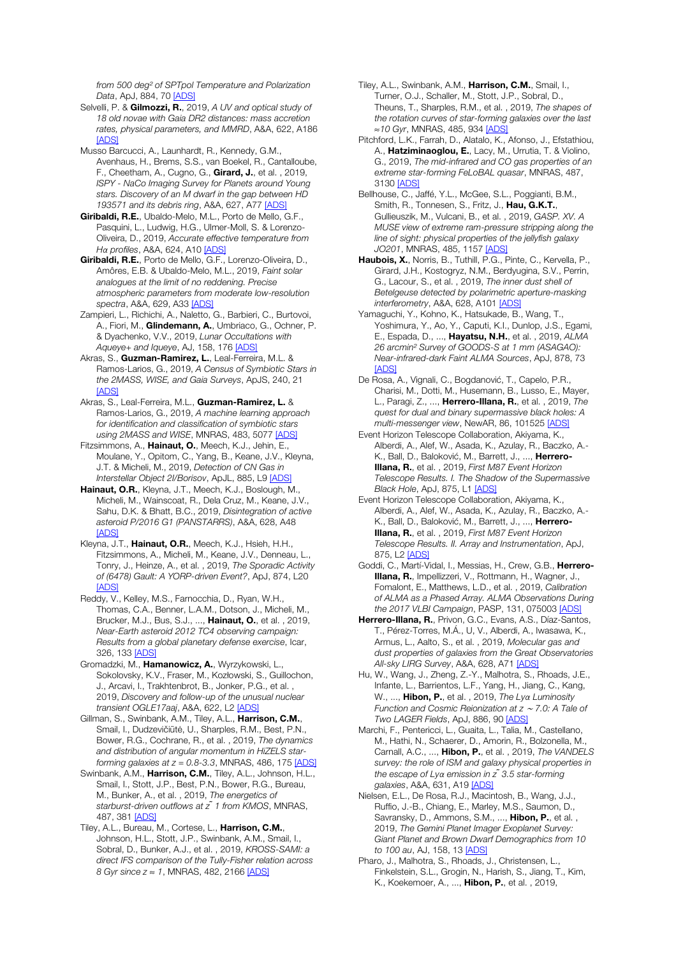*from 500 deg*² *of SPTpol Temperature and Polarization Data*, ApJ, 884, 70 [ADS]

- Selvelli, P. & Gilmozzi, R., 2019, *A UV and optical study of 18 old novae with Gaia DR2 distances: mass accretion rates, physical parameters, and MMRD*, A&A, 622, A186 [ADS]
- Musso Barcucci, A., Launhardt, R., Kennedy, G.M.,

Avenhaus, H., Brems, S.S., van Boekel, R., Cantalloube, F., Cheetham, A., Cugno, G., **Girard, J.**, et al., 2019, *ISPY - NaCo Imaging Survey for Planets around Young stars. Discovery of an M dwarf in the gap between HD 193571 and its debris ring*, A&A, 627, A77 [ADS]

Giribaldi, R.E., Ubaldo-Melo, M.L., Porto de Mello, G.F., Pasquini, L., Ludwig, H.G., Ulmer-Moll, S. & Lorenzo-Oliveira, D., 2019, *Accurate effective temperature from Hα profiles*, A&A, 624, A10 [ADS]

Giribaldi, R.E., Porto de Mello, G.F., Lorenzo-Oliveira, D., Amôres, E.B. & Ubaldo-Melo, M.L., 2019, *Faint solar analogues at the limit of no reddening. Precise atmospheric parameters from moderate low-resolution spectra*, A&A, 629, A33 [ADS]

Zampieri, L., Richichi, A., Naletto, G., Barbieri, C., Burtovoi, A., Fiori, M., **Glindemann, A.**, Umbriaco, G., Ochner, P. & Dyachenko, V.V., 2019, *Lunar Occultations with Aqueye+ and Iqueye*, AJ, 158, 176 [ADS]

Akras, S., Guzman-Ramirez, L., Leal-Ferreira, M.L. & Ramos-Larios, G., 2019, *A Census of Symbiotic Stars in the 2MASS, WISE, and Gaia Surveys*, ApJS, 240, 21 [ADS]

Akras, S., Leal-Ferreira, M.L., Guzman-Ramirez, L. & Ramos-Larios, G., 2019, *A machine learning approach for identification and classification of symbiotic stars using 2MASS and WISE*, MNRAS, 483, 5077 [ADS]

Fitzsimmons, A., Hainaut, O., Meech, K.J., Jehin, E., Moulane, Y., Opitom, C., Yang, B., Keane, J.V., Kleyna, J.T. & Micheli, M., 2019, *Detection of CN Gas in Interstellar Object 2I/Borisov*, ApJL, 885, L9 [ADS]

Hainaut, O.R., Kleyna, J.T., Meech, K.J., Boslough, M., Micheli, M., Wainscoat, R., Dela Cruz, M., Keane, J.V., Sahu, D.K. & Bhatt, B.C., 2019, *Disintegration of active asteroid P/2016 G1 (PANSTARRS)*, A&A, 628, A48 [ADS]

Kleyna, J.T., Hainaut, O.R., Meech, K.J., Hsieh, H.H., Fitzsimmons, A., Micheli, M., Keane, J.V., Denneau, L., Tonry, J., Heinze, A., et al. , 2019, *The Sporadic Activity of (6478) Gault: A YORP-driven Event?*, ApJ, 874, L20 [ADS]

Reddy, V., Kelley, M.S., Farnocchia, D., Ryan, W.H., Thomas, C.A., Benner, L.A.M., Dotson, J., Micheli, M., Brucker, M.J., Bus, S.J., ..., Hainaut, O., et al. , 2019, *Near-Earth asteroid 2012 TC4 observing campaign: Results from a global planetary defense exercise*, Icar, 326, 133 [ADS]

Gromadzki, M., Hamanowicz, A., Wyrzykowski, L., Sokolovsky, K.V., Fraser, M., Kozłowski, S., Guillochon, J., Arcavi, I., Trakhtenbrot, B., Jonker, P.G., et al. , 2019, *Discovery and follow-up of the unusual nuclear transient OGLE17aaj*, A&A, 622, L2 [ADS]

Gillman, S., Swinbank, A.M., Tiley, A.L., Harrison, C.M., Smail, I., Dudzevičiūtė, U., Sharples, R.M., Best, P.N., Bower, R.G., Cochrane, R., et al. , 2019, *The dynamics and distribution of angular momentum in HiZELS starforming galaxies at z = 0.8-3.3*, MNRAS, 486, 175 [ADS]

Swinbank, A.M., Harrison, C.M., Tiley, A.L., Johnson, H.L., Smail, I., Stott, J.P., Best, P.N., Bower, R.G., Bureau, M., Bunker, A., et al. , 2019, *The energetics of starburst-driven outflows at z ̃1 from KMOS*, MNRAS, 487, 381 [ADS]

Tiley, A.L., Bureau, M., Cortese, L., Harrison, C.M., Johnson, H.L., Stott, J.P., Swinbank, A.M., Smail, I., Sobral, D., Bunker, A.J., et al. , 2019, *KROSS-SAMI: a direct IFS comparison of the Tully-Fisher relation across 8 Gyr since z* ≈ *1*, MNRAS, 482, 2166 [ADS]

- Tiley, A.L., Swinbank, A.M., Harrison, C.M., Smail, I., Turner, O.J., Schaller, M., Stott, J.P., Sobral, D., Theuns, T., Sharples, R.M., et al. , 2019, *The shapes of the rotation curves of star-forming galaxies over the last*  ≈*10 Gyr*, MNRAS, 485, 934 [ADS]
- Pitchford, L.K., Farrah, D., Alatalo, K., Afonso, J., Efstathiou, A., Hatziminaoglou, E., Lacy, M., Urrutia, T. & Violino, G., 2019, *The mid-infrared and CO gas properties of an extreme star-forming FeLoBAL quasar*, MNRAS, 487, 3130 [ADS]

Bellhouse, C., Jaffé, Y.L., McGee, S.L., Poggianti, B.M., Smith, R., Tonnesen, S., Fritz, J., Hau, G.K.T., Gullieuszik, M., Vulcani, B., et al. , 2019, *GASP. XV. A MUSE view of extreme ram-pressure stripping along the line of sight: physical properties of the jellyfish galaxy JO201*, MNRAS, 485, 1157 [ADS]

- Haubois, X., Norris, B., Tuthill, P.G., Pinte, C., Kervella, P., Girard, J.H., Kostogryz, N.M., Berdyugina, S.V., Perrin, G., Lacour, S., et al. , 2019, *The inner dust shell of Betelgeuse detected by polarimetric aperture-masking interferometry*, A&A, 628, A101 [ADS]
- Yamaguchi, Y., Kohno, K., Hatsukade, B., Wang, T., Yoshimura, Y., Ao, Y., Caputi, K.I., Dunlop, J.S., Egami, E., Espada, D., ..., Hayatsu, N.H., et al. , 2019, *ALMA 26 arcmin*² *Survey of GOODS-S at 1 mm (ASAGAO): Near-infrared-dark Faint ALMA Sources*, ApJ, 878, 73 [ADS]
- De Rosa, A., Vignali, C., Bogdanović, T., Capelo, P.R., Charisi, M., Dotti, M., Husemann, B., Lusso, E., Mayer, L., Paragi, Z., ..., Herrero-Illana, R., et al. , 2019, *The quest for dual and binary supermassive black holes: A multi-messenger view*, NewAR, 86, 101525 [ADS]

Event Horizon Telescope Collaboration, Akiyama, K., Alberdi, A., Alef, W., Asada, K., Azulay, R., Baczko, A.- K., Ball, D., Baloković, M., Barrett, J., ..., Herrero-Illana, R., et al. , 2019, *First M87 Event Horizon Telescope Results. I. The Shadow of the Supermassive Black Hole*, ApJ, 875, L1 [ADS]

- Event Horizon Telescope Collaboration, Akiyama, K., Alberdi, A., Alef, W., Asada, K., Azulay, R., Baczko, A.- K., Ball, D., Baloković, M., Barrett, J., ..., Herrero-Illana, R., et al. , 2019, *First M87 Event Horizon Telescope Results. II. Array and Instrumentation*, ApJ, 875, L2 [ADS]
- Goddi, C., Martí-Vidal, I., Messias, H., Crew, G.B., Herrero-Illana, R., Impellizzeri, V., Rottmann, H., Wagner, J., Fomalont, E., Matthews, L.D., et al. , 2019, *Calibration of ALMA as a Phased Array. ALMA Observations During the 2017 VLBI Campaign*, PASP, 131, 075003 [ADS]
- Herrero-Illana, R., Privon, G.C., Evans, A.S., Díaz-Santos, T., Pérez-Torres, M.Á., U, V., Alberdi, A., Iwasawa, K., Armus, L., Aalto, S., et al. , 2019, *Molecular gas and dust properties of galaxies from the Great Observatories All-sky LIRG Survey*, A&A, 628, A71 [ADS]
- Hu, W., Wang, J., Zheng, Z.-Y., Malhotra, S., Rhoads, J.E., Infante, L., Barrientos, L.F., Yang, H., Jiang, C., Kang, W., ..., Hibon, P., et al. , 2019, *The Lyα Luminosity Function and Cosmic Reionization at z* <sup>∼</sup> *7.0: A Tale of Two LAGER Fields*, ApJ, 886, 90 [ADS]

Marchi, F., Pentericci, L., Guaita, L., Talia, M., Castellano, M., Hathi, N., Schaerer, D., Amorin, R., Bolzonella, M., Carnall, A.C., ..., Hibon, P., et al. , 2019, *The VANDELS survey: the role of ISM and galaxy physical properties in the escape of Lyα emission in z ̃3.5 star-forming galaxies*, A&A, 631, A19 [ADS]

Nielsen, E.L., De Rosa, R.J., Macintosh, B., Wang, J.J., Ruffio, J.-B., Chiang, E., Marley, M.S., Saumon, D., Savransky, D., Ammons, S.M., ..., Hibon, P., et al., 2019, *The Gemini Planet Imager Exoplanet Survey: Giant Planet and Brown Dwarf Demographics from 10 to 100 au*, AJ, 158, 13 [ADS]

Pharo, J., Malhotra, S., Rhoads, J., Christensen, L., Finkelstein, S.L., Grogin, N., Harish, S., Jiang, T., Kim, K., Koekemoer, A., ..., Hibon, P., et al. , 2019,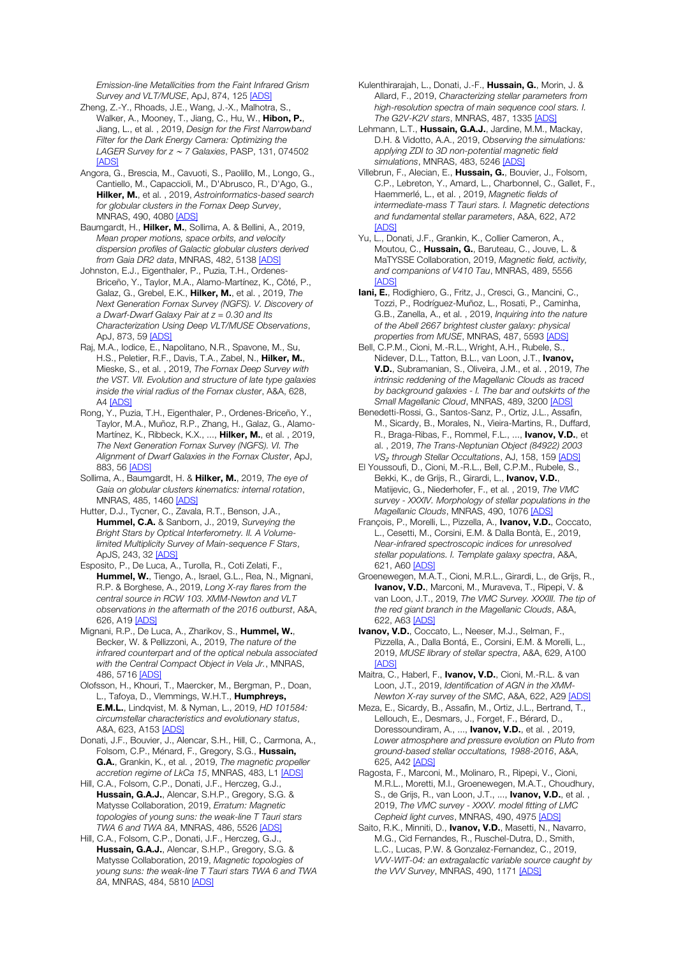*Emission-line Metallicities from the Faint Infrared Grism Survey and VLT/MUSE*, ApJ, 874, 125 [ADS]

Zheng, Z.-Y., Rhoads, J.E., Wang, J.-X., Malhotra, S., Walker, A., Mooney, T., Jiang, C., Hu, W., Hibon, P., Jiang, L., et al. , 2019, *Design for the First Narrowband Filter for the Dark Energy Camera: Optimizing the LAGER Survey for z* <sup>∼</sup> *7 Galaxies*, PASP, 131, 074502 [ADS]

Angora, G., Brescia, M., Cavuoti, S., Paolillo, M., Longo, G., Cantiello, M., Capaccioli, M., D'Abrusco, R., D'Ago, G., Hilker, M., et al. , 2019, *Astroinformatics-based search for globular clusters in the Fornax Deep Survey*, MNRAS, 490, 4080 [ADS]

Baumgardt, H., Hilker, M., Sollima, A. & Bellini, A., 2019, *Mean proper motions, space orbits, and velocity dispersion profiles of Galactic globular clusters derived from Gaia DR2 data*, MNRAS, 482, 5138 [ADS]

Johnston, E.J., Eigenthaler, P., Puzia, T.H., Ordenes-Briceño, Y., Taylor, M.A., Alamo-Martínez, K., Côté, P., Galaz, G., Grebel, E.K., Hilker, M., et al. , 2019, *The Next Generation Fornax Survey (NGFS). V. Discovery of a Dwarf-Dwarf Galaxy Pair at z = 0.30 and Its Characterization Using Deep VLT/MUSE Observations*, ApJ, 873, 59 <u>[ADS]</u>

Raj, M.A., Iodice, E., Napolitano, N.R., Spavone, M., Su, H.S., Peletier, R.F., Davis, T.A., Zabel, N., Hilker, M., Mieske, S., et al. , 2019, *The Fornax Deep Survey with the VST. VII. Evolution and structure of late type galaxies inside the virial radius of the Fornax cluster*, A&A, 628, A4 [ADS]

Rong, Y., Puzia, T.H., Eigenthaler, P., Ordenes-Briceño, Y., Taylor, M.A., Muñoz, R.P., Zhang, H., Galaz, G., Alamo-Martínez, K., Ribbeck, K.X., ..., Hilker, M., et al., 2019, *The Next Generation Fornax Survey (NGFS). VI. The Alignment of Dwarf Galaxies in the Fornax Cluster*, ApJ, 883, 56 [ADS]

Sollima, A., Baumgardt, H. & Hilker, M., 2019, *The eye of Gaia on globular clusters kinematics: internal rotation*, MNRAS, 485, 1460 [ADS]

Hutter, D.J., Tycner, C., Zavala, R.T., Benson, J.A., Hummel, C.A. & Sanborn, J., 2019, *Surveying the Bright Stars by Optical Interferometry. II. A Volumelimited Multiplicity Survey of Main-sequence F Stars*, ApJS, 243, 32 [ADS]

Esposito, P., De Luca, A., Turolla, R., Coti Zelati, F., Hummel, W., Tiengo, A., Israel, G.L., Rea, N., Mignani, R.P. & Borghese, A., 2019, *Long X-ray flares from the central source in RCW 103. XMM-Newton and VLT observations in the aftermath of the 2016 outburst*, A&A, 626, A19 [ADS]

Mignani, R.P., De Luca, A., Zharikov, S., Hummel, W., Becker, W. & Pellizzoni, A., 2019, *The nature of the infrared counterpart and of the optical nebula associated with the Central Compact Object in Vela Jr.*, MNRAS, 486, 5716 [ADS]

Olofsson, H., Khouri, T., Maercker, M., Bergman, P., Doan, L., Tafoya, D., Vlemmings, W.H.T., Humphreys, E.M.L., Lindqvist, M. & Nyman, L., 2019, *HD 101584: circumstellar characteristics and evolutionary status*, A&A, 623, A153 [ADS]

Donati, J.F., Bouvier, J., Alencar, S.H., Hill, C., Carmona, A., Folsom, C.P., Ménard, F., Gregory, S.G., Hussain, G.A., Grankin, K., et al. , 2019, *The magnetic propeller accretion regime of LkCa 15*, MNRAS, 483, L1 [ADS]

Hill, C.A., Folsom, C.P., Donati, J.F., Herczeg, G.J., Hussain, G.A.J., Alencar, S.H.P., Gregory, S.G. & Matysse Collaboration, 2019, *Erratum: Magnetic topologies of young suns: the weak-line T Tauri stars TWA 6 and TWA 8A*, MNRAS, 486, 5526 [ADS]

Hill, C.A., Folsom, C.P., Donati, J.F., Herczeg, G.J., Hussain, G.A.J., Alencar, S.H.P., Gregory, S.G. & Matysse Collaboration, 2019, *Magnetic topologies of young suns: the weak-line T Tauri stars TWA 6 and TWA 8A*, MNRAS, 484, 5810 [ADS]

Kulenthirarajah, L., Donati, J.-F., Hussain, G., Morin, J. & Allard, F., 2019, *Characterizing stellar parameters from high-resolution spectra of main sequence cool stars. I. The G2V-K2V stars*, MNRAS, 487, 1335 [ADS]

Lehmann, L.T., Hussain, G.A.J., Jardine, M.M., Mackay, D.H. & Vidotto, A.A., 2019, *Observing the simulations: applying ZDI to 3D non-potential magnetic field simulations*, MNRAS, 483, 5246 [ADS]

Villebrun, F., Alecian, E., Hussain, G., Bouvier, J., Folsom, C.P., Lebreton, Y., Amard, L., Charbonnel, C., Gallet, F., Haemmerlé, L., et al. , 2019, *Magnetic fields of intermediate-mass T Tauri stars. I. Magnetic detections and fundamental stellar parameters*, A&A, 622, A72 [ADS]

Yu, L., Donati, J.F., Grankin, K., Collier Cameron, A., Moutou, C., Hussain, G., Baruteau, C., Jouve, L. & MaTYSSE Collaboration, 2019, *Magnetic field, activity, and companions of V410 Tau*, MNRAS, 489, 5556 [ADS]

Iani, E., Rodighiero, G., Fritz, J., Cresci, G., Mancini, C., Tozzi, P., Rodríguez-Muñoz, L., Rosati, P., Caminha, G.B., Zanella, A., et al. , 2019, *Inquiring into the nature of the Abell 2667 brightest cluster galaxy: physical properties from MUSE*, MNRAS, 487, 5593 [ADS]

Bell, C.P.M., Cioni, M.-R.L., Wright, A.H., Rubele, S., Nidever, D.L., Tatton, B.L., van Loon, J.T., Ivanov, V.D., Subramanian, S., Oliveira, J.M., et al. , 2019, *The intrinsic reddening of the Magellanic Clouds as traced by background galaxies - I. The bar and outskirts of the Small Magellanic Cloud*, MNRAS, 489, 3200 [ADS]

Benedetti-Rossi, G., Santos-Sanz, P., Ortiz, J.L., Assafin, M., Sicardy, B., Morales, N., Vieira-Martins, R., Duffard, R., Braga-Ribas, F., Rommel, F.L., ..., Ivanov, V.D., et al. , 2019, *The Trans-Neptunian Object (84922) 2003 VS*<sup>₂</sup> *through Stellar Occultations*, AJ, 158, 159 [ADS]

El Youssoufi, D., Cioni, M.-R.L., Bell, C.P.M., Rubele, S., Bekki, K., de Grijs, R., Girardi, L., Ivanov, V.D., Matijevic, G., Niederhofer, F., et al. , 2019, *The VMC survey - XXXIV. Morphology of stellar populations in the Magellanic Clouds*, MNRAS, 490, 1076 [ADS]

François, P., Morelli, L., Pizzella, A., Ivanov, V.D., Coccato, L., Cesetti, M., Corsini, E.M. & Dalla Bontà, E., 2019, *Near-infrared spectroscopic indices for unresolved stellar populations. I. Template galaxy spectra*, A&A, 621, A60 [ADS]

Groenewegen, M.A.T., Cioni, M.R.L., Girardi, L., de Grijs, R., Ivanov, V.D., Marconi, M., Muraveva, T., Ripepi, V. & van Loon, J.T., 2019, *The VMC Survey. XXXIII. The tip of the red giant branch in the Magellanic Clouds*, A&A, 622, A63 [ADS]

Ivanov, V.D., Coccato, L., Neeser, M.J., Selman, F., Pizzella, A., Dalla Bontá, E., Corsini, E.M. & Morelli, L., 2019, *MUSE library of stellar spectra*, A&A, 629, A100 [ADS]

Maitra, C., Haberl, F., Ivanov, V.D., Cioni, M.-R.L. & van Loon, J.T., 2019, *Identification of AGN in the XMM-Newton X-ray survey of the SMC*, A&A, 622, A29 [ADS]

Meza, E., Sicardy, B., Assafin, M., Ortiz, J.L., Bertrand, T., Lellouch, E., Desmars, J., Forget, F., Bérard, D., Doressoundiram, A., ..., **Ivanov, V.D.**, et al., 2019, *Lower atmosphere and pressure evolution on Pluto from ground-based stellar occultations, 1988-2016*, A&A, 625, A42 [ADS]

Ragosta, F., Marconi, M., Molinaro, R., Ripepi, V., Cioni, M.R.L., Moretti, M.I., Groenewegen, M.A.T., Choudhury, S., de Grijs, R., van Loon, J.T., ..., **Ivanov, V.D.**, et al., 2019, *The VMC survey - XXXV. model fitting of LMC Cepheid light curves*, MNRAS, 490, 4975 [ADS]

Saito, R.K., Minniti, D., Ivanov, V.D., Masetti, N., Navarro, M.G., Cid Fernandes, R., Ruschel-Dutra, D., Smith, L.C., Lucas, P.W. & Gonzalez-Fernandez, C., 2019, *VVV-WIT-04: an extragalactic variable source caught by the VVV Survey*, MNRAS, 490, 1171 [ADS]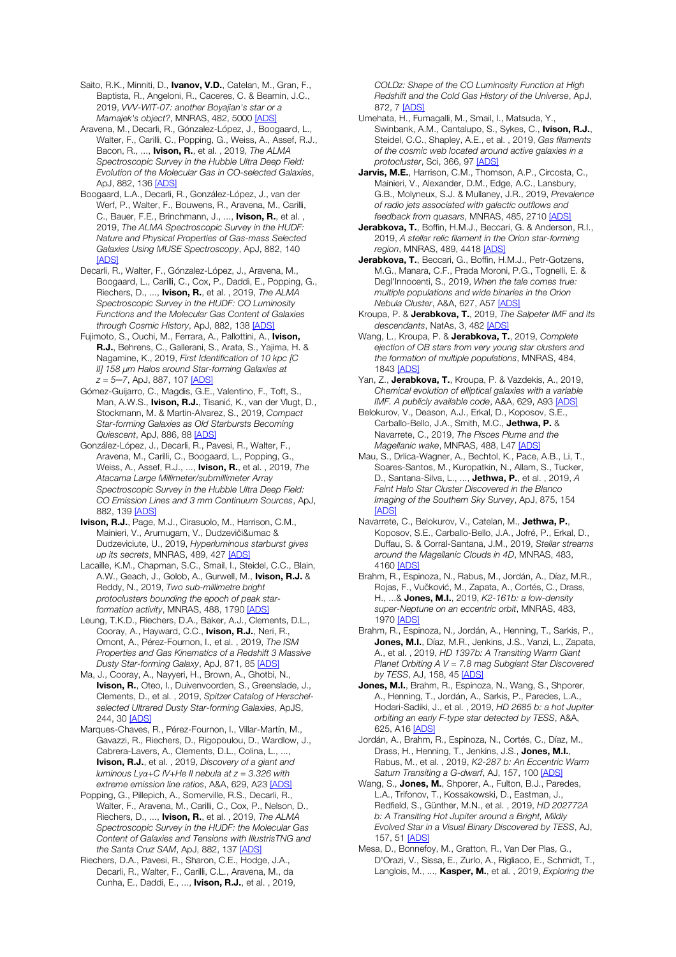Saito, R.K., Minniti, D., Ivanov, V.D., Catelan, M., Gran, F., Baptista, R., Angeloni, R., Caceres, C. & Beamin, J.C., 2019, *VVV-WIT-07: another Boyajian's star or a Mamajek's object?*, MNRAS, 482, 5000 [ADS]

Aravena, M., Decarli, R., Gónzalez-López, J., Boogaard, L., Walter, F., Carilli, C., Popping, G., Weiss, A., Assef, R.J., Bacon, R., ..., Ivison, R., et al. , 2019, *The ALMA Spectroscopic Survey in the Hubble Ultra Deep Field: Evolution of the Molecular Gas in CO-selected Galaxies*, ApJ, 882, 136 [ADS]

Boogaard, L.A., Decarli, R., González-López, J., van der Werf, P., Walter, F., Bouwens, R., Aravena, M., Carilli, C., Bauer, F.E., Brinchmann, J., ..., Ivison, R., et al., 2019, *The ALMA Spectroscopic Survey in the HUDF: Nature and Physical Properties of Gas-mass Selected Galaxies Using MUSE Spectroscopy*, ApJ, 882, 140 [ADS]

Decarli, R., Walter, F., Gónzalez-López, J., Aravena, M., Boogaard, L., Carilli, C., Cox, P., Daddi, E., Popping, G., Riechers, D., ..., Ivison, R., et al. , 2019, *The ALMA Spectroscopic Survey in the HUDF: CO Luminosity Functions and the Molecular Gas Content of Galaxies through Cosmic History*, ApJ, 882, 138 [ADS]

Fujimoto, S., Ouchi, M., Ferrara, A., Pallottini, A., Ivison, R.J., Behrens, C., Gallerani, S., Arata, S., Yajima, H. & Nagamine, K., 2019, *First Identification of 10 kpc [C II] 158* μ*m Halos around Star-forming Galaxies at z = 5─7*, ApJ, 887, 107 [ADS]

Gómez-Guijarro, C., Magdis, G.E., Valentino, F., Toft, S., Man, A.W.S., Ivison, R.J., Tisanić, K., van der Vlugt, D., Stockmann, M. & Martin-Alvarez, S., 2019, *Compact Star-forming Galaxies as Old Starbursts Becoming Quiescent*, ApJ, 886, 88 [ADS]

González-López, J., Decarli, R., Pavesi, R., Walter, F., Aravena, M., Carilli, C., Boogaard, L., Popping, G., Weiss, A., Assef, R.J., ..., Ivison, R., et al. , 2019, *The Atacama Large Millimeter/submillimeter Array Spectroscopic Survey in the Hubble Ultra Deep Field: CO Emission Lines and 3 mm Continuum Sources*, ApJ, 882, 139 [ADS]

Ivison, R.J., Page, M.J., Cirasuolo, M., Harrison, C.M., Mainieri, V., Arumugam, V., Dudzeviči&umac & Dudzeviciute, U., 2019, *Hyperluminous starburst gives up its secrets*, MNRAS, 489, 427 [ADS]

Lacaille, K.M., Chapman, S.C., Smail, I., Steidel, C.C., Blain, A.W., Geach, J., Golob, A., Gurwell, M., Ivison, R.J. & Reddy, N., 2019, *Two sub-millimetre bright protoclusters bounding the epoch of peak starformation activity*, MNRAS, 488, 1790 [ADS]

Leung, T.K.D., Riechers, D.A., Baker, A.J., Clements, D.L., Cooray, A., Hayward, C.C., Ivison, R.J., Neri, R., Omont, A., Pérez-Fournon, I., et al. , 2019, *The ISM Properties and Gas Kinematics of a Redshift 3 Massive Dusty Star-forming Galaxy*, ApJ, 871, 85 [ADS]

Ma, J., Cooray, A., Nayyeri, H., Brown, A., Ghotbi, N., Ivison, R., Oteo, I., Duivenvoorden, S., Greenslade, J., Clements, D., et al. , 2019, *Spitzer Catalog of Herschelselected Ultrared Dusty Star-forming Galaxies*, ApJS, 244, 30 [ADS]

Marques-Chaves, R., Pérez-Fournon, I., Villar-Martín, M., Gavazzi, R., Riechers, D., Rigopoulou, D., Wardlow, J., Cabrera-Lavers, A., Clements, D.L., Colina, L., ..., Ivison, R.J., et al. , 2019, *Discovery of a giant and luminous Lyα+C IV+He II nebula at z = 3.326 with extreme emission line ratios*, A&A, 629, A23 [ADS]

Popping, G., Pillepich, A., Somerville, R.S., Decarli, R., Walter, F., Aravena, M., Carilli, C., Cox, P., Nelson, D., Riechers, D., ..., Ivison, R., et al. , 2019, *The ALMA Spectroscopic Survey in the HUDF: the Molecular Gas Content of Galaxies and Tensions with IllustrisTNG and the Santa Cruz SAM*, ApJ, 882, 137 [ADS]

Riechers, D.A., Pavesi, R., Sharon, C.E., Hodge, J.A., Decarli, R., Walter, F., Carilli, C.L., Aravena, M., da Cunha, E., Daddi, E., ..., Ivison, R.J., et al. , 2019, *COLDz: Shape of the CO Luminosity Function at High Redshift and the Cold Gas History of the Universe*, ApJ, 872, 7 [ADS]

- Umehata, H., Fumagalli, M., Smail, I., Matsuda, Y., Swinbank, A.M., Cantalupo, S., Sykes, C., Ivison, R.J., Steidel, C.C., Shapley, A.E., et al. , 2019, *Gas filaments of the cosmic web located around active galaxies in a protocluster*, Sci, 366, 97 [ADS]
- Jarvis, M.E., Harrison, C.M., Thomson, A.P., Circosta, C., Mainieri, V., Alexander, D.M., Edge, A.C., Lansbury, G.B., Molyneux, S.J. & Mullaney, J.R., 2019, *Prevalence of radio jets associated with galactic outflows and feedback from quasars*, MNRAS, 485, 2710 [ADS]
- Jerabkova, T., Boffin, H.M.J., Beccari, G. & Anderson, R.I., 2019, *A stellar relic filament in the Orion star-forming region*, MNRAS, 489, 4418 [ADS]
- Jerabkova, T., Beccari, G., Boffin, H.M.J., Petr-Gotzens, M.G., Manara, C.F., Prada Moroni, P.G., Tognelli, E. & Degl'Innocenti, S., 2019, *When the tale comes true: multiple populations and wide binaries in the Orion Nebula Cluster*, A&A, 627, A57 [ADS]
- Kroupa, P. & Jerabkova, T., 2019, *The Salpeter IMF and its descendants*, NatAs, 3, 482 [ADS]
- Wang, L., Kroupa, P. & Jerabkova, T., 2019, *Complete ejection of OB stars from very young star clusters and the formation of multiple populations*, MNRAS, 484, 1843 [ADS]
- Yan, Z., **Jerabkova, T.**, Kroupa, P. & Vazdekis, A., 2019, *Chemical evolution of elliptical galaxies with a variable IMF. A publicly available code*, A&A, 629, A93 [ADS]
- Belokurov, V., Deason, A.J., Erkal, D., Koposov, S.E., Carballo-Bello, J.A., Smith, M.C., Jethwa, P. & Navarrete, C., 2019, *The Pisces Plume and the Magellanic wake*, MNRAS, 488, L47 [ADS]

Mau, S., Drlica-Wagner, A., Bechtol, K., Pace, A.B., Li, T., Soares-Santos, M., Kuropatkin, N., Allam, S., Tucker, D., Santana-Silva, L., ..., Jethwa, P., et al. , 2019, *A Faint Halo Star Cluster Discovered in the Blanco Imaging of the Southern Sky Survey*, ApJ, 875, 154 [ADS]

Navarrete, C., Belokurov, V., Catelan, M., Jethwa, P., Koposov, S.E., Carballo-Bello, J.A., Jofré, P., Erkal, D., Duffau, S. & Corral-Santana, J.M., 2019, *Stellar streams around the Magellanic Clouds in 4D*, MNRAS, 483, 4160 [ADS]

Brahm, R., Espinoza, N., Rabus, M., Jordán, A., Díaz, M.R., Rojas, F., Vučković, M., Zapata, A., Cortés, C., Drass, H., ...& Jones, M.I., 2019, *K2-161b: a low-density super-Neptune on an eccentric orbit*, MNRAS, 483, 1970 [ADS]

Brahm, R., Espinoza, N., Jordán, A., Henning, T., Sarkis, P., Jones, M.I., Díaz, M.R., Jenkins, J.S., Vanzi, L., Zapata, A., et al. , 2019, *HD 1397b: A Transiting Warm Giant Planet Orbiting A V = 7.8 mag Subgiant Star Discovered by TESS*, AJ, 158, 45 [ADS]

Jones, M.I., Brahm, R., Espinoza, N., Wang, S., Shporer, A., Henning, T., Jordán, A., Sarkis, P., Paredes, L.A., Hodari-Sadiki, J., et al. , 2019, *HD 2685 b: a hot Jupiter orbiting an early F-type star detected by TESS*, A&A, 625, A16 [ADS]

Jordán, A., Brahm, R., Espinoza, N., Cortés, C., Díaz, M., Drass, H., Henning, T., Jenkins, J.S., Jones, M.I., Rabus, M., et al. , 2019, *K2-287 b: An Eccentric Warm*  Saturn Transiting a G-dwarf, AJ, 157, 100 [ADS]

Wang, S., Jones, M., Shporer, A., Fulton, B.J., Paredes, L.A., Trifonov, T., Kossakowski, D., Eastman, J., Redfield, S., Günther, M.N., et al. , 2019, *HD 202772A b: A Transiting Hot Jupiter around a Bright, Mildly Evolved Star in a Visual Binary Discovered by TESS*, AJ, 157, 51 [ADS]

Mesa, D., Bonnefoy, M., Gratton, R., Van Der Plas, G., D'Orazi, V., Sissa, E., Zurlo, A., Rigliaco, E., Schmidt, T., Langlois, M., ..., Kasper, M., et al. , 2019, *Exploring the*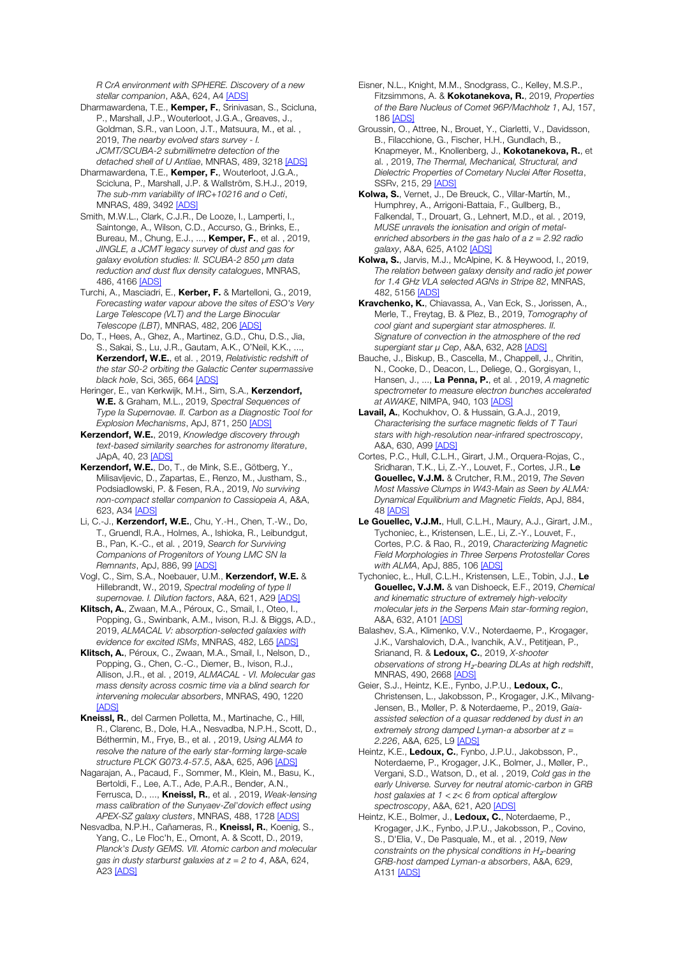*R CrA environment with SPHERE. Discovery of a new stellar companion*, A&A, 624, A4 [ADS]

- Dharmawardena, T.E., Kemper, F., Srinivasan, S., Scicluna, P., Marshall, J.P., Wouterloot, J.G.A., Greaves, J., Goldman, S.R., van Loon, J.T., Matsuura, M., et al. , 2019, *The nearby evolved stars survey - I. JCMT/SCUBA-2 submillimetre detection of the detached shell of U Antliae*, MNRAS, 489, 3218 [ADS]
- Dharmawardena, T.E., Kemper, F., Wouterloot, J.G.A., Scicluna, P., Marshall, J.P. & Wallström, S.H.J., 2019, *The sub-mm variability of IRC+10216 and o Ceti*, MNRAS, 489, 3492 [ADS]
- Smith, M.W.L., Clark, C.J.R., De Looze, I., Lamperti, I., Saintonge, A., Wilson, C.D., Accurso, G., Brinks, E., Bureau, M., Chung, E.J., ..., Kemper, F., et al. , 2019, *JINGLE, a JCMT legacy survey of dust and gas for galaxy evolution studies: II. SCUBA-2 850* μ*m data reduction and dust flux density catalogues*, MNRAS, 486, 4166 [ADS]
- Turchi, A., Masciadri, E., Kerber, F. & Martelloni, G., 2019, *Forecasting water vapour above the sites of ESO's Very Large Telescope (VLT) and the Large Binocular Telescope (LBT)*, MNRAS, 482, 206 [ADS]
- Do, T., Hees, A., Ghez, A., Martinez, G.D., Chu, D.S., Jia, S., Sakai, S., Lu, J.R., Gautam, A.K., O'Neil, K.K., ..., Kerzendorf, W.E., et al. , 2019, *Relativistic redshift of the star S0-2 orbiting the Galactic Center supermassive black hole*, Sci, 365, 664 [ADS]
- Heringer, E., van Kerkwijk, M.H., Sim, S.A., Kerzendorf, W.E. & Graham, M.L., 2019, *Spectral Sequences of Type Ia Supernovae. II. Carbon as a Diagnostic Tool for Explosion Mechanisms*, ApJ, 871, 250 [ADS]
- Kerzendorf, W.E., 2019, *Knowledge discovery through text-based similarity searches for astronomy literature*, JApA, 40, 23 [ADS]
- Kerzendorf, W.E., Do, T., de Mink, S.E., Götberg, Y., Milisavljevic, D., Zapartas, E., Renzo, M., Justham, S., Podsiadlowski, P. & Fesen, R.A., 2019, *No surviving non-compact stellar companion to Cassiopeia A*, A&A, 623, A34 [ADS]
- Li, C.-J., Kerzendorf, W.E., Chu, Y.-H., Chen, T.-W., Do, T., Gruendl, R.A., Holmes, A., Ishioka, R., Leibundgut, B., Pan, K.-C., et al. , 2019, *Search for Surviving Companions of Progenitors of Young LMC SN Ia Remnants*, ApJ, 886, 99 [ADS]
- Vogl, C., Sim, S.A., Noebauer, U.M., Kerzendorf, W.E. & Hillebrandt, W., 2019, *Spectral modeling of type II supernovae. I. Dilution factors*, A&A, 621, A29 [ADS]
- Klitsch, A., Zwaan, M.A., Péroux, C., Smail, I., Oteo, I., Popping, G., Swinbank, A.M., Ivison, R.J. & Biggs, A.D., 2019, *ALMACAL V: absorption-selected galaxies with evidence for excited ISMs*, MNRAS, 482, L65 [ADS]
- Klitsch, A., Péroux, C., Zwaan, M.A., Smail, I., Nelson, D., Popping, G., Chen, C.-C., Diemer, B., Ivison, R.J., Allison, J.R., et al. , 2019, *ALMACAL - VI. Molecular gas mass density across cosmic time via a blind search for intervening molecular absorbers*, MNRAS, 490, 1220 [ADS]
- Kneissl, R., del Carmen Polletta, M., Martinache, C., Hill, R., Clarenc, B., Dole, H.A., Nesvadba, N.P.H., Scott, D., Béthermin, M., Frye, B., et al. , 2019, *Using ALMA to resolve the nature of the early star-forming large-scale structure PLCK G073.4-57.5*, A&A, 625, A96 [ADS]
- Nagarajan, A., Pacaud, F., Sommer, M., Klein, M., Basu, K., Bertoldi, F., Lee, A.T., Ade, P.A.R., Bender, A.N., Ferrusca, D., ..., Kneissl, R., et al. , 2019, *Weak-lensing mass calibration of the Sunyaev-Zel'dovich effect using APEX-SZ galaxy clusters*, MNRAS, 488, 1728 [ADS]
- Nesvadba, N.P.H., Cañameras, R., Kneissl, R., Koenig, S., Yang, C., Le Floc'h, E., Omont, A. & Scott, D., 2019, *Planck's Dusty GEMS. VII. Atomic carbon and molecular gas in dusty starburst galaxies at z = 2 to 4*, A&A, 624, A<sub>23</sub> [ADS]
- Eisner, N.L., Knight, M.M., Snodgrass, C., Kelley, M.S.P., Fitzsimmons, A. & Kokotanekova, R., 2019, *Properties of the Bare Nucleus of Comet 96P/Machholz 1*, AJ, 157, 186 [ADS]
- Groussin, O., Attree, N., Brouet, Y., Ciarletti, V., Davidsson, B., Filacchione, G., Fischer, H.H., Gundlach, B., Knapmeyer, M., Knollenberg, J., Kokotanekova, R., et al. , 2019, *The Thermal, Mechanical, Structural, and Dielectric Properties of Cometary Nuclei After Rosetta*, SSRv, 215, 29 [ADS]
- Kolwa, S., Vernet, J., De Breuck, C., Villar-Martín, M., Humphrey, A., Arrigoni-Battaia, F., Gullberg, B., Falkendal, T., Drouart, G., Lehnert, M.D., et al. , 2019, *MUSE unravels the ionisation and origin of metalenriched absorbers in the gas halo of a z = 2.92 radio galaxy*, A&A, 625, A102 [ADS]
- Kolwa, S., Jarvis, M.J., McAlpine, K. & Heywood, I., 2019, *The relation between galaxy density and radio jet power for 1.4 GHz VLA selected AGNs in Stripe 82*, MNRAS, 482, 5156 [ADS]
- Kravchenko, K., Chiavassa, A., Van Eck, S., Jorissen, A., Merle, T., Freytag, B. & Plez, B., 2019, *Tomography of cool giant and supergiant star atmospheres. II. Signature of convection in the atmosphere of the red supergiant star* μ *Cep*, A&A, 632, A28 [ADS]
- Bauche, J., Biskup, B., Cascella, M., Chappell, J., Chritin, N., Cooke, D., Deacon, L., Deliege, Q., Gorgisyan, I., Hansen, J., ..., La Penna, P., et al. , 2019, *A magnetic spectrometer to measure electron bunches accelerated at AWAKE*, NIMPA, 940, 103 [ADS]
- Lavail, A., Kochukhov, O. & Hussain, G.A.J., 2019, *Characterising the surface magnetic fields of T Tauri stars with high-resolution near-infrared spectroscopy*, A&A, 630, A99 [ADS]
- Cortes, P.C., Hull, C.L.H., Girart, J.M., Orquera-Rojas, C., Sridharan, T.K., Li, Z.-Y., Louvet, F., Cortes, J.R., Le Gouellec, V.J.M. & Crutcher, R.M., 2019, *The Seven Most Massive Clumps in W43-Main as Seen by ALMA: Dynamical Equilibrium and Magnetic Fields*, ApJ, 884, 48 [ADS]
- Le Gouellec, V.J.M., Hull, C.L.H., Maury, A.J., Girart, J.M., Tychoniec, Ł., Kristensen, L.E., Li, Z.-Y., Louvet, F., Cortes, P.C. & Rao, R., 2019, *Characterizing Magnetic Field Morphologies in Three Serpens Protostellar Cores with ALMA*, ApJ, 885, 106 [ADS]
- Tychoniec, Ł., Hull, C.L.H., Kristensen, L.E., Tobin, J.J., Le Gouellec, V.J.M. & van Dishoeck, E.F., 2019, *Chemical and kinematic structure of extremely high-velocity molecular jets in the Serpens Main star-forming region*, A&A, 632, A101 [ADS]
- Balashev, S.A., Klimenko, V.V., Noterdaeme, P., Krogager, J.K., Varshalovich, D.A., Ivanchik, A.V., Petitjean, P., Srianand, R. & Ledoux, C., 2019, *X-shooter observations of strong H*₂*-bearing DLAs at high redshift*, MNRAS, 490, 2668 [ADS]
- Geier, S.J., Heintz, K.E., Fynbo, J.P.U., Ledoux, C., Christensen, L., Jakobsson, P., Krogager, J.K., Milvang-Jensen, B., Møller, P. & Noterdaeme, P., 2019, *Gaiaassisted selection of a quasar reddened by dust in an extremely strong damped Lyman-α absorber at z = 2.226*, A&A, 625, L9 [ADS]
- Heintz, K.E., Ledoux, C., Fynbo, J.P.U., Jakobsson, P., Noterdaeme, P., Krogager, J.K., Bolmer, J., Møller, P., Vergani, S.D., Watson, D., et al. , 2019, *Cold gas in the early Universe. Survey for neutral atomic-carbon in GRB host galaxies at 1 < z< 6 from optical afterglow spectroscopy*, A&A, 621, A20 [ADS]
- Heintz, K.E., Bolmer, J., Ledoux, C., Noterdaeme, P., Krogager, J.K., Fynbo, J.P.U., Jakobsson, P., Covino, S., D'Elia, V., De Pasquale, M., et al. , 2019, *New constraints on the physical conditions in H*₂*-bearing GRB-host damped Lyman-α absorbers*, A&A, 629, A131 [ADS]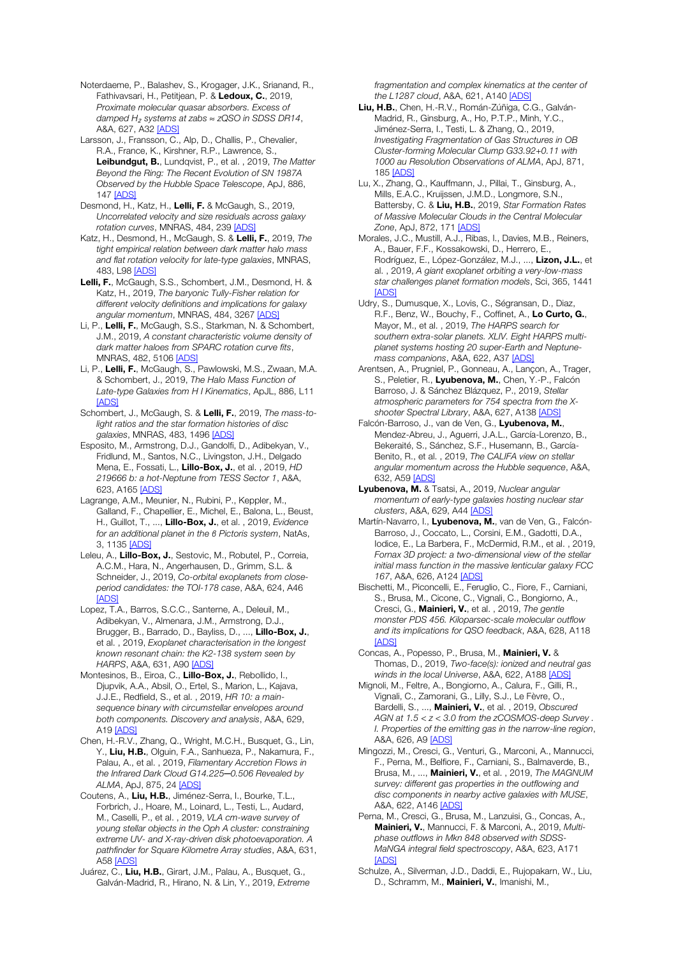Noterdaeme, P., Balashev, S., Krogager, J.K., Srianand, R., Fathivavsari, H., Petitjean, P. & Ledoux, C., 2019, *Proximate molecular quasar absorbers. Excess of damped H*<sup>₂</sup> *systems at zabs* ≈ *zQSO in SDSS DR14*, A&A, 627, A32 [ADS]

Larsson, J., Fransson, C., Alp, D., Challis, P., Chevalier, R.A., France, K., Kirshner, R.P., Lawrence, S., Leibundgut, B., Lundqvist, P., et al. , 2019, *The Matter Beyond the Ring: The Recent Evolution of SN 1987A Observed by the Hubble Space Telescope*, ApJ, 886, 147 [ADS]

Desmond, H., Katz, H., Lelli, F. & McGaugh, S., 2019, *Uncorrelated velocity and size residuals across galaxy rotation curves*, MNRAS, 484, 239 [ADS]

Katz, H., Desmond, H., McGaugh, S. & Lelli, F., 2019, *The tight empirical relation between dark matter halo mass and flat rotation velocity for late-type galaxies*, MNRAS, 483, L98 [ADS]

Lelli, F., McGaugh, S.S., Schombert, J.M., Desmond, H. & Katz, H., 2019, *The baryonic Tully-Fisher relation for different velocity definitions and implications for galaxy angular momentum*, MNRAS, 484, 3267 [ADS]

Li, P., Lelli, F., McGaugh, S.S., Starkman, N. & Schombert, J.M., 2019, *A constant characteristic volume density of dark matter haloes from SPARC rotation curve fits*, MNRAS, 482, 5106 [ADS]

Li, P., Lelli, F., McGaugh, S., Pawlowski, M.S., Zwaan, M.A. & Schombert, J., 2019, *The Halo Mass Function of Late-type Galaxies from H I Kinematics*, ApJL, 886, L11 [ADS]

Schombert, J., McGaugh, S. & Lelli, F., 2019, *The mass-tolight ratios and the star formation histories of disc galaxies*, MNRAS, 483, 1496 [ADS]

Esposito, M., Armstrong, D.J., Gandolfi, D., Adibekyan, V., Fridlund, M., Santos, N.C., Livingston, J.H., Delgado Mena, E., Fossati, L., Lillo-Box, J., et al. , 2019, *HD 219666 b: a hot-Neptune from TESS Sector 1*, A&A, 623, A165 [ADS]

Lagrange, A.M., Meunier, N., Rubini, P., Keppler, M., Galland, F., Chapellier, E., Michel, E., Balona, L., Beust, H., Guillot, T., ..., Lillo-Box, J., et al. , 2019, *Evidence for an additional planet in the β Pictoris system*, NatAs, 3, 1135 [ADS]

Leleu, A., Lillo-Box, J., Sestovic, M., Robutel, P., Correia, A.C.M., Hara, N., Angerhausen, D., Grimm, S.L. & Schneider, J., 2019, *Co-orbital exoplanets from closeperiod candidates: the TOI-178 case*, A&A, 624, A46 **[ADS]** 

Lopez, T.A., Barros, S.C.C., Santerne, A., Deleuil, M., Adibekyan, V., Almenara, J.M., Armstrong, D.J., Brugger, B., Barrado, D., Bayliss, D., ..., Lillo-Box, J., et al. , 2019, *Exoplanet characterisation in the longest known resonant chain: the K2-138 system seen by HARPS*, A&A, 631, A90 [ADS]

Montesinos, B., Eiroa, C., Lillo-Box, J., Rebollido, I., Djupvik, A.A., Absil, O., Ertel, S., Marion, L., Kajava, J.J.E., Redfield, S., et al. , 2019, *HR 10: a mainsequence binary with circumstellar envelopes around both components. Discovery and analysis*, A&A, 629, A19 [ADS]

Chen, H.-R.V., Zhang, Q., Wright, M.C.H., Busquet, G., Lin, Y., Liu, H.B., Olguin, F.A., Sanhueza, P., Nakamura, F., Palau, A., et al. , 2019, *Filamentary Accretion Flows in the Infrared Dark Cloud G14.225─0.506 Revealed by ALMA*, ApJ, 875, 24 [ADS]

Coutens, A., Liu, H.B., Jiménez-Serra, I., Bourke, T.L., Forbrich, J., Hoare, M., Loinard, L., Testi, L., Audard, M., Caselli, P., et al. , 2019, *VLA cm-wave survey of young stellar objects in the Oph A cluster: constraining extreme UV- and X-ray-driven disk photoevaporation. A pathfinder for Square Kilometre Array studies*, A&A, 631, A58 [ADS]

Juárez, C., Liu, H.B., Girart, J.M., Palau, A., Busquet, G., Galván-Madrid, R., Hirano, N. & Lin, Y., 2019, *Extreme*  *fragmentation and complex kinematics at the center of the L1287 cloud*, A&A, 621, A140 [ADS]

Liu, H.B., Chen, H.-R.V., Román-Zúñiga, C.G., Galván-Madrid, R., Ginsburg, A., Ho, P.T.P., Minh, Y.C., Jiménez-Serra, I., Testi, L. & Zhang, Q., 2019, *Investigating Fragmentation of Gas Structures in OB Cluster-forming Molecular Clump G33.92+0.11 with 1000 au Resolution Observations of ALMA*, ApJ, 871, 185 [ADS]

Lu, X., Zhang, Q., Kauffmann, J., Pillai, T., Ginsburg, A., Mills, E.A.C., Kruijssen, J.M.D., Longmore, S.N., Battersby, C. & Liu, H.B., 2019, *Star Formation Rates of Massive Molecular Clouds in the Central Molecular Zone*, ApJ, 872, 171 [ADS]

Morales, J.C., Mustill, A.J., Ribas, I., Davies, M.B., Reiners, A., Bauer, F.F., Kossakowski, D., Herrero, E., Rodríguez, E., López-González, M.J., ..., Lizon, J.L., et al. , 2019, *A giant exoplanet orbiting a very-low-mass star challenges planet formation models*, Sci, 365, 1441 [ADS]

Udry, S., Dumusque, X., Lovis, C., Ségransan, D., Diaz, R.F., Benz, W., Bouchy, F., Coffinet, A., Lo Curto, G., Mayor, M., et al. , 2019, *The HARPS search for southern extra-solar planets. XLIV. Eight HARPS multiplanet systems hosting 20 super-Earth and Neptunemass companions*, A&A, 622, A37 [ADS]

Arentsen, A., Prugniel, P., Gonneau, A., Lançon, A., Trager, S., Peletier, R., Lyubenova, M., Chen, Y.-P., Falcón Barroso, J. & Sánchez Blázquez, P., 2019, *Stellar atmospheric parameters for 754 spectra from the Xshooter Spectral Library*, A&A, 627, A138 [ADS]

Falcón-Barroso, J., van de Ven, G., Lyubenova, M., Mendez-Abreu, J., Aguerri, J.A.L., García-Lorenzo, B., Bekeraité, S., Sánchez, S.F., Husemann, B., García-Benito, R., et al. , 2019, *The CALIFA view on stellar angular momentum across the Hubble sequence*, A&A, 632, A59 [ADS]

Lyubenova, M. & Tsatsi, A., 2019, *Nuclear angular momentum of early-type galaxies hosting nuclear star clusters*, A&A, 629, A44 [ADS]

Martín-Navarro, I., Lyubenova, M., van de Ven, G., Falcón-Barroso, J., Coccato, L., Corsini, E.M., Gadotti, D.A., Iodice, E., La Barbera, F., McDermid, R.M., et al. , 2019, *Fornax 3D project: a two-dimensional view of the stellar initial mass function in the massive lenticular galaxy FCC 167*, A&A, 626, A124 [ADS]

Bischetti, M., Piconcelli, E., Feruglio, C., Fiore, F., Carniani, S., Brusa, M., Cicone, C., Vignali, C., Bongiorno, A., Cresci, G., Mainieri, V., et al. , 2019, *The gentle monster PDS 456. Kiloparsec-scale molecular outflow and its implications for QSO feedback*, A&A, 628, A118 **[ADS]** 

Concas, A., Popesso, P., Brusa, M., Mainieri, V. & Thomas, D., 2019, *Two-face(s): ionized and neutral gas winds in the local Universe*, A&A, 622, A188 [ADS]

Mignoli, M., Feltre, A., Bongiorno, A., Calura, F., Gilli, R., Vignali, C., Zamorani, G., Lilly, S.J., Le Fèvre, O., Bardelli, S., ..., Mainieri, V., et al. , 2019, *Obscured AGN at 1.5 < z < 3.0 from the zCOSMOS-deep Survey . I. Properties of the emitting gas in the narrow-line region*, A&A, 626, A9 [ADS]

Mingozzi, M., Cresci, G., Venturi, G., Marconi, A., Mannucci, F., Perna, M., Belfiore, F., Carniani, S., Balmaverde, B., Brusa, M., ..., Mainieri, V., et al. , 2019, *The MAGNUM survey: different gas properties in the outflowing and disc components in nearby active galaxies with MUSE*, A&A, 622, A146 [ADS]

Perna, M., Cresci, G., Brusa, M., Lanzuisi, G., Concas, A., Mainieri, V., Mannucci, F. & Marconi, A., 2019, *Multiphase outflows in Mkn 848 observed with SDSS-MaNGA integral field spectroscopy*, A&A, 623, A171 [ADS]

Schulze, A., Silverman, J.D., Daddi, E., Rujopakarn, W., Liu, D., Schramm, M., Mainieri, V., Imanishi, M.,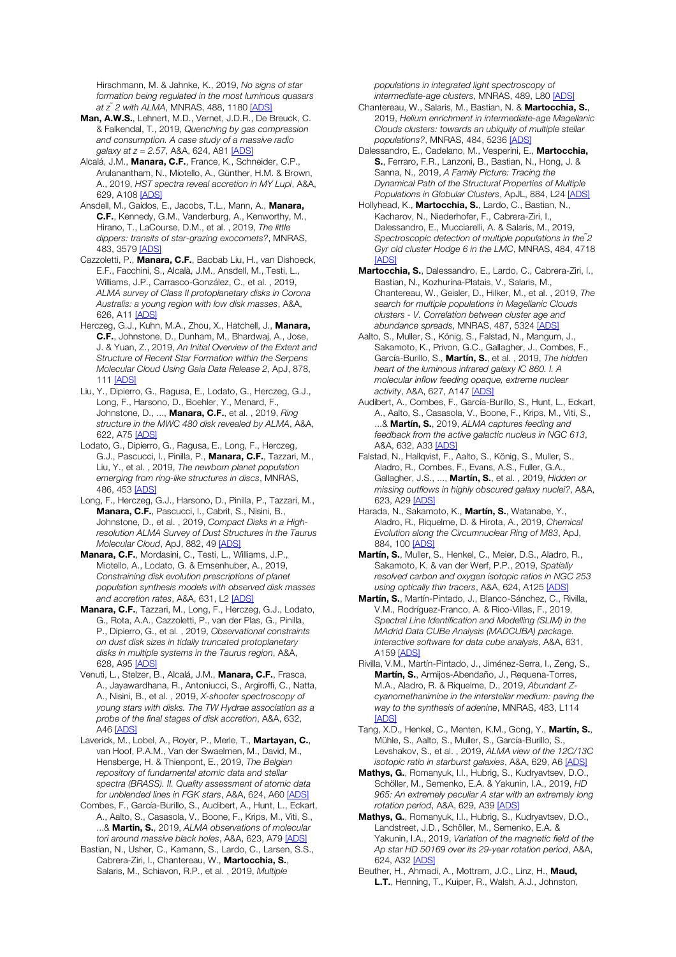Hirschmann, M. & Jahnke, K., 2019, *No signs of star formation being regulated in the most luminous quasars at z ̃2 with ALMA*, MNRAS, 488, 1180 [ADS]

Man, A.W.S., Lehnert, M.D., Vernet, J.D.R., De Breuck, C. & Falkendal, T., 2019, *Quenching by gas compression and consumption. A case study of a massive radio galaxy at z = 2.57*, A&A, 624, A81 [ADS]

Alcalá, J.M., Manara, C.F., France, K., Schneider, C.P., Arulanantham, N., Miotello, A., Günther, H.M. & Brown, A., 2019, *HST spectra reveal accretion in MY Lupi*, A&A, 629, A108 [ADS]

Ansdell, M., Gaidos, E., Jacobs, T.L., Mann, A., Manara, C.F., Kennedy, G.M., Vanderburg, A., Kenworthy, M., Hirano, T., LaCourse, D.M., et al. , 2019, *The little dippers: transits of star-grazing exocomets?*, MNRAS, 483, 3579 [ADS]

Cazzoletti, P., Manara, C.F., Baobab Liu, H., van Dishoeck, E.F., Facchini, S., Alcalà, J.M., Ansdell, M., Testi, L., Williams, J.P., Carrasco-González, C., et al. , 2019, *ALMA survey of Class II protoplanetary disks in Corona Australis: a young region with low disk masses*, A&A, 626, A11 [ADS]

Herczeg, G.J., Kuhn, M.A., Zhou, X., Hatchell, J., Manara, C.F., Johnstone, D., Dunham, M., Bhardwaj, A., Jose, J. & Yuan, Z., 2019, *An Initial Overview of the Extent and Structure of Recent Star Formation within the Serpens Molecular Cloud Using Gaia Data Release 2*, ApJ, 878, 111 [ADS]

Liu, Y., Dipierro, G., Ragusa, E., Lodato, G., Herczeg, G.J., Long, F., Harsono, D., Boehler, Y., Menard, F., Johnstone, D., ..., Manara, C.F., et al. , 2019, *Ring structure in the MWC 480 disk revealed by ALMA*, A&A, 622, A75 [ADS]

Lodato, G., Dipierro, G., Ragusa, E., Long, F., Herczeg, G.J., Pascucci, I., Pinilla, P., Manara, C.F., Tazzari, M., Liu, Y., et al. , 2019, *The newborn planet population emerging from ring-like structures in discs*, MNRAS, 486, 453 [ADS]

Long, F., Herczeg, G.J., Harsono, D., Pinilla, P., Tazzari, M., Manara, C.F., Pascucci, I., Cabrit, S., Nisini, B., Johnstone, D., et al. , 2019, *Compact Disks in a Highresolution ALMA Survey of Dust Structures in the Taurus Molecular Cloud*, ApJ, 882, 49 [ADS]

Manara, C.F., Mordasini, C., Testi, L., Williams, J.P., Miotello, A., Lodato, G. & Emsenhuber, A., 2019, *Constraining disk evolution prescriptions of planet population synthesis models with observed disk masses and accretion rates*, A&A, 631, L2 [ADS]

Manara, C.F., Tazzari, M., Long, F., Herczeg, G.J., Lodato, G., Rota, A.A., Cazzoletti, P., van der Plas, G., Pinilla, P., Dipierro, G., et al. , 2019, *Observational constraints on dust disk sizes in tidally truncated protoplanetary disks in multiple systems in the Taurus region*, A&A, 628, A95 [ADS]

Venuti, L., Stelzer, B., Alcalá, J.M., Manara, C.F., Frasca, A., Jayawardhana, R., Antoniucci, S., Argiroffi, C., Natta, A., Nisini, B., et al. , 2019, *X-shooter spectroscopy of young stars with disks. The TW Hydrae association as a probe of the final stages of disk accretion*, A&A, 632, A46 [ADS]

Laverick, M., Lobel, A., Royer, P., Merle, T., Martayan, C., van Hoof, P.A.M., Van der Swaelmen, M., David, M., Hensberge, H. & Thienpont, E., 2019, *The Belgian repository of fundamental atomic data and stellar spectra (BRASS). II. Quality assessment of atomic data for unblended lines in FGK stars*, A&A, 624, A60 [ADS]

Combes, F., García-Burillo, S., Audibert, A., Hunt, L., Eckart, A., Aalto, S., Casasola, V., Boone, F., Krips, M., Viti, S., ...& Martin, S., 2019, *ALMA observations of molecular tori around massive black holes*, A&A, 623, A79 [ADS]

Bastian, N., Usher, C., Kamann, S., Lardo, C., Larsen, S.S., Cabrera-Ziri, I., Chantereau, W., Martocchia, S., Salaris, M., Schiavon, R.P., et al. , 2019, *Multiple* 

*populations in integrated light spectroscopy of intermediate-age clusters*, MNRAS, 489, L80 [ADS]

Chantereau, W., Salaris, M., Bastian, N. & Martocchia, S., 2019, *Helium enrichment in intermediate-age Magellanic Clouds clusters: towards an ubiquity of multiple stellar populations?*, MNRAS, 484, 5236 [ADS]

Dalessandro, E., Cadelano, M., Vesperini, E., Martocchia, S., Ferraro, F.R., Lanzoni, B., Bastian, N., Hong, J. & Sanna, N., 2019, *A Family Picture: Tracing the Dynamical Path of the Structural Properties of Multiple Populations in Globular Clusters*, ApJL, 884, L24 [ADS]

Hollyhead, K., Martocchia, S., Lardo, C., Bastian, N., Kacharov, N., Niederhofer, F., Cabrera-Ziri, I., Dalessandro, E., Mucciarelli, A. & Salaris, M., 2019, *Spectroscopic detection of multiple populations in the ̃2 Gyr old cluster Hodge 6 in the LMC*, MNRAS, 484, 4718 [ADS]

Martocchia, S., Dalessandro, E., Lardo, C., Cabrera-Ziri, I., Bastian, N., Kozhurina-Platais, V., Salaris, M., Chantereau, W., Geisler, D., Hilker, M., et al. , 2019, *The search for multiple populations in Magellanic Clouds clusters - V. Correlation between cluster age and abundance spreads*, MNRAS, 487, 5324 [ADS]

Aalto, S., Muller, S., König, S., Falstad, N., Mangum, J., Sakamoto, K., Privon, G.C., Gallagher, J., Combes, F., García-Burillo, S., Martín, S., et al. , 2019, *The hidden heart of the luminous infrared galaxy IC 860. I. A molecular inflow feeding opaque, extreme nuclear activity*, A&A, 627, A147 [ADS]

Audibert, A., Combes, F., García-Burillo, S., Hunt, L., Eckart, A., Aalto, S., Casasola, V., Boone, F., Krips, M., Viti, S., ...& Martín, S., 2019, *ALMA captures feeding and feedback from the active galactic nucleus in NGC 613*, A&A, 632, A33 [ADS]

Falstad, N., Hallqvist, F., Aalto, S., König, S., Muller, S., Aladro, R., Combes, F., Evans, A.S., Fuller, G.A., Gallagher, J.S., ..., Martín, S., et al. , 2019, *Hidden or missing outflows in highly obscured galaxy nuclei?*, A&A, 623, A29 [ADS]

Harada, N., Sakamoto, K., Martín, S., Watanabe, Y., Aladro, R., Riquelme, D. & Hirota, A., 2019, *Chemical Evolution along the Circumnuclear Ring of M83*, ApJ, 884, 100 [ADS]

Martín, S., Muller, S., Henkel, C., Meier, D.S., Aladro, R., Sakamoto, K. & van der Werf, P.P., 2019, *Spatially resolved carbon and oxygen isotopic ratios in NGC 253 using optically thin tracers*, A&A, 624, A125 [ADS]

Martín, S., Martín-Pintado, J., Blanco-Sánchez, C., Rivilla, V.M., Rodríguez-Franco, A. & Rico-Villas, F., 2019, *Spectral Line Identification and Modelling (SLIM) in the MAdrid Data CUBe Analysis (MADCUBA) package. Interactive software for data cube analysis*, A&A, 631, A159 [ADS]

Rivilla, V.M., Martín-Pintado, J., Jiménez-Serra, I., Zeng, S., Martín, S., Armijos-Abendaño, J., Requena-Torres, M.A., Aladro, R. & Riquelme, D., 2019, *Abundant Zcyanomethanimine in the interstellar medium: paving the way to the synthesis of adenine*, MNRAS, 483, L114 [ADS]

Tang, X.D., Henkel, C., Menten, K.M., Gong, Y., Martín, S., Mühle, S., Aalto, S., Muller, S., García-Burillo, S., Levshakov, S., et al. , 2019, *ALMA view of the 12C/13C isotopic ratio in starburst galaxies*, A&A, 629, A6 [ADS]

Mathys, G., Romanyuk, I.I., Hubrig, S., Kudryavtsev, D.O., Schöller, M., Semenko, E.A. & Yakunin, I.A., 2019, *HD 965: An extremely peculiar A star with an extremely long rotation period*, A&A, 629, A39 [ADS]

Mathys, G., Romanyuk, I.I., Hubrig, S., Kudryavtsev, D.O., Landstreet, J.D., Schöller, M., Semenko, E.A. & Yakunin, I.A., 2019, *Variation of the magnetic field of the Ap star HD 50169 over its 29-year rotation period*, A&A, 624, A32 [ADS]

Beuther, H., Ahmadi, A., Mottram, J.C., Linz, H., Maud, L.T., Henning, T., Kuiper, R., Walsh, A.J., Johnston,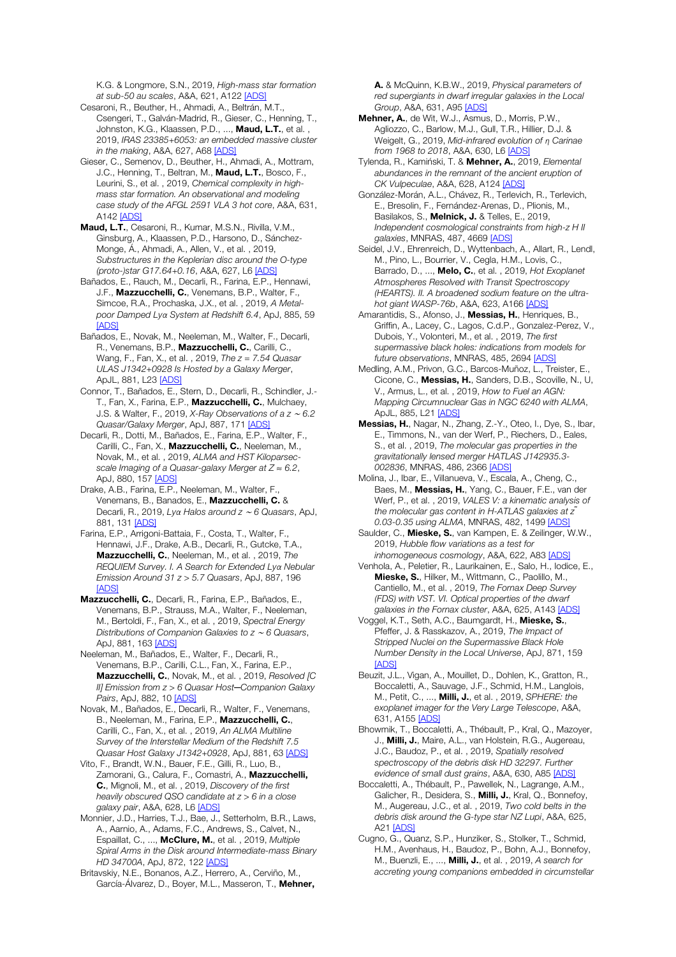K.G. & Longmore, S.N., 2019, *High-mass star formation at sub-50 au scales*, A&A, 621, A122 [ADS]

Cesaroni, R., Beuther, H., Ahmadi, A., Beltrán, M.T., Csengeri, T., Galván-Madrid, R., Gieser, C., Henning, T., Johnston, K.G., Klaassen, P.D., ..., Maud, L.T., et al., 2019, *IRAS 23385+6053: an embedded massive cluster in the making*, A&A, 627, A68 [ADS]

Gieser, C., Semenov, D., Beuther, H., Ahmadi, A., Mottram, J.C., Henning, T., Beltran, M., Maud, L.T., Bosco, F., Leurini, S., et al. , 2019, *Chemical complexity in highmass star formation. An observational and modeling case study of the AFGL 2591 VLA 3 hot core*, A&A, 631, A142 [ADS]

Maud, L.T., Cesaroni, R., Kumar, M.S.N., Rivilla, V.M., Ginsburg, A., Klaassen, P.D., Harsono, D., Sánchez-Monge, Á., Ahmadi, A., Allen, V., et al. , 2019, *Substructures in the Keplerian disc around the O-type (proto-)star G17.64+0.16*, A&A, 627, L6 [ADS]

Bañados, E., Rauch, M., Decarli, R., Farina, E.P., Hennawi, J.F., Mazzucchelli, C., Venemans, B.P., Walter, F., Simcoe, R.A., Prochaska, J.X., et al. , 2019, *A Metalpoor Damped Lyα System at Redshift 6.4*, ApJ, 885, 59 [ADS]

Bañados, E., Novak, M., Neeleman, M., Walter, F., Decarli, R., Venemans, B.P., Mazzucchelli, C., Carilli, C., Wang, F., Fan, X., et al. , 2019, *The z = 7.54 Quasar ULAS J1342+0928 Is Hosted by a Galaxy Merger*, ApJL, 881, L23 [ADS]

Connor, T., Bañados, E., Stern, D., Decarli, R., Schindler, J.- T., Fan, X., Farina, E.P., Mazzucchelli, C., Mulchaey, J.S. & Walter, F., 2019, *X-Ray Observations of a z* <sup>∼</sup> *6.2 Quasar/Galaxy Merger*, ApJ, 887, 171 [ADS]

Decarli, R., Dotti, M., Bañados, E., Farina, E.P., Walter, F., Carilli, C., Fan, X., Mazzucchelli, C., Neeleman, M., Novak, M., et al. , 2019, *ALMA and HST Kiloparsecscale Imaging of a Quasar-galaxy Merger at Z* ≈ *6.2*, ApJ, 880, 157 [ADS]

Drake, A.B., Farina, E.P., Neeleman, M., Walter, F., Venemans, B., Banados, E., Mazzucchelli, C. & Decarli, R., 2019, *Lyα Halos around z* <sup>∼</sup> *6 Quasars*, ApJ, 881, 131 [ADS]

Farina, E.P., Arrigoni-Battaia, F., Costa, T., Walter, F., Hennawi, J.F., Drake, A.B., Decarli, R., Gutcke, T.A., Mazzucchelli, C., Neeleman, M., et al. , 2019, *The REQUIEM Survey. I. A Search for Extended Lyα Nebular Emission Around 31 z > 5.7 Quasars*, ApJ, 887, 196 [ADS]

Mazzucchelli, C., Decarli, R., Farina, E.P., Bañados, E., Venemans, B.P., Strauss, M.A., Walter, F., Neeleman, M., Bertoldi, F., Fan, X., et al. , 2019, *Spectral Energy Distributions of Companion Galaxies to z* <sup>∼</sup> *6 Quasars*, ApJ, 881, 163 [ADS]

Neeleman, M., Bañados, E., Walter, F., Decarli, R., Venemans, B.P., Carilli, C.L., Fan, X., Farina, E.P., Mazzucchelli, C., Novak, M., et al. , 2019, *Resolved [C II] Emission from z > 6 Quasar Host─Companion Galaxy Pairs*, ApJ, 882, 10 [ADS]

Novak, M., Bañados, E., Decarli, R., Walter, F., Venemans, B., Neeleman, M., Farina, E.P., Mazzucchelli, C., Carilli, C., Fan, X., et al. , 2019, *An ALMA Multiline Survey of the Interstellar Medium of the Redshift 7.5 Quasar Host Galaxy J1342+0928*, ApJ, 881, 63 [ADS]

Vito, F., Brandt, W.N., Bauer, F.E., Gilli, R., Luo, B., Zamorani, G., Calura, F., Comastri, A., Mazzucchelli, C., Mignoli, M., et al. , 2019, *Discovery of the first heavily obscured QSO candidate at z > 6 in a close galaxy pair*, A&A, 628, L6 [ADS]

Monnier, J.D., Harries, T.J., Bae, J., Setterholm, B.R., Laws, A., Aarnio, A., Adams, F.C., Andrews, S., Calvet, N., Espaillat, C., ..., McClure, M., et al. , 2019, *Multiple Spiral Arms in the Disk around Intermediate-mass Binary HD 34700A*, ApJ, 872, 122 [ADS]

Britavskiy, N.E., Bonanos, A.Z., Herrero, A., Cerviño, M., García-Álvarez, D., Boyer, M.L., Masseron, T., Mehner, A. & McQuinn, K.B.W., 2019, *Physical parameters of red supergiants in dwarf irregular galaxies in the Local Group*, A&A, 631, A95 [ADS]

Mehner, A., de Wit, W.J., Asmus, D., Morris, P.W., Agliozzo, C., Barlow, M.J., Gull, T.R., Hillier, D.J. & Weigelt, G., 2019, *Mid-infrared evolution of η Carinae from 1968 to 2018*, A&A, 630, L6 [ADS]

Tylenda, R., Kamiński, T. & Mehner, A., 2019, *Elemental abundances in the remnant of the ancient eruption of CK Vulpeculae*, A&A, 628, A124 [ADS]

González-Morán, A.L., Chávez, R., Terlevich, R., Terlevich, E., Bresolin, F., Fernández-Arenas, D., Plionis, M., Basilakos, S., Melnick, J. & Telles, E., 2019, *Independent cosmological constraints from high-z H II galaxies*, MNRAS, 487, 4669 [ADS]

Seidel, J.V., Ehrenreich, D., Wyttenbach, A., Allart, R., Lendl, M., Pino, L., Bourrier, V., Cegla, H.M., Lovis, C., Barrado, D., ..., Melo, C., et al. , 2019, *Hot Exoplanet Atmospheres Resolved with Transit Spectroscopy (HEARTS). II. A broadened sodium feature on the ultrahot giant WASP-76b*, A&A, 623, A166 [ADS]

Amarantidis, S., Afonso, J., Messias, H., Henriques, B., Griffin, A., Lacey, C., Lagos, C.d.P., Gonzalez-Perez, V., Dubois, Y., Volonteri, M., et al. , 2019, *The first supermassive black holes: indications from models for future observations*, MNRAS, 485, 2694 [ADS]

Medling, A.M., Privon, G.C., Barcos-Muñoz, L., Treister, E., Cicone, C., Messias, H., Sanders, D.B., Scoville, N., U, V., Armus, L., et al. , 2019, *How to Fuel an AGN: Mapping Circumnuclear Gas in NGC 6240 with ALMA*, ApJL, 885, L21 [ADS]

Messias, H., Nagar, N., Zhang, Z.-Y., Oteo, I., Dye, S., Ibar, E., Timmons, N., van der Werf, P., Riechers, D., Eales, S., et al. , 2019, *The molecular gas properties in the gravitationally lensed merger HATLAS J142935.3- 002836*, MNRAS, 486, 2366 [ADS]

Molina, J., Ibar, E., Villanueva, V., Escala, A., Cheng, C., Baes, M., Messias, H., Yang, C., Bauer, F.E., van der Werf, P., et al. , 2019, *VALES V: a kinematic analysis of the molecular gas content in H-ATLAS galaxies at z ̃ 0.03-0.35 using ALMA*, MNRAS, 482, 1499 [ADS]

Saulder, C., Mieske, S., van Kampen, E. & Zeilinger, W.W., 2019, *Hubble flow variations as a test for inhomogeneous cosmology*, A&A, 622, A83 [ADS]

Venhola, A., Peletier, R., Laurikainen, E., Salo, H., Iodice, E., Mieske, S., Hilker, M., Wittmann, C., Paolillo, M., Cantiello, M., et al. , 2019, *The Fornax Deep Survey (FDS) with VST. VI. Optical properties of the dwarf galaxies in the Fornax cluster*, A&A, 625, A143 [ADS]

Voggel, K.T., Seth, A.C., Baumgardt, H., Mieske, S., Pfeffer, J. & Rasskazov, A., 2019, *The Impact of Stripped Nuclei on the Supermassive Black Hole Number Density in the Local Universe*, ApJ, 871, 159 **[ADS]** 

Beuzit, J.L., Vigan, A., Mouillet, D., Dohlen, K., Gratton, R., Boccaletti, A., Sauvage, J.F., Schmid, H.M., Langlois, M., Petit, C., ..., Milli, J., et al. , 2019, *SPHERE: the exoplanet imager for the Very Large Telescope*, A&A, 631, A155 [ADS]

Bhowmik, T., Boccaletti, A., Thébault, P., Kral, Q., Mazoyer, J., Milli, J., Maire, A.L., van Holstein, R.G., Augereau, J.C., Baudoz, P., et al. , 2019, *Spatially resolved spectroscopy of the debris disk HD 32297. Further evidence of small dust grains*, A&A, 630, A85 [ADS]

Boccaletti, A., Thébault, P., Pawellek, N., Lagrange, A.M., Galicher, R., Desidera, S., Milli, J., Kral, Q., Bonnefoy, M., Augereau, J.C., et al. , 2019, *Two cold belts in the debris disk around the G-type star NZ Lupi*, A&A, 625, A21 [ADS]

Cugno, G., Quanz, S.P., Hunziker, S., Stolker, T., Schmid, H.M., Avenhaus, H., Baudoz, P., Bohn, A.J., Bonnefoy, M., Buenzli, E., ..., Milli, J., et al. , 2019, *A search for accreting young companions embedded in circumstellar*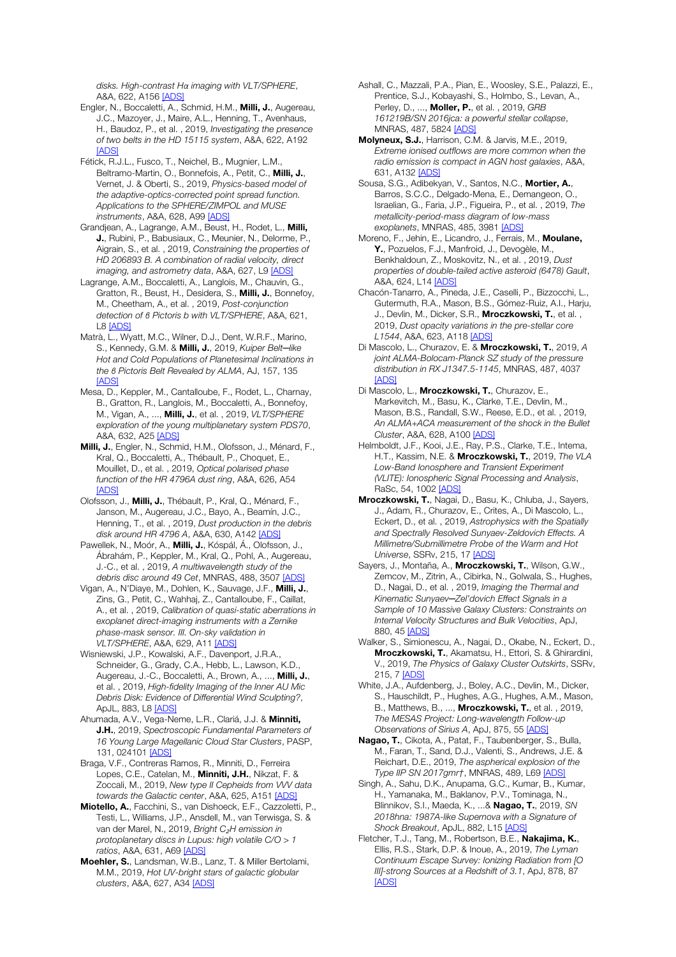*disks. High-contrast Hα imaging with VLT/SPHERE*, A&A, 622, A156 [ADS]

- Engler, N., Boccaletti, A., Schmid, H.M., Milli, J., Augereau, J.C., Mazoyer, J., Maire, A.L., Henning, T., Avenhaus, H., Baudoz, P., et al. , 2019, *Investigating the presence of two belts in the HD 15115 system*, A&A, 622, A192 [ADS]
- Fétick, R.J.L., Fusco, T., Neichel, B., Mugnier, L.M., Beltramo-Martin, O., Bonnefois, A., Petit, C., Milli, J., Vernet, J. & Oberti, S., 2019, *Physics-based model of the adaptive-optics-corrected point spread function. Applications to the SPHERE/ZIMPOL and MUSE instruments*, A&A, 628, A99 [ADS]
- Grandjean, A., Lagrange, A.M., Beust, H., Rodet, L., Milli, J., Rubini, P., Babusiaux, C., Meunier, N., Delorme, P., Aigrain, S., et al. , 2019, *Constraining the properties of HD 206893 B. A combination of radial velocity, direct imaging, and astrometry data*, A&A, 627, L9 [ADS]
- Lagrange, A.M., Boccaletti, A., Langlois, M., Chauvin, G., Gratton, R., Beust, H., Desidera, S., Milli, J., Bonnefoy, M., Cheetham, A., et al. , 2019, *Post-conjunction detection of β Pictoris b with VLT/SPHERE*, A&A, 621, L8 [ADS]
- Matrà, L., Wyatt, M.C., Wilner, D.J., Dent, W.R.F., Marino, S., Kennedy, G.M. & Milli, J., 2019, *Kuiper Belt─like Hot and Cold Populations of Planetesimal Inclinations in the β Pictoris Belt Revealed by ALMA*, AJ, 157, 135 [ADS]
- Mesa, D., Keppler, M., Cantalloube, F., Rodet, L., Charnay, B., Gratton, R., Langlois, M., Boccaletti, A., Bonnefoy, M., Vigan, A., ..., Milli, J., et al. , 2019, *VLT/SPHERE exploration of the young multiplanetary system PDS70*, A&A, 632, A25 [ADS]
- Milli, J., Engler, N., Schmid, H.M., Olofsson, J., Ménard, F., Kral, Q., Boccaletti, A., Thébault, P., Choquet, E., Mouillet, D., et al. , 2019, *Optical polarised phase function of the HR 4796A dust ring*, A&A, 626, A54 **[ADS]**
- Olofsson, J., Milli, J., Thébault, P., Kral, Q., Ménard, F., Janson, M., Augereau, J.C., Bayo, A., Beamín, J.C., Henning, T., et al. , 2019, *Dust production in the debris disk around HR 4796 A*, A&A, 630, A142 [ADS]
- Pawellek, N., Moór, A., Milli, J., Kóspál, Á., Olofsson, J., Ábrahám, P., Keppler, M., Kral, Q., Pohl, A., Augereau, J.-C., et al. , 2019, *A multiwavelength study of the debris disc around 49 Cet*, MNRAS, 488, 3507 [ADS]
- Vigan, A., N'Diaye, M., Dohlen, K., Sauvage, J.F., Milli, J., Zins, G., Petit, C., Wahhaj, Z., Cantalloube, F., Caillat, A., et al. , 2019, *Calibration of quasi-static aberrations in exoplanet direct-imaging instruments with a Zernike phase-mask sensor. III. On-sky validation in VLT/SPHERE*, A&A, 629, A11 [ADS]
- Wisniewski, J.P., Kowalski, A.F., Davenport, J.R.A., Schneider, G., Grady, C.A., Hebb, L., Lawson, K.D., Augereau, J.-C., Boccaletti, A., Brown, A., ..., Milli, J., et al. , 2019, *High-fidelity Imaging of the Inner AU Mic Debris Disk: Evidence of Differential Wind Sculpting?*, ApJL, 883, L8 [ADS]
- Ahumada, A.V., Vega-Neme, L.R., Clariá, J.J. & Minniti, J.H., 2019, *Spectroscopic Fundamental Parameters of 16 Young Large Magellanic Cloud Star Clusters*, PASP, 131, 024101 [ADS]
- Braga, V.F., Contreras Ramos, R., Minniti, D., Ferreira Lopes, C.E., Catelan, M., Minniti, J.H., Nikzat, F. & Zoccali, M., 2019, *New type II Cepheids from VVV data towards the Galactic center*, A&A, 625, A151 [ADS]
- Miotello, A., Facchini, S., van Dishoeck, E.F., Cazzoletti, P., Testi, L., Williams, J.P., Ansdell, M., van Terwisga, S. & van der Marel, N., 2019, *Bright C*₂*H emission in protoplanetary discs in Lupus: high volatile C/O > 1 ratios*, A&A, 631, A69 [ADS]
- Moehler, S., Landsman, W.B., Lanz, T. & Miller Bertolami, M.M., 2019, *Hot UV-bright stars of galactic globular clusters*, A&A, 627, A34 [ADS]
- Ashall, C., Mazzali, P.A., Pian, E., Woosley, S.E., Palazzi, E., Prentice, S.J., Kobayashi, S., Holmbo, S., Levan, A., Perley, D., ..., Moller, P., et al. , 2019, *GRB 161219B/SN 2016jca: a powerful stellar collapse*, MNRAS, 487, 5824 [ADS]
- Molyneux, S.J., Harrison, C.M. & Jarvis, M.E., 2019, *Extreme ionised outflows are more common when the radio emission is compact in AGN host galaxies*, A&A, 631, A132 [ADS]
- Sousa, S.G., Adibekyan, V., Santos, N.C., Mortier, A., Barros, S.C.C., Delgado-Mena, E., Demangeon, O., Israelian, G., Faria, J.P., Figueira, P., et al. , 2019, *The metallicity-period-mass diagram of low-mass exoplanets*, MNRAS, 485, 3981 [ADS]
- Moreno, F., Jehin, E., Licandro, J., Ferrais, M., Moulane, Y., Pozuelos, F.J., Manfroid, J., Devogèle, M., Benkhaldoun, Z., Moskovitz, N., et al. , 2019, *Dust properties of double-tailed active asteroid (6478) Gault*, A&A, 624, L14 [ADS]
- Chacón-Tanarro, A., Pineda, J.E., Caselli, P., Bizzocchi, L., Gutermuth, R.A., Mason, B.S., Gómez-Ruiz, A.I., Harju, J., Devlin, M., Dicker, S.R., Mroczkowski, T., et al. 2019, *Dust opacity variations in the pre-stellar core L1544*, A&A, 623, A118 [ADS]
- Di Mascolo, L., Churazov, E. & Mroczkowski, T., 2019, *A joint ALMA-Bolocam-Planck SZ study of the pressure distribution in RX J1347.5-1145*, MNRAS, 487, 4037 **[ADS]**
- Di Mascolo, L., **Mroczkowski, T.**, Churazov, E., Markevitch, M., Basu, K., Clarke, T.E., Devlin, M., Mason, B.S., Randall, S.W., Reese, E.D., et al. , 2019, *An ALMA+ACA measurement of the shock in the Bullet Cluster*, A&A, 628, A100 [ADS]
- Helmboldt, J.F., Kooi, J.E., Ray, P.S., Clarke, T.E., Intema, H.T., Kassim, N.E. & Mroczkowski, T., 2019, *The VLA Low-Band Ionosphere and Transient Experiment (VLITE): Ionospheric Signal Processing and Analysis*, RaSc, 54, 1002 [ADS]
- Mroczkowski, T., Nagai, D., Basu, K., Chluba, J., Sayers, J., Adam, R., Churazov, E., Crites, A., Di Mascolo, L., Eckert, D., et al. , 2019, *Astrophysics with the Spatially and Spectrally Resolved Sunyaev-Zeldovich Effects. A Millimetre/Submillimetre Probe of the Warm and Hot Universe*, SSRv, 215, 17 [ADS]
- Sayers, J., Montaña, A., Mroczkowski, T., Wilson, G.W., Zemcov, M., Zitrin, A., Cibirka, N., Golwala, S., Hughes, D., Nagai, D., et al. , 2019, *Imaging the Thermal and Kinematic Sunyaev─Zel'dovich Effect Signals in a Sample of 10 Massive Galaxy Clusters: Constraints on Internal Velocity Structures and Bulk Velocities*, ApJ, 880, 45 [ADS]
- Walker, S., Simionescu, A., Nagai, D., Okabe, N., Eckert, D., Mroczkowski, T., Akamatsu, H., Ettori, S. & Ghirardini, V., 2019, *The Physics of Galaxy Cluster Outskirts*, SSRv, 215, 7 [ADS]
- White, J.A., Aufdenberg, J., Boley, A.C., Devlin, M., Dicker, S., Hauschildt, P., Hughes, A.G., Hughes, A.M., Mason, B., Matthews, B., ..., Mroczkowski, T., et al. , 2019, *The MESAS Project: Long-wavelength Follow-up Observations of Sirius A*, ApJ, 875, 55 [ADS]
- Nagao, T., Cikota, A., Patat, F., Taubenberger, S., Bulla, M., Faran, T., Sand, D.J., Valenti, S., Andrews, J.E. & Reichart, D.E., 2019, *The aspherical explosion of the Type IIP SN 2017gmr†*, MNRAS, 489, L69 [ADS]
- Singh, A., Sahu, D.K., Anupama, G.C., Kumar, B., Kumar, H., Yamanaka, M., Baklanov, P.V., Tominaga, N., Blinnikov, S.I., Maeda, K., ...& Nagao, T., 2019, *SN 2018hna: 1987A-like Supernova with a Signature of Shock Breakout*, ApJL, 882, L15 [ADS]
- Fletcher, T.J., Tang, M., Robertson, B.E., Nakajima, K., Ellis, R.S., Stark, D.P. & Inoue, A., 2019, *The Lyman Continuum Escape Survey: Ionizing Radiation from [O III]-strong Sources at a Redshift of 3.1*, ApJ, 878, 87 **[ADS]**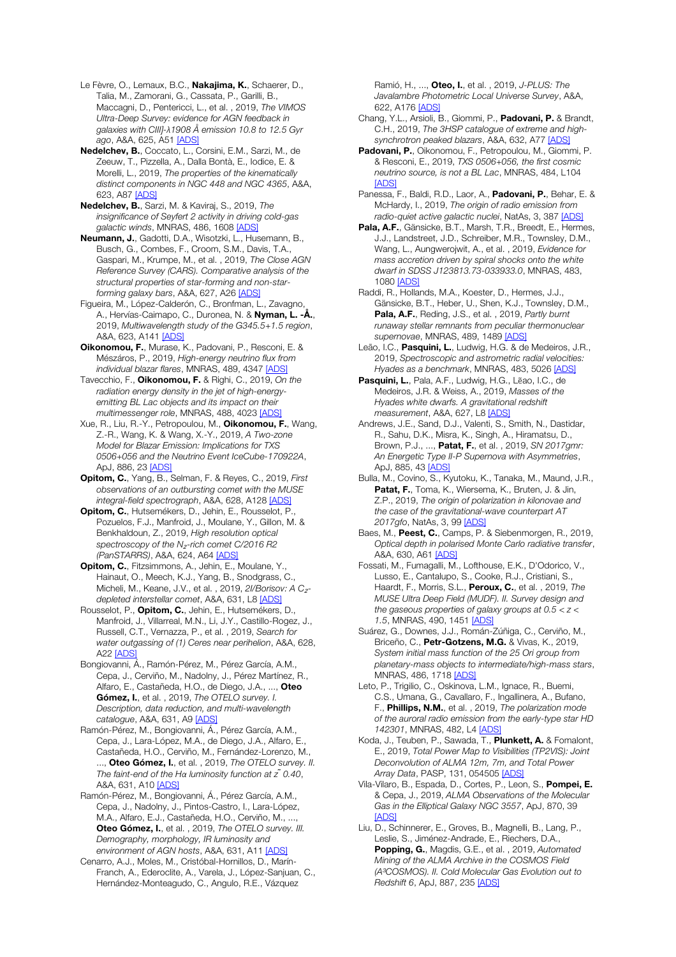Le Fèvre, O., Lemaux, B.C., Nakajima, K., Schaerer, D., Talia, M., Zamorani, G., Cassata, P., Garilli, B., Maccagni, D., Pentericci, L., et al. , 2019, *The VIMOS Ultra-Deep Survey: evidence for AGN feedback in galaxies with CIII]-λ1908 Å emission 10.8 to 12.5 Gyr ago*, A&A, 625, A51 [ADS]

Nedelchev, B., Coccato, L., Corsini, E.M., Sarzi, M., de Zeeuw, T., Pizzella, A., Dalla Bontà, E., Iodice, E. & Morelli, L., 2019, *The properties of the kinematically distinct components in NGC 448 and NGC 4365*, A&A, 623, A87 [ADS]

Nedelchev, B., Sarzi, M. & Kaviraj, S., 2019, *The insignificance of Seyfert 2 activity in driving cold-gas galactic winds*, MNRAS, 486, 1608 [ADS]

Neumann, J., Gadotti, D.A., Wisotzki, L., Husemann, B., Busch, G., Combes, F., Croom, S.M., Davis, T.A., Gaspari, M., Krumpe, M., et al. , 2019, *The Close AGN Reference Survey (CARS). Comparative analysis of the structural properties of star-forming and non-starforming galaxy bars*, A&A, 627, A26 [ADS]

Figueira, M., López-Calderón, C., Bronfman, L., Zavagno, A., Hervías-Caimapo, C., Duronea, N. & **Nyman, L. -Å.**, 2019, *Multiwavelength study of the G345.5+1.5 region*, A&A, 623, A141 <u>[ADS]</u>

Oikonomou, F., Murase, K., Padovani, P., Resconi, E. & Mészáros, P., 2019, *High-energy neutrino flux from individual blazar flares*, MNRAS, 489, 4347 [ADS]

Tavecchio, F., Oikonomou, F. & Righi, C., 2019, *On the radiation energy density in the jet of high-energyemitting BL Lac objects and its impact on their multimessenger role*, MNRAS, 488, 4023 [ADS]

Xue, R., Liu, R.-Y., Petropoulou, M., Oikonomou, F., Wang, Z.-R., Wang, K. & Wang, X.-Y., 2019, *A Two-zone Model for Blazar Emission: Implications for TXS 0506+056 and the Neutrino Event IceCube-170922A*, ApJ, 886, 23 [ADS]

Opitom, C., Yang, B., Selman, F. & Reyes, C., 2019, *First observations of an outbursting comet with the MUSE integral-field spectrograph*, A&A, 628, A128 [ADS]

Opitom, C., Hutsemékers, D., Jehin, E., Rousselot, P. Pozuelos, F.J., Manfroid, J., Moulane, Y., Gillon, M. & Benkhaldoun, Z., 2019, *High resolution optical spectroscopy of the N*₂*-rich comet C/2016 R2 (PanSTARRS)*, A&A, 624, A64 [ADS]

Opitom, C., Fitzsimmons, A., Jehin, E., Moulane, Y., Hainaut, O., Meech, K.J., Yang, B., Snodgrass, C., Micheli, M., Keane, J.V., et al. , 2019, *2I/Borisov: A C*₂ *depleted interstellar comet*, A&A, 631, L8 [ADS]

Rousselot, P., Opitom, C., Jehin, E., Hutsemékers, D., Manfroid, J., Villarreal, M.N., Li, J.Y., Castillo-Rogez, J., Russell, C.T., Vernazza, P., et al. , 2019, *Search for water outgassing of (1) Ceres near perihelion*, A&A, 628, A22 [ADS]

Bongiovanni, Á., Ramón-Pérez, M., Pérez García, A.M., Cepa, J., Cerviño, M., Nadolny, J., Pérez Martínez, R., Alfaro, E., Castañeda, H.O., de Diego, J.A., ..., Oteo Gómez, I., et al. , 2019, *The OTELO survey. I. Description, data reduction, and multi-wavelength catalogue*, A&A, 631, A9 [ADS]

Ramón-Pérez, M., Bongiovanni, Á., Pérez García, A.M., Cepa, J., Lara-López, M.A., de Diego, J.A., Alfaro, E., Castañeda, H.O., Cerviño, M., Fernández-Lorenzo, M., ..., Oteo Gómez, I., et al. , 2019, *The OTELO survey. II. The faint-end of the Hα luminosity function at z ̃0.40*, A&A, 631, A10 [ADS]

Ramón-Pérez, M., Bongiovanni, Á., Pérez García, A.M., Cepa, J., Nadolny, J., Pintos-Castro, I., Lara-López, M.A., Alfaro, E.J., Castañeda, H.O., Cerviño, M., ..., Oteo Gómez, I., et al. , 2019, *The OTELO survey. III. Demography, morphology, IR luminosity and environment of AGN hosts*, A&A, 631, A11 [ADS]

Cenarro, A.J., Moles, M., Cristóbal-Hornillos, D., Marín-Franch, A., Ederoclite, A., Varela, J., López-Sanjuan, C., Hernández-Monteagudo, C., Angulo, R.E., Vázquez

Ramió, H., ..., Oteo, I., et al. , 2019, *J-PLUS: The Javalambre Photometric Local Universe Survey*, A&A, 622, A176 [ADS]

- Chang, Y.L., Arsioli, B., Giommi, P., Padovani, P. & Brandt, C.H., 2019, *The 3HSP catalogue of extreme and highsynchrotron peaked blazars*, A&A, 632, A77 [ADS]
- Padovani, P., Oikonomou, F., Petropoulou, M., Giommi, P. & Resconi, E., 2019, *TXS 0506+056, the first cosmic neutrino source, is not a BL Lac*, MNRAS, 484, L104 **[ADS]**
- Panessa, F., Baldi, R.D., Laor, A., Padovani, P., Behar, E. & McHardy, I., 2019, *The origin of radio emission from*  radio-quiet active galactic nuclei, NatAs, 3, 387 [ADS]
- Pala, A.F., Gänsicke, B.T., Marsh, T.R., Breedt, E., Hermes, J.J., Landstreet, J.D., Schreiber, M.R., Townsley, D.M., Wang, L., Aungwerojwit, A., et al. , 2019, *Evidence for mass accretion driven by spiral shocks onto the white dwarf in SDSS J123813.73-033933.0*, MNRAS, 483, 1080 [ADS]

Raddi, R., Hollands, M.A., Koester, D., Hermes, J.J., Gänsicke, B.T., Heber, U., Shen, K.J., Townsley, D.M., Pala, A.F., Reding, J.S., et al. , 2019, *Partly burnt runaway stellar remnants from peculiar thermonuclear supernovae*, MNRAS, 489, 1489 [ADS]

Leão, I.C., Pasquini, L., Ludwig, H.G. & de Medeiros, J.R., 2019, *Spectroscopic and astrometric radial velocities: Hyades as a benchmark*, MNRAS, 483, 5026 [ADS]

Pasquini, L., Pala, A.F., Ludwig, H.G., Lẽao, I.C., de Medeiros, J.R. & Weiss, A., 2019, *Masses of the Hyades white dwarfs. A gravitational redshift measurement*, A&A, 627, L8 [ADS]

Andrews, J.E., Sand, D.J., Valenti, S., Smith, N., Dastidar, R., Sahu, D.K., Misra, K., Singh, A., Hiramatsu, D., Brown, P.J., ..., Patat, F., et al. , 2019, *SN 2017gmr: An Energetic Type II-P Supernova with Asymmetries*, ApJ, 885, 43 [ADS]

Bulla, M., Covino, S., Kyutoku, K., Tanaka, M., Maund, J.R., Patat, F., Toma, K., Wiersema, K., Bruten, J. & Jin, Z.P., 2019, *The origin of polarization in kilonovae and the case of the gravitational-wave counterpart AT 2017gfo*, NatAs, 3, 99 [ADS]

Baes, M., Peest, C., Camps, P. & Siebenmorgen, R., 2019, *Optical depth in polarised Monte Carlo radiative transfer*, A&A, 630, A61 [ADS]

Fossati, M., Fumagalli, M., Lofthouse, E.K., D'Odorico, V., Lusso, E., Cantalupo, S., Cooke, R.J., Cristiani, S., Haardt, F., Morris, S.L., Peroux, C., et al. , 2019, *The MUSE Ultra Deep Field (MUDF). II. Survey design and the gaseous properties of galaxy groups at 0.5 < z < 1.5*, MNRAS, 490, 1451 [ADS]

Suárez, G., Downes, J.J., Román-Zúñiga, C., Cerviño, M., Briceño, C., Petr-Gotzens, M.G. & Vivas, K., 2019, *System initial mass function of the 25 Ori group from planetary-mass objects to intermediate/high-mass stars*, MNRAS, 486, 1718 [ADS]

Leto, P., Trigilio, C., Oskinova, L.M., Ignace, R., Buemi, C.S., Umana, G., Cavallaro, F., Ingallinera, A., Bufano, F., Phillips, N.M., et al. , 2019, *The polarization mode of the auroral radio emission from the early-type star HD 142301*, MNRAS, 482, L4 [ADS]

Koda, J., Teuben, P., Sawada, T., Plunkett, A. & Fomalont, E., 2019, *Total Power Map to Visibilities (TP2VIS): Joint Deconvolution of ALMA 12m, 7m, and Total Power Array Data*, PASP, 131, 054505 [ADS]

Vila-Vilaro, B., Espada, D., Cortes, P., Leon, S., Pompei, E. & Cepa, J., 2019, *ALMA Observations of the Molecular Gas in the Elliptical Galaxy NGC 3557*, ApJ, 870, 39 [ADS]

Liu, D., Schinnerer, E., Groves, B., Magnelli, B., Lang, P., Leslie, S., Jiménez-Andrade, E., Riechers, D.A., Popping, G., Magdis, G.E., et al. , 2019, *Automated Mining of the ALMA Archive in the COSMOS Field (A*³*COSMOS). II. Cold Molecular Gas Evolution out to Redshift 6*, ApJ, 887, 235 [ADS]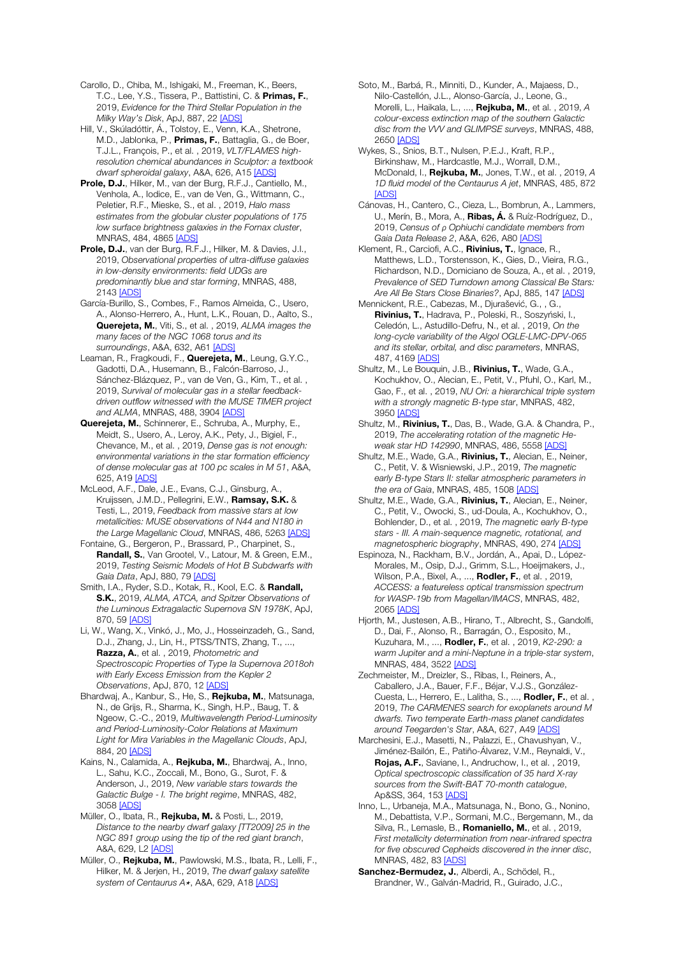Carollo, D., Chiba, M., Ishigaki, M., Freeman, K., Beers, T.C., Lee, Y.S., Tissera, P., Battistini, C. & Primas, F., 2019, *Evidence for the Third Stellar Population in the Milky Way's Disk*, ApJ, 887, 22 [ADS]

Hill, V., Skúladóttir, Á., Tolstoy, E., Venn, K.A., Shetrone, M.D., Jablonka, P., Primas, F., Battaglia, G., de Boer, T.J.L., François, P., et al. , 2019, *VLT/FLAMES highresolution chemical abundances in Sculptor: a textbook dwarf spheroidal galaxy*, A&A, 626, A15 [ADS]

Prole, D.J., Hilker, M., van der Burg, R.F.J., Cantiello, M., Venhola, A., Iodice, E., van de Ven, G., Wittmann, C., Peletier, R.F., Mieske, S., et al. , 2019, *Halo mass estimates from the globular cluster populations of 175 low surface brightness galaxies in the Fornax cluster*, MNRAS, 484, 4865 [ADS]

Prole, D.J., van der Burg, R.F.J., Hilker, M. & Davies, J.I., 2019, *Observational properties of ultra-diffuse galaxies in low-density environments: field UDGs are predominantly blue and star forming*, MNRAS, 488, 2143 [ADS]

García-Burillo, S., Combes, F., Ramos Almeida, C., Usero, A., Alonso-Herrero, A., Hunt, L.K., Rouan, D., Aalto, S., Querejeta, M., Viti, S., et al. , 2019, *ALMA images the many faces of the NGC 1068 torus and its surroundings*, A&A, 632, A61 [ADS]

Leaman, R., Fragkoudi, F., Querejeta, M., Leung, G.Y.C., Gadotti, D.A., Husemann, B., Falcón-Barroso, J., Sánchez-Blázquez, P., van de Ven, G., Kim, T., et al. , 2019, *Survival of molecular gas in a stellar feedbackdriven outflow witnessed with the MUSE TIMER project and ALMA*, MNRAS, 488, 3904 [ADS]

Querejeta, M., Schinnerer, E., Schruba, A., Murphy, E., Meidt, S., Usero, A., Leroy, A.K., Pety, J., Bigiel, F., Chevance, M., et al. , 2019, *Dense gas is not enough: environmental variations in the star formation efficiency of dense molecular gas at 100 pc scales in M 51*, A&A, 625, A19 [ADS]

McLeod, A.F., Dale, J.E., Evans, C.J., Ginsburg, A., Kruijssen, J.M.D., Pellegrini, E.W., Ramsay, S.K. & Testi, L., 2019, *Feedback from massive stars at low metallicities: MUSE observations of N44 and N180 in the Large Magellanic Cloud*, MNRAS, 486, 5263 [ADS]

Fontaine, G., Bergeron, P., Brassard, P., Charpinet, S., Randall, S., Van Grootel, V., Latour, M. & Green, E.M., 2019, *Testing Seismic Models of Hot B Subdwarfs with Gaia Data*, ApJ, 880, 79 [ADS]

Smith, I.A., Ryder, S.D., Kotak, R., Kool, E.C. & Randall, S.K., 2019, *ALMA, ATCA, and Spitzer Observations of the Luminous Extragalactic Supernova SN 1978K*, ApJ, 870, 59 [ADS]

Li, W., Wang, X., Vinkó, J., Mo, J., Hosseinzadeh, G., Sand, D.J., Zhang, J., Lin, H., PTSS/TNTS, Zhang, T., ..., Razza, A., et al. , 2019, *Photometric and Spectroscopic Properties of Type Ia Supernova 2018oh with Early Excess Emission from the Kepler 2 Observations*, ApJ, 870, 12 [ADS]

Bhardwaj, A., Kanbur, S., He, S., Rejkuba, M., Matsunaga, N., de Grijs, R., Sharma, K., Singh, H.P., Baug, T. & Ngeow, C.-C., 2019, *Multiwavelength Period-Luminosity and Period-Luminosity-Color Relations at Maximum Light for Mira Variables in the Magellanic Clouds*, ApJ, 884, 20 [ADS]

Kains, N., Calamida, A., Rejkuba, M., Bhardwaj, A., Inno, L., Sahu, K.C., Zoccali, M., Bono, G., Surot, F. & Anderson, J., 2019, *New variable stars towards the Galactic Bulge - I. The bright regime*, MNRAS, 482, 3058 [ADS]

Müller, O., Ibata, R., Rejkuba, M. & Posti, L., 2019, *Distance to the nearby dwarf galaxy [TT2009] 25 in the NGC 891 group using the tip of the red giant branch*, A&A, 629, L2 [ADS]

Müller, O., Rejkuba, M., Pawlowski, M.S., Ibata, R., Lelli, F., Hilker, M. & Jerjen, H., 2019, *The dwarf galaxy satellite*  system of Centaurus A<sup>\*</sup>, A&A, 629, A18 [ADS]

Soto, M., Barbá, R., Minniti, D., Kunder, A., Majaess, D., Nilo-Castellón, J.L., Alonso-García, J., Leone, G., Morelli, L., Haikala, L., ..., Rejkuba, M., et al. , 2019, *A colour-excess extinction map of the southern Galactic disc from the VVV and GLIMPSE surveys*, MNRAS, 488, 2650 [ADS]

Wykes, S., Snios, B.T., Nulsen, P.E.J., Kraft, R.P., Birkinshaw, M., Hardcastle, M.J., Worrall, D.M., McDonald, I., Rejkuba, M., Jones, T.W., et al. , 2019, *A 1D fluid model of the Centaurus A jet*, MNRAS, 485, 872 **[ADS]** 

Cánovas, H., Cantero, C., Cieza, L., Bombrun, A., Lammers, U., Merín, B., Mora, A., Ribas, Á. & Ruíz-Rodríguez, D., 2019, *Census of ρ Ophiuchi candidate members from Gaia Data Release 2*, A&A, 626, A80 [ADS]

Klement, R., Carciofi, A.C., **Rivinius, T.**, Ignace, R., Matthews, L.D., Torstensson, K., Gies, D., Vieira, R.G., Richardson, N.D., Domiciano de Souza, A., et al. , 2019, *Prevalence of SED Turndown among Classical Be Stars: Are All Be Stars Close Binaries?*, ApJ, 885, 147 [ADS]

Mennickent, R.E., Cabezas, M., Djurašević, G., , G., Rivinius, T., Hadrava, P., Poleski, R., Soszyński, I., Celedón, L., Astudillo-Defru, N., et al. , 2019, *On the long-cycle variability of the Algol OGLE-LMC-DPV-065 and its stellar, orbital, and disc parameters*, MNRAS, 487, 4169 [ADS]

Shultz, M., Le Bouquin, J.B., Rivinius, T., Wade, G.A., Kochukhov, O., Alecian, E., Petit, V., Pfuhl, O., Karl, M., Gao, F., et al. , 2019, *NU Ori: a hierarchical triple system with a strongly magnetic B-type star*, MNRAS, 482, 3950 [ADS]

Shultz, M., **Rivinius, T.**, Das, B., Wade, G.A. & Chandra, P., 2019, *The accelerating rotation of the magnetic Heweak star HD 142990*, MNRAS, 486, 5558 [ADS]

Shultz, M.E., Wade, G.A., Rivinius, T., Alecian, E., Neiner, C., Petit, V. & Wisniewski, J.P., 2019, *The magnetic early B-type Stars II: stellar atmospheric parameters in the era of Gaia*, MNRAS, 485, 1508 [ADS]

Shultz, M.E., Wade, G.A., Rivinius, T., Alecian, E., Neiner, C., Petit, V., Owocki, S., ud-Doula, A., Kochukhov, O., Bohlender, D., et al. , 2019, *The magnetic early B-type stars - III. A main-sequence magnetic, rotational, and magnetospheric biography*, MNRAS, 490, 274 [ADS]

Espinoza, N., Rackham, B.V., Jordán, A., Apai, D., López-Morales, M., Osip, D.J., Grimm, S.L., Hoeijmakers, J., Wilson, P.A., Bixel, A., ..., Rodler, F., et al. , 2019, *ACCESS: a featureless optical transmission spectrum for WASP-19b from Magellan/IMACS*, MNRAS, 482, 2065 [ADS]

Hjorth, M., Justesen, A.B., Hirano, T., Albrecht, S., Gandolfi, D., Dai, F., Alonso, R., Barragán, O., Esposito, M., Kuzuhara, M., ..., Rodler, F., et al. , 2019, *K2-290: a warm Jupiter and a mini-Neptune in a triple-star system*, MNRAS, 484, 3522 [ADS]

Zechmeister, M., Dreizler, S., Ribas, I., Reiners, A., Caballero, J.A., Bauer, F.F., Béjar, V.J.S., González-Cuesta, L., Herrero, E., Lalitha, S., ..., **Rodler, F.**, et al., 2019, *The CARMENES search for exoplanets around M dwarfs. Two temperate Earth-mass planet candidates around Teegarden's Star*, A&A, 627, A49 [ADS]

Marchesini, E.J., Masetti, N., Palazzi, E., Chavushyan, V., Jiménez-Bailón, E., Patiño-Álvarez, V.M., Reynaldi, V., Rojas, A.F., Saviane, I., Andruchow, I., et al. , 2019, *Optical spectroscopic classification of 35 hard X-ray sources from the Swift-BAT 70-month catalogue*, Ap&SS, 364, 153 [ADS]

Inno, L., Urbaneja, M.A., Matsunaga, N., Bono, G., Nonino, M., Debattista, V.P., Sormani, M.C., Bergemann, M., da Silva, R., Lemasle, B., Romaniello, M., et al. , 2019, *First metallicity determination from near-infrared spectra for five obscured Cepheids discovered in the inner disc*, MNRAS, 482, 83 [ADS]

Sanchez-Bermudez, J., Alberdi, A., Schödel, R., Brandner, W., Galván-Madrid, R., Guirado, J.C.,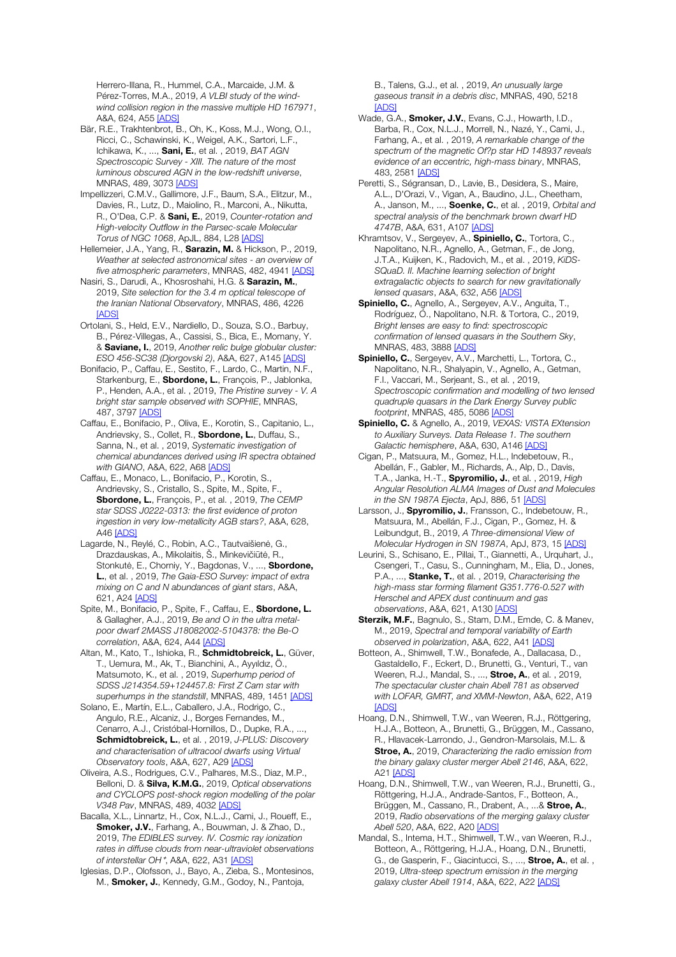Herrero-Illana, R., Hummel, C.A., Marcaide, J.M. & Pérez-Torres, M.A., 2019, *A VLBI study of the windwind collision region in the massive multiple HD 167971*, A&A, 624, A55 [ADS]

- Bär, R.E., Trakhtenbrot, B., Oh, K., Koss, M.J., Wong, O.I., Ricci, C., Schawinski, K., Weigel, A.K., Sartori, L.F., Ichikawa, K., ..., Sani, E., et al. , 2019, *BAT AGN Spectroscopic Survey - XIII. The nature of the most luminous obscured AGN in the low-redshift universe*, MNRAS, 489, 3073 [ADS]
- Impellizzeri, C.M.V., Gallimore, J.F., Baum, S.A., Elitzur, M., Davies, R., Lutz, D., Maiolino, R., Marconi, A., Nikutta, R., O'Dea, C.P. & Sani, E., 2019, *Counter-rotation and High-velocity Outflow in the Parsec-scale Molecular Torus of NGC 1068*, ApJL, 884, L28 [ADS]
- Hellemeier, J.A., Yang, R., Sarazin, M. & Hickson, P., 2019, *Weather at selected astronomical sites - an overview of five atmospheric parameters*, MNRAS, 482, 4941 [ADS]
- Nasiri, S., Darudi, A., Khosroshahi, H.G. & Sarazin, M., 2019, *Site selection for the 3.4 m optical telescope of the Iranian National Observatory*, MNRAS, 486, 4226 [ADS]
- Ortolani, S., Held, E.V., Nardiello, D., Souza, S.O., Barbuy, B., Pérez-Villegas, A., Cassisi, S., Bica, E., Momany, Y. & Saviane, I., 2019, *Another relic bulge globular cluster: ESO 456-SC38 (Djorgovski 2)*, A&A, 627, A145 [ADS]
- Bonifacio, P., Caffau, E., Sestito, F., Lardo, C., Martin, N.F., Starkenburg, E., Sbordone, L., François, P., Jablonka, P., Henden, A.A., et al. , 2019, *The Pristine survey - V. A bright star sample observed with SOPHIE*, MNRAS, 487, 3797 [ADS]
- Caffau, E., Bonifacio, P., Oliva, E., Korotin, S., Capitanio, L., Andrievsky, S., Collet, R., **Sbordone, L.**, Duffau, S., Sanna, N., et al. , 2019, *Systematic investigation of chemical abundances derived using IR spectra obtained with GIANO*, A&A, 622, A68 [ADS]
- Caffau, E., Monaco, L., Bonifacio, P., Korotin, S., Andrievsky, S., Cristallo, S., Spite, M., Spite, F., Sbordone, L., François, P., et al. , 2019, *The CEMP star SDSS J0222-0313: the first evidence of proton ingestion in very low-metallicity AGB stars?*, A&A, 628, A46 [ADS]
- Lagarde, N., Reylé, C., Robin, A.C., Tautvaišienė, G., Drazdauskas, A., Mikolaitis, Š., Minkevičiūtė, R., Stonkutė, E., Chorniy, Y., Bagdonas, V., ..., **Sbordone,** L., et al. , 2019, *The Gaia-ESO Survey: impact of extra mixing on C and N abundances of giant stars*, A&A, 621, A24 [ADS]
- Spite, M., Bonifacio, P., Spite, F., Caffau, E., Sbordone, L. & Gallagher, A.J., 2019, *Be and O in the ultra metalpoor dwarf 2MASS J18082002-5104378: the Be-O correlation*, A&A, 624, A44 [ADS]
- Altan, M., Kato, T., Ishioka, R., Schmidtobreick, L., Güver, T., Uemura, M., Ak, T., Bianchini, A., Ayyıldız, Ö., Matsumoto, K., et al. , 2019, *Superhump period of SDSS J214354.59+124457.8: First Z Cam star with*  superhumps in the standstill, MNRAS, 489, 1451 [ADS]
- Solano, E., Martín, E.L., Caballero, J.A., Rodrigo, C., Angulo, R.E., Alcaniz, J., Borges Fernandes, M., Cenarro, A.J., Cristóbal-Hornillos, D., Dupke, R.A., ..., Schmidtobreick, L., et al. , 2019, *J-PLUS: Discovery and characterisation of ultracool dwarfs using Virtual Observatory tools*, A&A, 627, A29 [ADS]
- Oliveira, A.S., Rodrigues, C.V., Palhares, M.S., Diaz, M.P., Belloni, D. & Silva, K.M.G., 2019, *Optical observations and CYCLOPS post-shock region modelling of the polar V348 Pav*, MNRAS, 489, 4032 [ADS]
- Bacalla, X.L., Linnartz, H., Cox, N.L.J., Cami, J., Roueff, E., Smoker, J.V., Farhang, A., Bouwman, J. & Zhao, D., 2019, *The EDIBLES survey. IV. Cosmic ray ionization rates in diffuse clouds from near-ultraviolet observations of interstellar OH*<sup>⁺</sup>, A&A, 622, A31 [ADS]
- Iglesias, D.P., Olofsson, J., Bayo, A., Zieba, S., Montesinos, M., **Smoker, J.**, Kennedy, G.M., Godoy, N., Pantoja,

B., Talens, G.J., et al. , 2019, *An unusually large gaseous transit in a debris disc*, MNRAS, 490, 5218 [ADS]

- Wade, G.A., **Smoker, J.V.**, Evans, C.J., Howarth, I.D., Barba, R., Cox, N.L.J., Morrell, N., Nazé, Y., Cami, J., Farhang, A., et al. , 2019, *A remarkable change of the spectrum of the magnetic Of?p star HD 148937 reveals evidence of an eccentric, high-mass binary*, MNRAS, 483, 2581 [ADS]
- Peretti, S., Ségransan, D., Lavie, B., Desidera, S., Maire, A.L., D'Orazi, V., Vigan, A., Baudino, J.L., Cheetham, A., Janson, M., ..., Soenke, C., et al. , 2019, *Orbital and spectral analysis of the benchmark brown dwarf HD 4747B*, A&A, 631, A107 [ADS]
- Khramtsov, V., Sergeyev, A., Spiniello, C., Tortora, C., Napolitano, N.R., Agnello, A., Getman, F., de Jong, J.T.A., Kuijken, K., Radovich, M., et al. , 2019, *KiDS-SQuaD. II. Machine learning selection of bright extragalactic objects to search for new gravitationally lensed quasars*, A&A, 632, A56 [ADS]
- Spiniello, C., Agnello, A., Sergeyev, A.V., Anguita, T., Rodríguez, Ó., Napolitano, N.R. & Tortora, C., 2019, *Bright lenses are easy to find: spectroscopic confirmation of lensed quasars in the Southern Sky*, MNRAS, 483, 3888 [ADS]
- Spiniello, C., Sergeyev, A.V., Marchetti, L., Tortora, C., Napolitano, N.R., Shalyapin, V., Agnello, A., Getman, F.I., Vaccari, M., Serjeant, S., et al. , 2019, *Spectroscopic confirmation and modelling of two lensed quadruple quasars in the Dark Energy Survey public footprint*, MNRAS, 485, 5086 [ADS]
- Spiniello, C. & Agnello, A., 2019, *VEXAS: VISTA EXtension to Auxiliary Surveys. Data Release 1. The southern Galactic hemisphere*, A&A, 630, A146 [ADS]
- Cigan, P., Matsuura, M., Gomez, H.L., Indebetouw, R., Abellán, F., Gabler, M., Richards, A., Alp, D., Davis, T.A., Janka, H.-T., Spyromilio, J., et al. , 2019, *High Angular Resolution ALMA Images of Dust and Molecules in the SN 1987A Ejecta*, ApJ, 886, 51 [ADS]
- Larsson, J., **Spyromilio, J.**, Fransson, C., Indebetouw, R., Matsuura, M., Abellán, F.J., Cigan, P., Gomez, H. & Leibundgut, B., 2019, *A Three-dimensional View of Molecular Hydrogen in SN 1987A*, ApJ, 873, 15 [ADS]
- Leurini, S., Schisano, E., Pillai, T., Giannetti, A., Urquhart, J., Csengeri, T., Casu, S., Cunningham, M., Elia, D., Jones, P.A., ..., Stanke, T., et al. , 2019, *Characterising the high-mass star forming filament G351.776-0.527 with Herschel and APEX dust continuum and gas observations*, A&A, 621, A130 [ADS]
- Sterzik, M.F., Bagnulo, S., Stam, D.M., Emde, C. & Manev, M., 2019, *Spectral and temporal variability of Earth observed in polarization*, A&A, 622, A41 [ADS]
- Botteon, A., Shimwell, T.W., Bonafede, A., Dallacasa, D., Gastaldello, F., Eckert, D., Brunetti, G., Venturi, T., van Weeren, R.J., Mandal, S., ..., **Stroe, A.**, et al., 2019, *The spectacular cluster chain Abell 781 as observed with LOFAR, GMRT, and XMM-Newton*, A&A, 622, A19 [ADS]
- Hoang, D.N., Shimwell, T.W., van Weeren, R.J., Röttgering, H.J.A., Botteon, A., Brunetti, G., Brüggen, M., Cassano, R., Hlavacek-Larrondo, J., Gendron-Marsolais, M.L. & Stroe, A., 2019, *Characterizing the radio emission from the binary galaxy cluster merger Abell 2146*, A&A, 622,  $A21$   $IADS$
- Hoang, D.N., Shimwell, T.W., van Weeren, R.J., Brunetti, G., Röttgering, H.J.A., Andrade-Santos, F., Botteon, A., Brüggen, M., Cassano, R., Drabent, A., ...& Stroe, A., 2019, *Radio observations of the merging galaxy cluster Abell 520*, A&A, 622, A20 [ADS]
- Mandal, S., Intema, H.T., Shimwell, T.W., van Weeren, R.J., Botteon, A., Röttgering, H.J.A., Hoang, D.N., Brunetti, G., de Gasperin, F., Giacintucci, S., ..., **Stroe, A.**, et al., 2019, *Ultra-steep spectrum emission in the merging galaxy cluster Abell 1914*, A&A, 622, A22 [ADS]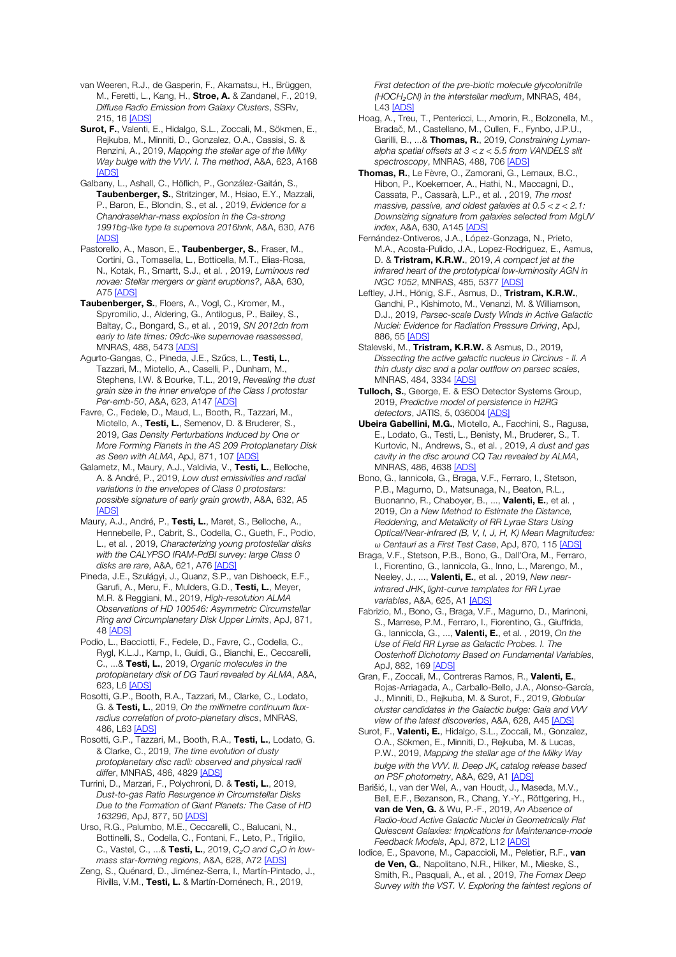van Weeren, R.J., de Gasperin, F., Akamatsu, H., Brüggen, M., Feretti, L., Kang, H., Stroe, A. & Zandanel, F., 2019, *Diffuse Radio Emission from Galaxy Clusters*, SSRv, 215, 16 [ADS]

Surot, F., Valenti, E., Hidalgo, S.L., Zoccali, M., Sökmen, E., Rejkuba, M., Minniti, D., Gonzalez, O.A., Cassisi, S. & Renzini, A., 2019, *Mapping the stellar age of the Milky Way bulge with the VVV. I. The method*, A&A, 623, A168 [ADS]

Galbany, L., Ashall, C., Höflich, P., González-Gaitán, S., Taubenberger, S., Stritzinger, M., Hsiao, E.Y., Mazzali, P., Baron, E., Blondin, S., et al. , 2019, *Evidence for a Chandrasekhar-mass explosion in the Ca-strong 1991bg-like type Ia supernova 2016hnk*, A&A, 630, A76 [ADS]

Pastorello, A., Mason, E., Taubenberger, S., Fraser, M., Cortini, G., Tomasella, L., Botticella, M.T., Elias-Rosa, N., Kotak, R., Smartt, S.J., et al. , 2019, *Luminous red novae: Stellar mergers or giant eruptions?*, A&A, 630, A75 [ADS]

Taubenberger, S., Floers, A., Vogl, C., Kromer, M., Spyromilio, J., Aldering, G., Antilogus, P., Bailey, S., Baltay, C., Bongard, S., et al. , 2019, *SN 2012dn from early to late times: 09dc-like supernovae reassessed*, MNRAS, 488, 5473 [ADS]

Agurto-Gangas, C., Pineda, J.E., Szűcs, L., Testi, L., Tazzari, M., Miotello, A., Caselli, P., Dunham, M., Stephens, I.W. & Bourke, T.L., 2019, *Revealing the dust grain size in the inner envelope of the Class I protostar Per-emb-50*, A&A, 623, A147 [ADS]

Favre, C., Fedele, D., Maud, L., Booth, R., Tazzari, M., Miotello, A., Testi, L., Semenov, D. & Bruderer, S., 2019, *Gas Density Perturbations Induced by One or More Forming Planets in the AS 209 Protoplanetary Disk as Seen with ALMA*, ApJ, 871, 107 [ADS]

Galametz, M., Maury, A.J., Valdivia, V., Testi, L., Belloche, A. & André, P., 2019, *Low dust emissivities and radial variations in the envelopes of Class 0 protostars: possible signature of early grain growth*, A&A, 632, A5 **[ADS]** 

Maury, A.J., André, P., Testi, L., Maret, S., Belloche, A., Hennebelle, P., Cabrit, S., Codella, C., Gueth, F., Podio, L., et al. , 2019, *Characterizing young protostellar disks with the CALYPSO IRAM-PdBI survey: large Class 0 disks are rare*, A&A, 621, A76 [ADS]

Pineda, J.E., Szulágyi, J., Quanz, S.P., van Dishoeck, E.F., Garufi, A., Meru, F., Mulders, G.D., Testi, L., Meyer, M.R. & Reggiani, M., 2019, *High-resolution ALMA Observations of HD 100546: Asymmetric Circumstellar Ring and Circumplanetary Disk Upper Limits*, ApJ, 871, 48 [ADS]

Podio, L., Bacciotti, F., Fedele, D., Favre, C., Codella, C., Rygl, K.L.J., Kamp, I., Guidi, G., Bianchi, E., Ceccarelli, C., ...& Testi, L., 2019, *Organic molecules in the protoplanetary disk of DG Tauri revealed by ALMA*, A&A, 623, L6 [ADS]

Rosotti, G.P., Booth, R.A., Tazzari, M., Clarke, C., Lodato, G. & Testi, L., 2019, *On the millimetre continuum fluxradius correlation of proto-planetary discs*, MNRAS, 486, L63 [ADS]

Rosotti, G.P., Tazzari, M., Booth, R.A., Testi, L., Lodato, G. & Clarke, C., 2019, *The time evolution of dusty protoplanetary disc radii: observed and physical radii differ*, MNRAS, 486, 4829 [ADS]

Turrini, D., Marzari, F., Polychroni, D. & Testi, L., 2019, *Dust-to-gas Ratio Resurgence in Circumstellar Disks Due to the Formation of Giant Planets: The Case of HD 163296*, ApJ, 877, 50 [ADS]

Urso, R.G., Palumbo, M.E., Ceccarelli, C., Balucani, N., Bottinelli, S., Codella, C., Fontani, F., Leto, P., Trigilio, C., Vastel, C., ...& Testi, L., 2019, *C*₂*O and C*₃*O in lowmass star-forming regions*, A&A, 628, A72 [ADS]

Zeng, S., Quénard, D., Jiménez-Serra, I., Martín-Pintado, J., Rivilla, V.M., Testi, L. & Martín-Doménech, R., 2019,

*First detection of the pre-biotic molecule glycolonitrile (HOCH*₂*CN) in the interstellar medium*, MNRAS, 484, L43 [ADS]

Hoag, A., Treu, T., Pentericci, L., Amorin, R., Bolzonella, M., Bradač, M., Castellano, M., Cullen, F., Fynbo, J.P.U., Garilli, B., ...& Thomas, R., 2019, *Constraining Lymanalpha spatial offsets at 3 < z < 5.5 from VANDELS slit spectroscopy*, MNRAS, 488, 706 [ADS]

Thomas, R., Le Fèvre, O., Zamorani, G., Lemaux, B.C., Hibon, P., Koekemoer, A., Hathi, N., Maccagni, D., Cassata, P., Cassarà, L.P., et al. , 2019, *The most massive, passive, and oldest galaxies at 0.5 < z < 2.1: Downsizing signature from galaxies selected from MgUV index*, A&A, 630, A145 [ADS]

Fernández-Ontiveros, J.A., López-Gonzaga, N., Prieto, M.A., Acosta-Pulido, J.A., Lopez-Rodriguez, E., Asmus, D. & Tristram, K.R.W., 2019, *A compact jet at the infrared heart of the prototypical low-luminosity AGN in NGC 1052*, MNRAS, 485, 5377 [ADS]

Leftley, J.H., Hönig, S.F., Asmus, D., Tristram, K.R.W., Gandhi, P., Kishimoto, M., Venanzi, M. & Williamson, D.J., 2019, *Parsec-scale Dusty Winds in Active Galactic Nuclei: Evidence for Radiation Pressure Driving*, ApJ, 886, 55 [ADS]

Stalevski, M., Tristram, K.R.W. & Asmus, D., 2019, *Dissecting the active galactic nucleus in Circinus - II. A thin dusty disc and a polar outflow on parsec scales*, MNRAS, 484, 3334 [ADS]

Tulloch, S., George, E. & ESO Detector Systems Group, 2019, *Predictive model of persistence in H2RG detectors*, JATIS, 5, 036004 [ADS]

Ubeira Gabellini, M.G., Miotello, A., Facchini, S., Ragusa, E., Lodato, G., Testi, L., Benisty, M., Bruderer, S., T. Kurtovic, N., Andrews, S., et al. , 2019, *A dust and gas cavity in the disc around CQ Tau revealed by ALMA*, MNRAS, 486, 4638 [ADS]

Bono, G., Iannicola, G., Braga, V.F., Ferraro, I., Stetson, P.B., Magurno, D., Matsunaga, N., Beaton, R.L., Buonanno, R., Chaboyer, B., ..., Valenti, E., et al., 2019, *On a New Method to Estimate the Distance, Reddening, and Metallicity of RR Lyrae Stars Using Optical/Near-infrared (B, V, I, J, H, K) Mean Magnitudes: ω Centauri as a First Test Case*, ApJ, 870, 115 [ADS]

Braga, V.F., Stetson, P.B., Bono, G., Dall'Ora, M., Ferraro, I., Fiorentino, G., Iannicola, G., Inno, L., Marengo, M., Neeley, J., ..., Valenti, E., et al. , 2019, *New nearinfrared JHK*<sup>ₛ</sup> *light-curve templates for RR Lyrae variables*, A&A, 625, A1 [ADS]

Fabrizio, M., Bono, G., Braga, V.F., Magurno, D., Marinoni, S., Marrese, P.M., Ferraro, I., Fiorentino, G., Giuffrida, G., Iannicola, G., ..., Valenti, E., et al. , 2019, *On the Use of Field RR Lyrae as Galactic Probes. I. The Oosterhoff Dichotomy Based on Fundamental Variables*, ApJ, 882, 169 [ADS]

Gran, F., Zoccali, M., Contreras Ramos, R., Valenti, E., Rojas-Arriagada, A., Carballo-Bello, J.A., Alonso-García, J., Minniti, D., Rejkuba, M. & Surot, F., 2019, *Globular cluster candidates in the Galactic bulge: Gaia and VVV view of the latest discoveries*, A&A, 628, A45 [ADS]

Surot, F., Valenti, E., Hidalgo, S.L., Zoccali, M., Gonzalez, O.A., Sökmen, E., Minniti, D., Rejkuba, M. & Lucas, P.W., 2019, *Mapping the stellar age of the Milky Way bulge with the VVV. II. Deep JK*<sup>ₛ</sup> *catalog release based on PSF photometry*, A&A, 629, A1 [ADS]

Barišić, I., van der Wel, A., van Houdt, J., Maseda, M.V., Bell, E.F., Bezanson, R., Chang, Y.-Y., Röttgering, H., van de Ven, G. & Wu, P.-F., 2019, *An Absence of Radio-loud Active Galactic Nuclei in Geometrically Flat Quiescent Galaxies: Implications for Maintenance-mode Feedback Models*, ApJ, 872, L12 [ADS]

Iodice, E., Spavone, M., Capaccioli, M., Peletier, R.F., van de Ven, G., Napolitano, N.R., Hilker, M., Mieske, S., Smith, R., Pasquali, A., et al. , 2019, *The Fornax Deep Survey with the VST. V. Exploring the faintest regions of*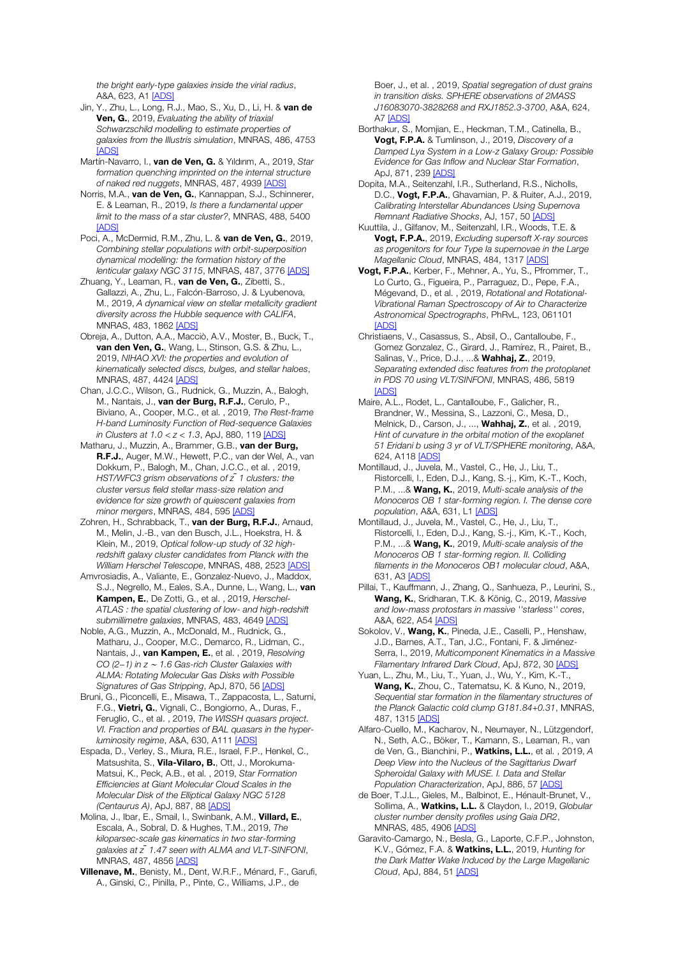*the bright early-type galaxies inside the virial radius*, A&A, 623, A1 [ADS]

- Jin, Y., Zhu, L., Long, R.J., Mao, S., Xu, D., Li, H. & van de Ven, G., 2019, *Evaluating the ability of triaxial Schwarzschild modelling to estimate properties of galaxies from the Illustris simulation*, MNRAS, 486, 4753 **[ADS]**
- Martín-Navarro, I., van de Ven, G. & Yıldırım, A., 2019, *Star formation quenching imprinted on the internal structure of naked red nuggets*, MNRAS, 487, 4939 [ADS]
- Norris, M.A., van de Ven, G., Kannappan, S.J., Schinnerer, E. & Leaman, R., 2019, *Is there a fundamental upper limit to the mass of a star cluster?*, MNRAS, 488, 5400 [ADS]
- Poci, A., McDermid, R.M., Zhu, L. & van de Ven, G., 2019, *Combining stellar populations with orbit-superposition dynamical modelling: the formation history of the lenticular galaxy NGC 3115*, MNRAS, 487, 3776 [ADS]
- Zhuang, Y., Leaman, R., van de Ven, G., Zibetti, S., Gallazzi, A., Zhu, L., Falcón-Barroso, J. & Lyubenova, M., 2019, *A dynamical view on stellar metallicity gradient diversity across the Hubble sequence with CALIFA*, MNRAS, 483, 1862 [ADS]
- Obreja, A., Dutton, A.A., Macciò, A.V., Moster, B., Buck, T., van den Ven, G., Wang, L., Stinson, G.S. & Zhu, L., 2019, *NIHAO XVI: the properties and evolution of kinematically selected discs, bulges, and stellar haloes*, MNRAS, 487, 4424 [ADS]
- Chan, J.C.C., Wilson, G., Rudnick, G., Muzzin, A., Balogh, M., Nantais, J., van der Burg, R.F.J., Cerulo, P., Biviano, A., Cooper, M.C., et al. , 2019, *The Rest-frame H-band Luminosity Function of Red-sequence Galaxies in Clusters at 1.0 < z < 1.3*, ApJ, 880, 119 [ADS]
- Matharu, J., Muzzin, A., Brammer, G.B., van der Burg, R.F.J., Auger, M.W., Hewett, P.C., van der Wel, A., van Dokkum, P., Balogh, M., Chan, J.C.C., et al. , 2019, *HST/WFC3 grism observations of z ̃1 clusters: the cluster versus field stellar mass-size relation and evidence for size growth of quiescent galaxies from minor mergers*, MNRAS, 484, 595 [ADS]
- Zohren, H., Schrabback, T., van der Burg, R.F.J., Arnaud, M., Melin, J.-B., van den Busch, J.L., Hoekstra, H. & Klein, M., 2019, *Optical follow-up study of 32 highredshift galaxy cluster candidates from Planck with the William Herschel Telescope*, MNRAS, 488, 2523 [ADS]
- Amvrosiadis, A., Valiante, E., Gonzalez-Nuevo, J., Maddox, S.J., Negrello, M., Eales, S.A., Dunne, L., Wang, L., van Kampen, E., De Zotti, G., et al. , 2019, *Herschel-ATLAS : the spatial clustering of low- and high-redshift submillimetre galaxies*, MNRAS, 483, 4649 [ADS]
- Noble, A.G., Muzzin, A., McDonald, M., Rudnick, G., Matharu, J., Cooper, M.C., Demarco, R., Lidman, C., Nantais, J., van Kampen, E., et al. , 2019, *Resolving CO (2*−*1) in z* <sup>∼</sup> *1.6 Gas-rich Cluster Galaxies with ALMA: Rotating Molecular Gas Disks with Possible Signatures of Gas Stripping*, ApJ, 870, 56 [ADS]
- Bruni, G., Piconcelli, E., Misawa, T., Zappacosta, L., Saturni, F.G., Vietri, G., Vignali, C., Bongiorno, A., Duras, F., Feruglio, C., et al. , 2019, *The WISSH quasars project. VI. Fraction and properties of BAL quasars in the hyperluminosity regime, A&A, 630, A111* [ADS]
- Espada, D., Verley, S., Miura, R.E., Israel, F.P., Henkel, C., Matsushita, S., Vila-Vilaro, B., Ott, J., Morokuma-Matsui, K., Peck, A.B., et al. , 2019, *Star Formation Efficiencies at Giant Molecular Cloud Scales in the Molecular Disk of the Elliptical Galaxy NGC 5128 (Centaurus A)*, ApJ, 887, 88 [ADS]
- Molina, J., Ibar, E., Smail, I., Swinbank, A.M., Villard, E., Escala, A., Sobral, D. & Hughes, T.M., 2019, *The kiloparsec-scale gas kinematics in two star-forming galaxies at z ̃1.47 seen with ALMA and VLT-SINFONI*, MNRAS, 487, 4856 [ADS]
- Villenave, M., Benisty, M., Dent, W.R.F., Ménard, F., Garufi, A., Ginski, C., Pinilla, P., Pinte, C., Williams, J.P., de

Boer, J., et al. , 2019, *Spatial segregation of dust grains in transition disks. SPHERE observations of 2MASS J16083070-3828268 and RXJ1852.3-3700*, A&A, 624, A7 [ADS]

- Borthakur, S., Momjian, E., Heckman, T.M., Catinella, B., Vogt, F.P.A. & Tumlinson, J., 2019, *Discovery of a Damped Lyα System in a Low-z Galaxy Group: Possible Evidence for Gas Inflow and Nuclear Star Formation*, ApJ, 871, 239 [ADS]
- Dopita, M.A., Seitenzahl, I.R., Sutherland, R.S., Nicholls, D.C., Vogt. F.P.A., Ghavamian, P. & Ruiter, A.J., 2019, *Calibrating Interstellar Abundances Using Supernova Remnant Radiative Shocks*, AJ, 157, 50 [ADS]
- Kuuttila, J., Gilfanov, M., Seitenzahl, I.R., Woods, T.E. & Vogt, F.P.A., 2019, *Excluding supersoft X-ray sources as progenitors for four Type Ia supernovae in the Large Magellanic Cloud*, MNRAS, 484, 1317 [ADS]
- Vogt, F.P.A., Kerber, F., Mehner, A., Yu, S., Pfrommer, T., Lo Curto, G., Figueira, P., Parraguez, D., Pepe, F.A., Mégevand, D., et al. , 2019, *Rotational and Rotational-Vibrational Raman Spectroscopy of Air to Characterize Astronomical Spectrographs*, PhRvL, 123, 061101 [ADS]
- Christiaens, V., Casassus, S., Absil, O., Cantalloube, F., Gomez Gonzalez, C., Girard, J., Ramírez, R., Pairet, B., Salinas, V., Price, D.J., ...& Wahhaj, Z., 2019, *Separating extended disc features from the protoplanet in PDS 70 using VLT/SINFONI*, MNRAS, 486, 5819 **[ADS]**
- Maire, A.L., Rodet, L., Cantalloube, F., Galicher, R., Brandner, W., Messina, S., Lazzoni, C., Mesa, D., Melnick, D., Carson, J., ..., Wahhaj, Z., et al. , 2019, *Hint of curvature in the orbital motion of the exoplanet 51 Eridani b using 3 yr of VLT/SPHERE monitoring*, A&A, 624, A118 [ADS]
- Montillaud, J., Juvela, M., Vastel, C., He, J., Liu, T., Ristorcelli, I., Eden, D.J., Kang, S.-j., Kim, K.-T., Koch, P.M., ...& Wang, K., 2019, *Multi-scale analysis of the Monoceros OB 1 star-forming region. I. The dense core population*, A&A, 631, L1 [ADS]
- Montillaud, J., Juvela, M., Vastel, C., He, J., Liu, T., Ristorcelli, I., Eden, D.J., Kang, S.-j., Kim, K.-T., Koch, P.M., ...& Wang, K., 2019, *Multi-scale analysis of the Monoceros OB 1 star-forming region. II. Colliding filaments in the Monoceros OB1 molecular cloud*, A&A, 631, A3 [ADS]
- Pillai, T., Kauffmann, J., Zhang, Q., Sanhueza, P., Leurini, S., Wang, K., Sridharan, T.K. & König, C., 2019, *Massive and low-mass protostars in massive ''starless'' cores*, A&A, 622, A54 [ADS]
- Sokolov, V., Wang, K., Pineda, J.E., Caselli, P., Henshaw, J.D., Barnes, A.T., Tan, J.C., Fontani, F. & Jiménez-Serra, I., 2019, *Multicomponent Kinematics in a Massive Filamentary Infrared Dark Cloud*, ApJ, 872, 30 [ADS]
- Yuan, L., Zhu, M., Liu, T., Yuan, J., Wu, Y., Kim, K.-T., Wang, K., Zhou, C., Tatematsu, K. & Kuno, N., 2019, *Sequential star formation in the filamentary structures of the Planck Galactic cold clump G181.84+0.31*, MNRAS, 487, 1315 [ADS]
- Alfaro-Cuello, M., Kacharov, N., Neumayer, N., Lützgendorf, N., Seth, A.C., Böker, T., Kamann, S., Leaman, R., van de Ven, G., Bianchini, P., Watkins, L.L., et al. , 2019, *A Deep View into the Nucleus of the Sagittarius Dwarf Spheroidal Galaxy with MUSE. I. Data and Stellar Population Characterization*, ApJ, 886, 57 [ADS]
- de Boer, T.J.L., Gieles, M., Balbinot, E., Hénault-Brunet, V., Sollima, A., Watkins, L.L. & Claydon, I., 2019, *Globular cluster number density profiles using Gaia DR2*, MNRAS, 485, 4906 [ADS]
- Garavito-Camargo, N., Besla, G., Laporte, C.F.P., Johnston, K.V., Gómez, F.A. & Watkins, L.L., 2019, *Hunting for the Dark Matter Wake Induced by the Large Magellanic Cloud*, ApJ, 884, 51 [ADS]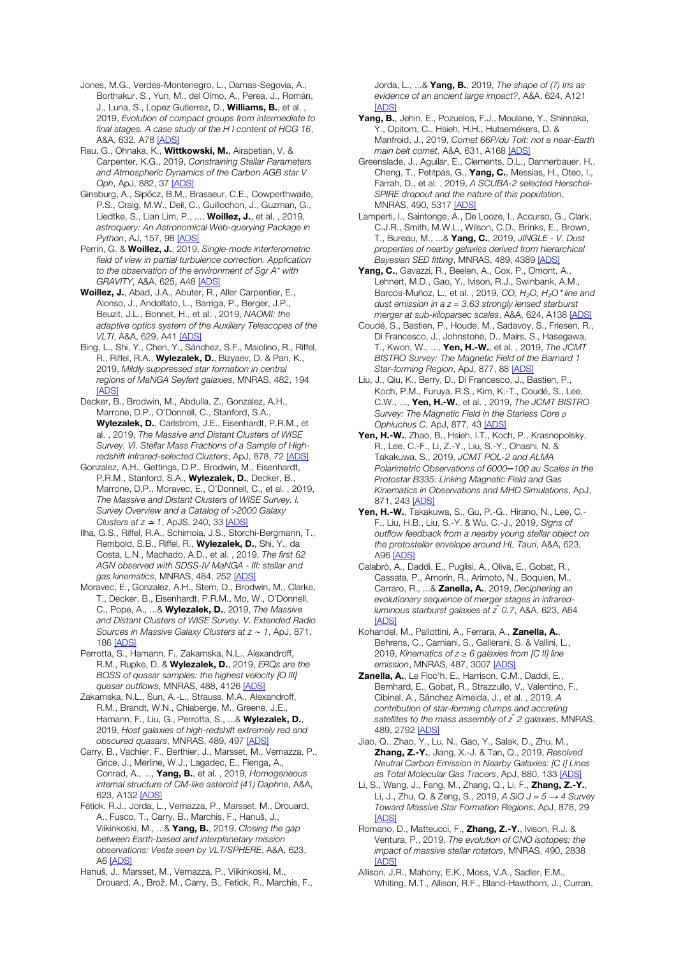Jones, M.G., Verdes-Montenegro, L., Damas-Segovia, A., Borthakur, S., Yun, M., del Olmo, A., Perea, J., Román, J., Luna, S., Lopez Gutierrez, D., **Williams, B.**, et al., 2019, *Evolution of compact groups from intermediate to final stages. A case study of the H I content of HCG 16*, A&A, 632, A78 [ADS]

Rau, G., Ohnaka, K., Wittkowski, M., Airapetian, V. & Carpenter, K.G., 2019, *Constraining Stellar Parameters and Atmospheric Dynamics of the Carbon AGB star V Oph*, ApJ, 882, 37 [ADS]

Ginsburg, A., Sipőcz, B.M., Brasseur, C.E., Cowperthwaite, P.S., Craig, M.W., Deil, C., Guillochon, J., Guzman, G., Liedtke, S., Lian Lim, P., ..., **Woillez, J.**, et al., 2019, *astroquery: An Astronomical Web-querying Package in Python*, AJ, 157, 98 [ADS]

Perrin, G. & Woillez, J., 2019, *Single-mode interferometric field of view in partial turbulence correction. Application to the observation of the environment of Sgr A\* with GRAVITY*, A&A, 625, A48 [ADS]

Woillez, J., Abad, J.A., Abuter, R., Aller Carpentier, E., Alonso, J., Andolfato, L., Barriga, P., Berger, J.P., Beuzit, J.L., Bonnet, H., et al. , 2019, *NAOMI: the adaptive optics system of the Auxiliary Telescopes of the VLTI*, A&A, 629, A41 [ADS]

Bing, L., Shi, Y., Chen, Y., Sánchez, S.F., Maiolino, R., Riffel, R., Riffel, R.A., **Wylezalek, D.**, Bizyaev, D. & Pan, K., 2019, *Mildly suppressed star formation in central regions of MaNGA Seyfert galaxies*, MNRAS, 482, 194 [ADS]

Decker, B., Brodwin, M., Abdulla, Z., Gonzalez, A.H., Marrone, D.P., O'Donnell, C., Stanford, S.A., Wylezalek, D., Carlstrom, J.E., Eisenhardt, P.R.M., et al. , 2019, *The Massive and Distant Clusters of WISE Survey. VI. Stellar Mass Fractions of a Sample of Highredshift Infrared-selected Clusters*, ApJ, 878, 72 [ADS]

Gonzalez, A.H., Gettings, D.P., Brodwin, M., Eisenhardt, P.R.M., Stanford, S.A., Wylezalek, D., Decker, B., Marrone, D.P., Moravec, E., O'Donnell, C., et al. , 2019, *The Massive and Distant Clusters of WISE Survey. I. Survey Overview and a Catalog of >2000 Galaxy Clusters at z* <sup>≃</sup> *1*, ApJS, 240, 33 [ADS]

Ilha, G.S., Riffel, R.A., Schimoia, J.S., Storchi-Bergmann, T., Rembold, S.B., Riffel, R., Wylezalek, D., Shi, Y., da Costa, L.N., Machado, A.D., et al. , 2019, *The first 62 AGN observed with SDSS-IV MaNGA - III: stellar and gas kinematics*, MNRAS, 484, 252 [ADS]

Moravec, E., Gonzalez, A.H., Stern, D., Brodwin, M., Clarke, T., Decker, B., Eisenhardt, P.R.M., Mo, W., O'Donnell, C., Pope, A., ...& Wylezalek, D., 2019, *The Massive and Distant Clusters of WISE Survey. V. Extended Radio Sources in Massive Galaxy Clusters at z* <sup>∼</sup> *1*, ApJ, 871, 186 [ADS]

Perrotta, S., Hamann, F., Zakamska, N.L., Alexandroff, R.M., Rupke, D. & Wylezalek, D., 2019, *ERQs are the BOSS of quasar samples: the highest velocity [O III] quasar outflows*, MNRAS, 488, 4126 [ADS]

Zakamska, N.L., Sun, A.-L., Strauss, M.A., Alexandroff, R.M., Brandt, W.N., Chiaberge, M., Greene, J.E., Hamann, F., Liu, G., Perrotta, S., ...& Wylezalek, D., 2019, *Host galaxies of high-redshift extremely red and obscured quasars*, MNRAS, 489, 497 [ADS]

Carry, B., Vachier, F., Berthier, J., Marsset, M., Vernazza, P., Grice, J., Merline, W.J., Lagadec, E., Fienga, A., Conrad, A., ..., Yang, B., et al. , 2019, *Homogeneous internal structure of CM-like asteroid (41) Daphne*, A&A, 623, A132 [ADS]

Fétick, R.J., Jorda, L., Vernazza, P., Marsset, M., Drouard, A., Fusco, T., Carry, B., Marchis, F., Hanuš, J., Viikinkoski, M., ...& Yang, B., 2019, *Closing the gap between Earth-based and interplanetary mission observations: Vesta seen by VLT/SPHERE*, A&A, 623, A6 [ADS]

Hanuš, J., Marsset, M., Vernazza, P., Viikinkoski, M., Drouard, A., Brož, M., Carry, B., Fetick, R., Marchis, F., Jorda, L., ...& Yang, B., 2019, *The shape of (7) Iris as evidence of an ancient large impact?*, A&A, 624, A121 [ADS]

- Yang, B., Jehin, E., Pozuelos, F.J., Moulane, Y., Shinnaka, Y., Opitom, C., Hsieh, H.H., Hutsemékers, D. & Manfroid, J., 2019, *Comet 66P/du Toit: not a near-Earth main belt comet*, A&A, 631, A168 [ADS]
- Greenslade, J., Aguilar, E., Clements, D.L., Dannerbauer, H., Cheng, T., Petitpas, G., Yang, C., Messias, H., Oteo, I., Farrah, D., et al. , 2019, *A SCUBA-2 selected Herschel-SPIRE dropout and the nature of this population*, MNRAS, 490, 5317 [ADS]

Lamperti, I., Saintonge, A., De Looze, I., Accurso, G., Clark, C.J.R., Smith, M.W.L., Wilson, C.D., Brinks, E., Brown, T., Bureau, M., ...& Yang, C., 2019, *JINGLE - V. Dust properties of nearby galaxies derived from hierarchical Bayesian SED fitting*, MNRAS, 489, 4389 [ADS]

Yang, C., Gavazzi, R., Beelen, A., Cox, P., Omont, A. Lehnert, M.D., Gao, Y., Ivison, R.J., Swinbank, A.M., Barcos-Muñoz, L., et al. , 2019, *CO, H*₂*O, H*₂*O*<sup>⁺</sup> *line and dust emission in a z = 3.63 strongly lensed starburst merger at sub-kiloparsec scales*, A&A, 624, A138 [ADS]

Coudé, S., Bastien, P., Houde, M., Sadavoy, S., Friesen, R., Di Francesco, J., Johnstone, D., Mairs, S., Hasegawa, T., Kwon, W., ..., Yen, H.-W., et al. , 2019, *The JCMT BISTRO Survey: The Magnetic Field of the Barnard 1 Star-forming Region*, ApJ, 877, 88 [ADS]

Liu, J., Qiu, K., Berry, D., Di Francesco, J., Bastien, P., Koch, P.M., Furuya, R.S., Kim, K.-T., Coudé, S., Lee, C.W., ..., Yen, H.-W., et al. , 2019, *The JCMT BISTRO Survey: The Magnetic Field in the Starless Core ρ Ophiuchus C*, ApJ, 877, 43 [ADS]

Yen, H.-W., Zhao, B., Hsieh, I.T., Koch, P., Krasnopolsky, R., Lee, C.-F., Li, Z.-Y., Liu, S.-Y., Ohashi, N. & Takakuwa, S., 2019, *JCMT POL-2 and ALMA Polarimetric Observations of 6000─100 au Scales in the Protostar B335: Linking Magnetic Field and Gas Kinematics in Observations and MHD Simulations*, ApJ, 871, 243 [ADS]

Yen, H.-W., Takakuwa, S., Gu, P.-G., Hirano, N., Lee, C.-F., Liu, H.B., Liu, S.-Y. & Wu, C.-J., 2019, *Signs of outflow feedback from a nearby young stellar object on the protostellar envelope around HL Tauri*, A&A, 623, A96 [ADS]

Calabrò, A., Daddi, E., Puglisi, A., Oliva, E., Gobat, R., Cassata, P., Amorín, R., Arimoto, N., Boquien, M., Carraro, R., ...& Zanella, A., 2019, *Deciphering an evolutionary sequence of merger stages in infraredluminous starburst galaxies at z ̃0.7*, A&A, 623, A64 [ADS]

Kohandel, M., Pallottini, A., Ferrara, A., Zanella, A., Behrens, C., Carniani, S., Gallerani, S. & Vallini, L., 2019, *Kinematics of z* ≥ *6 galaxies from [C II] line emission*, MNRAS, 487, 3007 [ADS]

Zanella, A., Le Floc'h, E., Harrison, C.M., Daddi, E., Bernhard, E., Gobat, R., Strazzullo, V., Valentino, F., Cibinel, A., Sánchez Almeida, J., et al. , 2019, *A contribution of star-forming clumps and accreting satellites to the mass assembly of z ̃2 galaxies*, MNRAS, 489, 2792 [ADS]

Jiao, Q., Zhao, Y., Lu, N., Gao, Y., Salak, D., Zhu, M., Zhang, Z.-Y., Jiang, X.-J. & Tan, Q., 2019, *Resolved Neutral Carbon Emission in Nearby Galaxies: [C I] Lines as Total Molecular Gas Tracers*, ApJ, 880, 133 [ADS]

Li, S., Wang, J., Fang, M., Zhang, Q., Li, F., Zhang, Z.-Y., Li, J., Zhu, Q. & Zeng, S., 2019, *A SiO J = 5 → 4 Survey Toward Massive Star Formation Regions*, ApJ, 878, 29 **[ADS]** 

Romano, D., Matteucci, F., Zhang, Z.-Y., Ivison, R.J. & Ventura, P., 2019, *The evolution of CNO isotopes: the impact of massive stellar rotators*, MNRAS, 490, 2838 [ADS]

Allison, J.R., Mahony, E.K., Moss, V.A., Sadler, E.M., Whiting, M.T., Allison, R.F., Bland-Hawthorn, J., Curran,